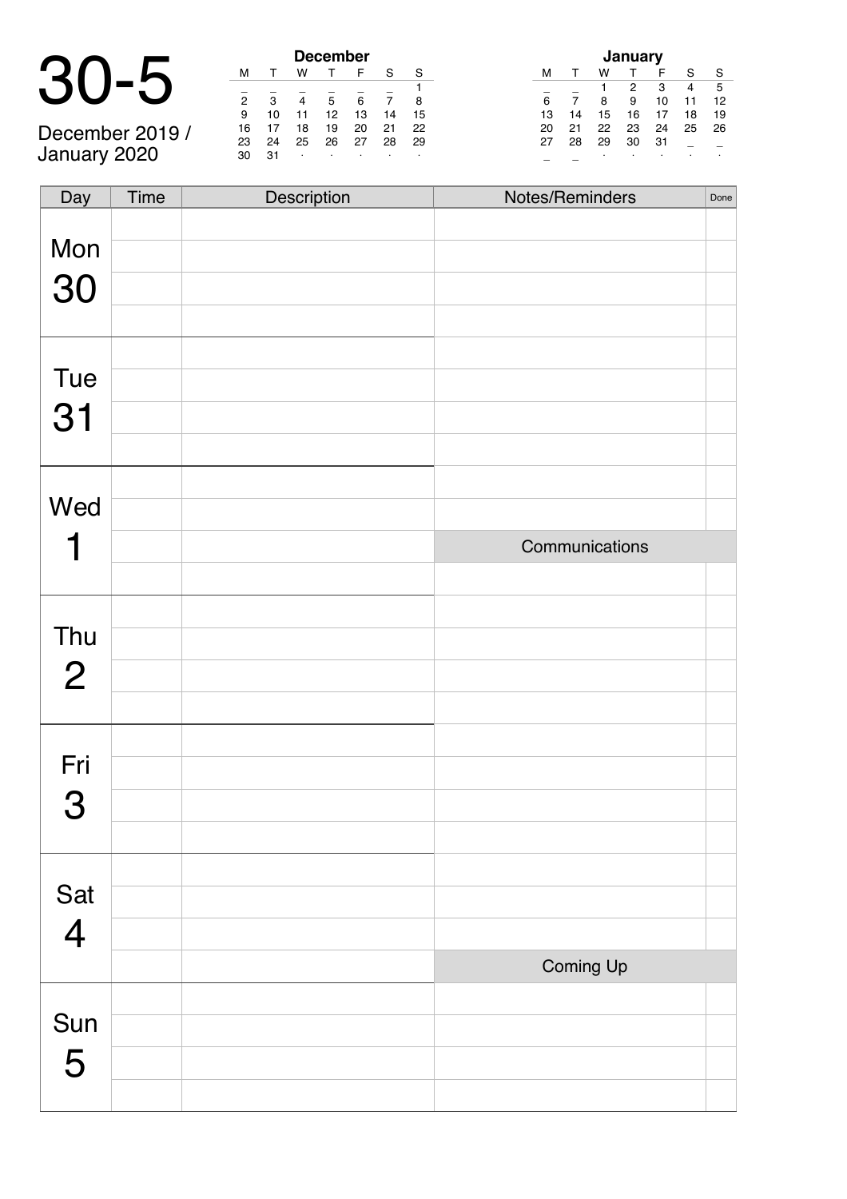| December 2019 / |  |
|-----------------|--|

January 2020

|                 | <b>December</b> |    |    |    |    |    |    |  |  |
|-----------------|-----------------|----|----|----|----|----|----|--|--|
|                 | м               |    | w  |    | F  |    |    |  |  |
|                 |                 |    |    |    |    |    |    |  |  |
|                 | 2               | з  |    |    | 6  |    |    |  |  |
|                 | 9               | 10 |    | 12 | 13 | 14 | 15 |  |  |
| December 2019 / | 16              |    | 18 | 19 | 20 | 21 | 22 |  |  |
|                 | 23              | 24 | 25 | 26 | 27 | 28 | 29 |  |  |
| January 2020    |                 |    |    |    |    |    |    |  |  |

| January |    |    |    |    |    |    |  |  |  |  |
|---------|----|----|----|----|----|----|--|--|--|--|
| м       |    | w  |    | F  | S  | S  |  |  |  |  |
|         |    |    | 2  | 3  | 4  | 5  |  |  |  |  |
| 6       | 7  | 8  | 9  | 10 | 11 | 12 |  |  |  |  |
| 13      | 14 | 15 | 16 | 17 | 18 | 19 |  |  |  |  |
| 20      | 21 | 22 | 23 | 24 | 25 | 26 |  |  |  |  |
| 27      | 28 | 29 | 30 | 31 |    |    |  |  |  |  |
|         |    | ٠  |    |    | ٠  | ٠  |  |  |  |  |

| Day            | Time | Description | Notes/Reminders | Done |
|----------------|------|-------------|-----------------|------|
|                |      |             |                 |      |
| Mon            |      |             |                 |      |
| 30             |      |             |                 |      |
|                |      |             |                 |      |
|                |      |             |                 |      |
| Tue            |      |             |                 |      |
| 31             |      |             |                 |      |
|                |      |             |                 |      |
|                |      |             |                 |      |
| Wed            |      |             |                 |      |
|                |      |             | Communications  |      |
|                |      |             |                 |      |
|                |      |             |                 |      |
| Thu            |      |             |                 |      |
| $\overline{2}$ |      |             |                 |      |
|                |      |             |                 |      |
|                |      |             |                 |      |
| Fri            |      |             |                 |      |
| 3              |      |             |                 |      |
|                |      |             |                 |      |
|                |      |             |                 |      |
| Sat            |      |             |                 |      |
| $\overline{4}$ |      |             |                 |      |
|                |      |             | Coming Up       |      |
|                |      |             |                 |      |
| Sun            |      |             |                 |      |
| 5              |      |             |                 |      |
|                |      |             |                 |      |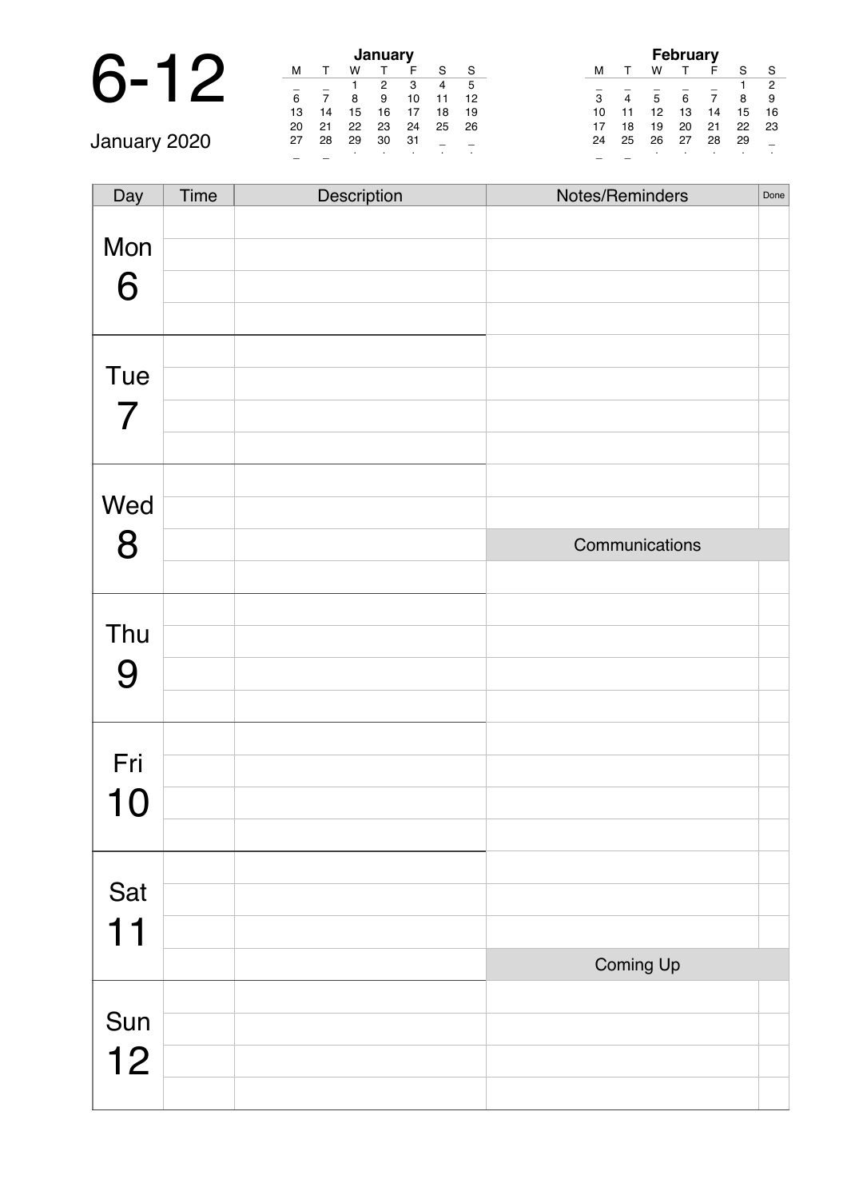# 6-12 **January**

\_ \_ <sup>∙</sup> <sup>∙</sup> <sup>∙</sup> <sup>∙</sup> <sup>∙</sup> January 2020

| January |    |    |    |    |    |    |  |  |  |  |
|---------|----|----|----|----|----|----|--|--|--|--|
| м       |    | w  |    | F  | S  | S  |  |  |  |  |
|         |    |    | 2  | 3  | 4  | 5  |  |  |  |  |
| 6       |    | 8  | 9  | 10 | 11 | 12 |  |  |  |  |
| 13      | 14 | 15 | 16 | 17 | 18 | 19 |  |  |  |  |
| 20      | 21 | 22 | 23 | 24 | 25 | 26 |  |  |  |  |
| 27      | 28 | 29 | 30 | 31 |    |    |  |  |  |  |
|         |    |    | ٠  |    |    | ٠  |  |  |  |  |

| <b>February</b><br>w<br>F |    |    |    |    |    |                |  |  |  |  |
|---------------------------|----|----|----|----|----|----------------|--|--|--|--|
| м                         |    |    |    |    | S  | S              |  |  |  |  |
|                           |    |    |    |    |    | $\overline{2}$ |  |  |  |  |
| 3                         | 4  | 5  | 6  |    | 8  | 9              |  |  |  |  |
| 10                        | 11 | 12 | 13 | 14 | 15 | 16             |  |  |  |  |
| 17                        | 18 | 19 | 20 | 21 | 22 | 23             |  |  |  |  |
| 24                        | 25 | 26 | 27 | 28 | 29 |                |  |  |  |  |
|                           |    |    |    |    |    |                |  |  |  |  |

| Day            | Time | Description | Notes/Reminders | Done |
|----------------|------|-------------|-----------------|------|
|                |      |             |                 |      |
| Mon            |      |             |                 |      |
| 6              |      |             |                 |      |
|                |      |             |                 |      |
|                |      |             |                 |      |
| Tue            |      |             |                 |      |
| $\overline{7}$ |      |             |                 |      |
|                |      |             |                 |      |
|                |      |             |                 |      |
| Wed            |      |             |                 |      |
| 8              |      |             | Communications  |      |
|                |      |             |                 |      |
|                |      |             |                 |      |
| Thu            |      |             |                 |      |
| 9              |      |             |                 |      |
|                |      |             |                 |      |
|                |      |             |                 |      |
| Fri            |      |             |                 |      |
| 10             |      |             |                 |      |
|                |      |             |                 |      |
|                |      |             |                 |      |
| Sat            |      |             |                 |      |
| 11             |      |             |                 |      |
|                |      |             | Coming Up       |      |
|                |      |             |                 |      |
| Sun            |      |             |                 |      |
| 12             |      |             |                 |      |
|                |      |             |                 |      |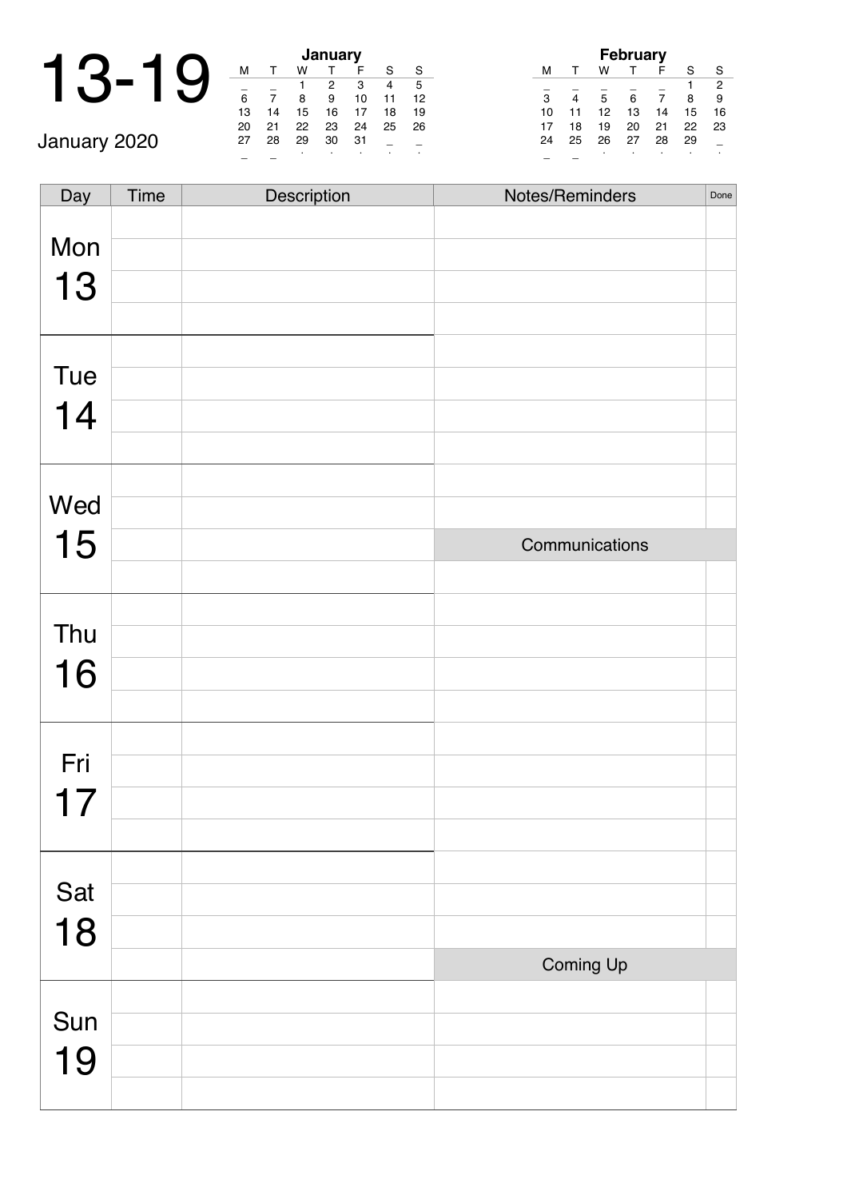|              |    |    | January |    |                |  |
|--------------|----|----|---------|----|----------------|--|
|              | м  |    | w       |    |                |  |
|              |    |    |         |    | S              |  |
|              |    |    | 8       | 9  | 1              |  |
|              | 13 | 14 | 15      | 16 | $\mathbf{1}$   |  |
|              | 20 | 21 | 22      | 23 | $\overline{c}$ |  |
| January 2020 | 27 | 28 | 29      | 30 | 3              |  |
|              |    |    |         |    | ٠              |  |

| <b>January</b> |    |    |    |    |    |    |  |  |  |  |
|----------------|----|----|----|----|----|----|--|--|--|--|
| м              |    | w  |    | F  | S  | S  |  |  |  |  |
|                |    | 1  | 2  | 3  | 4  | 5  |  |  |  |  |
| 6              |    | 8  | 9  | 10 | 11 | 12 |  |  |  |  |
| 13             | 14 | 15 | 16 | 17 | 18 | 19 |  |  |  |  |
| 20             | 21 | 22 | 23 | 24 | 25 | 26 |  |  |  |  |
| 27             | 28 | 29 | 30 | 31 |    |    |  |  |  |  |
|                |    |    |    |    |    |    |  |  |  |  |

| <b>February</b> |    |    |    |    |    |                |  |  |  |
|-----------------|----|----|----|----|----|----------------|--|--|--|
| м               |    | w  |    | F  | S  | S              |  |  |  |
|                 |    |    |    |    |    | $\overline{2}$ |  |  |  |
| 3               |    | 5  | 6  |    | 8  | 9              |  |  |  |
| 10              | 11 | 12 | 13 | 14 | 15 | 16             |  |  |  |
| 17              | 18 | 19 | 20 | 21 | 22 | 23             |  |  |  |
| 24              | 25 | 26 | 27 | 28 | 29 |                |  |  |  |
|                 |    |    |    |    | ٠  |                |  |  |  |

| Day | Time | Description | Notes/Reminders | Done |
|-----|------|-------------|-----------------|------|
| Mon |      |             |                 |      |
|     |      |             |                 |      |
| 13  |      |             |                 |      |
|     |      |             |                 |      |
|     |      |             |                 |      |
| Tue |      |             |                 |      |
| 14  |      |             |                 |      |
|     |      |             |                 |      |
|     |      |             |                 |      |
| Wed |      |             |                 |      |
| 15  |      |             | Communications  |      |
|     |      |             |                 |      |
|     |      |             |                 |      |
| Thu |      |             |                 |      |
| 16  |      |             |                 |      |
|     |      |             |                 |      |
|     |      |             |                 |      |
| Fri |      |             |                 |      |
| 17  |      |             |                 |      |
|     |      |             |                 |      |
|     |      |             |                 |      |
| Sat |      |             |                 |      |
| 18  |      |             |                 |      |
|     |      |             |                 |      |
|     |      |             | Coming Up       |      |
| Sun |      |             |                 |      |
|     |      |             |                 |      |
| 19  |      |             |                 |      |
|     |      |             |                 |      |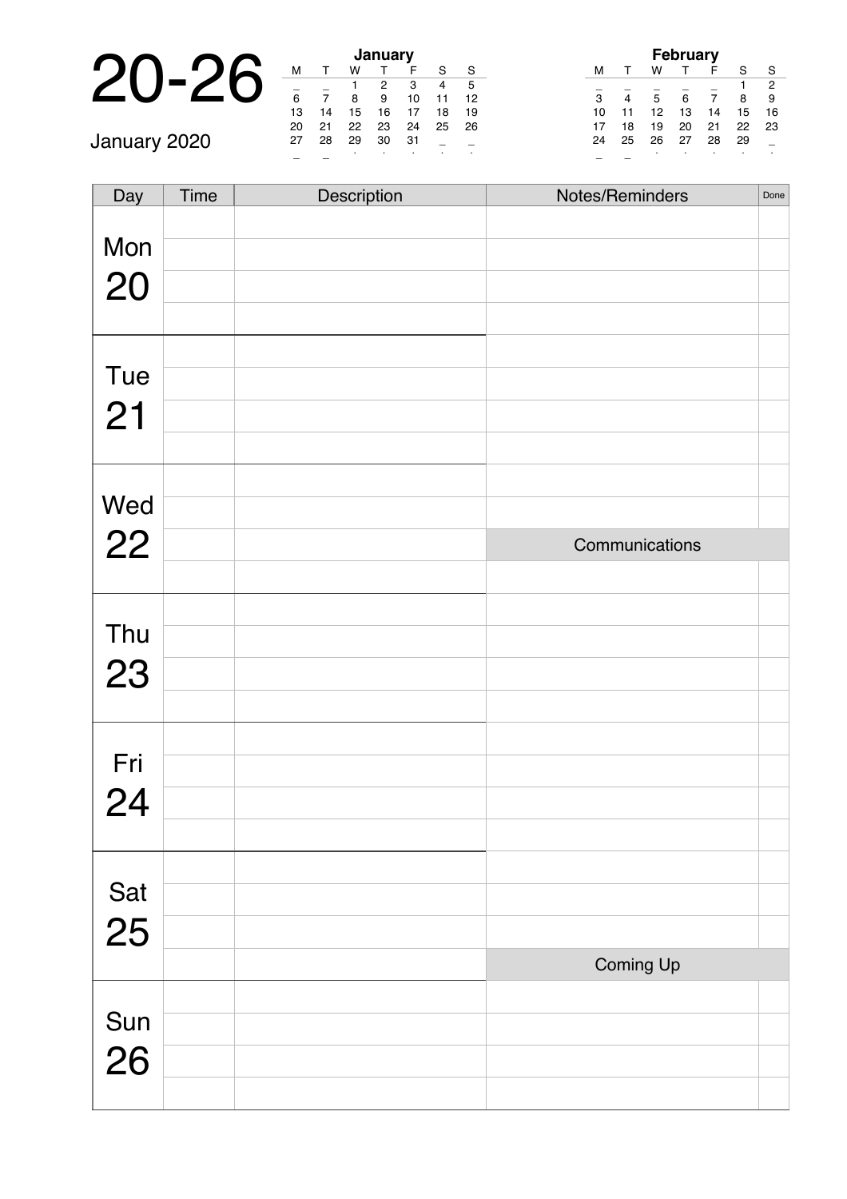|              |    |    |    | January |   |
|--------------|----|----|----|---------|---|
|              | м  |    |    |         |   |
|              |    |    |    |         |   |
|              | 6  |    |    | 9       | 1 |
|              | 13 | 14 | 15 | 16      | 1 |
|              | 20 | 21 | 22 | 23      | 2 |
| January 2020 | 27 | 28 | 29 | 30      | 3 |
|              |    |    |    |         |   |

| January |    |    |    |    |    |    |  |  |  |  |
|---------|----|----|----|----|----|----|--|--|--|--|
| М       |    | w  |    | F  | S  | S  |  |  |  |  |
|         |    |    | 2  | з  |    | 5  |  |  |  |  |
| 6       |    | 8  | 9  | 10 | 11 | 12 |  |  |  |  |
| 13      | 14 | 15 | 16 | 17 | 18 | 19 |  |  |  |  |
| 20      | 21 | 22 | 23 | 24 | 25 | 26 |  |  |  |  |
| 27      | 28 | 29 | 30 | 31 |    |    |  |  |  |  |
|         |    |    |    |    |    | ٠  |  |  |  |  |

| <b>February</b> |    |    |    |    |    |                |  |  |  |  |
|-----------------|----|----|----|----|----|----------------|--|--|--|--|
| м               |    | w  |    | F  | S  | S              |  |  |  |  |
|                 |    |    |    |    |    | $\overline{2}$ |  |  |  |  |
| 3               | 4  | 5  | 6  | 7  | 8  | 9              |  |  |  |  |
| 10              | 11 | 12 | 13 | 14 | 15 | 16             |  |  |  |  |
| 17              | 18 | 19 | 20 | 21 | 22 | 23             |  |  |  |  |
| 24              | 25 | 26 | 27 | 28 | 29 |                |  |  |  |  |
|                 |    |    |    |    |    |                |  |  |  |  |

| Day       | Time | Description | Notes/Reminders | Done |
|-----------|------|-------------|-----------------|------|
|           |      |             |                 |      |
| Mon       |      |             |                 |      |
| 20        |      |             |                 |      |
|           |      |             |                 |      |
|           |      |             |                 |      |
| Tue       |      |             |                 |      |
| 21        |      |             |                 |      |
|           |      |             |                 |      |
|           |      |             |                 |      |
| Wed<br>22 |      |             |                 |      |
|           |      |             | Communications  |      |
|           |      |             |                 |      |
|           |      |             |                 |      |
| Thu       |      |             |                 |      |
| 23        |      |             |                 |      |
|           |      |             |                 |      |
|           |      |             |                 |      |
| Fri       |      |             |                 |      |
| 24        |      |             |                 |      |
|           |      |             |                 |      |
|           |      |             |                 |      |
| Sat<br>25 |      |             |                 |      |
|           |      |             |                 |      |
|           |      |             | Coming Up       |      |
|           |      |             |                 |      |
| Sun       |      |             |                 |      |
| 26        |      |             |                 |      |
|           |      |             |                 |      |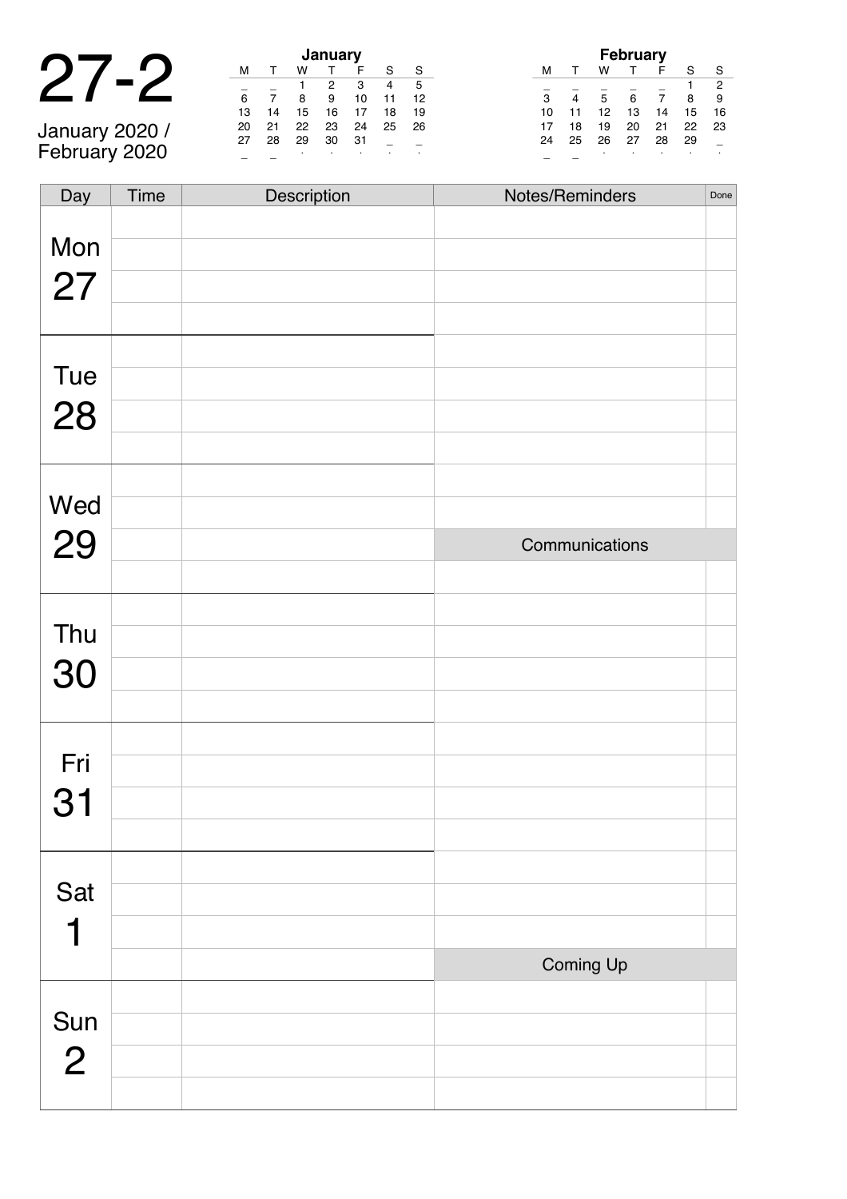#### 27-2 **January**

January 2020 / February 2020

|    | <b>January</b> |    |    |    |    |    |  |  |  |  |  |
|----|----------------|----|----|----|----|----|--|--|--|--|--|
| м  |                | w  |    | F  | S  | S  |  |  |  |  |  |
|    |                |    | 2  | 3  | 4  | 5  |  |  |  |  |  |
| 6  |                | 8  | 9  | 10 | 11 | 12 |  |  |  |  |  |
| 13 | 14             | 15 | 16 | 17 | 18 | 19 |  |  |  |  |  |
| 20 | 21             | 22 | 23 | 24 | 25 | 26 |  |  |  |  |  |
| 27 | 28             | 29 | 30 | 31 |    |    |  |  |  |  |  |
|    |                |    | ٠  |    |    |    |  |  |  |  |  |

| <b>February</b> |    |    |    |    |    |                |  |  |  |  |
|-----------------|----|----|----|----|----|----------------|--|--|--|--|
| м               |    | w  |    | F  | S  | S              |  |  |  |  |
|                 |    |    |    |    | 1  | $\overline{2}$ |  |  |  |  |
| 3               | 4  | 5  | 6  |    | 8  | 9              |  |  |  |  |
| 10              | 11 | 12 | 13 | 14 | 15 | 16             |  |  |  |  |
| 17              | 18 | 19 | 20 | 21 | 22 | 23             |  |  |  |  |
| 24              | 25 | 26 | 27 | 28 | 29 |                |  |  |  |  |
|                 |    | ٠  |    |    |    |                |  |  |  |  |

| Day            | Time | Description | Notes/Reminders | Done |
|----------------|------|-------------|-----------------|------|
|                |      |             |                 |      |
| Mon            |      |             |                 |      |
| 27             |      |             |                 |      |
|                |      |             |                 |      |
|                |      |             |                 |      |
| Tue            |      |             |                 |      |
| 28             |      |             |                 |      |
|                |      |             |                 |      |
| Wed            |      |             |                 |      |
|                |      |             |                 |      |
| 29             |      |             | Communications  |      |
|                |      |             |                 |      |
| Thu            |      |             |                 |      |
| 30             |      |             |                 |      |
|                |      |             |                 |      |
|                |      |             |                 |      |
| Fri            |      |             |                 |      |
| 31             |      |             |                 |      |
|                |      |             |                 |      |
|                |      |             |                 |      |
| Sat            |      |             |                 |      |
| 1              |      |             |                 |      |
|                |      |             | Coming Up       |      |
|                |      |             |                 |      |
| Sun            |      |             |                 |      |
| $\overline{2}$ |      |             |                 |      |
|                |      |             |                 |      |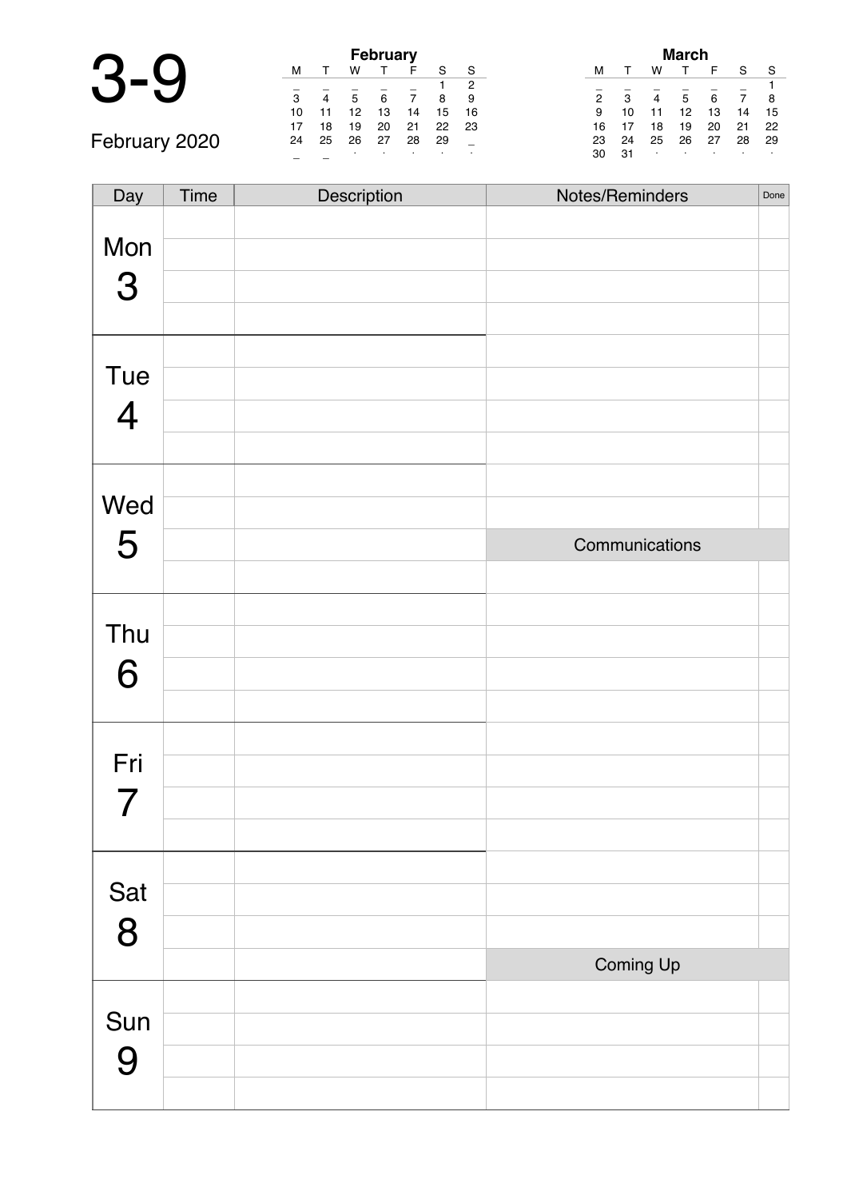|               | <b>February</b> |    |    |    |    |    |    |  |
|---------------|-----------------|----|----|----|----|----|----|--|
|               | м               |    | w  |    |    |    | S  |  |
|               |                 |    |    |    |    |    | 2  |  |
|               | 3               |    | 5  | 6  |    | 8  | 9  |  |
|               | 10              |    | 12 | 13 | 14 | 15 | 16 |  |
|               | 17              | 18 | 19 | 20 | 21 | 22 | 23 |  |
| February 2020 | 24              | 25 | 26 | 27 | 28 | 29 |    |  |
|               |                 |    |    |    |    |    |    |  |

| March          |    |    |    |    |    |    |  |  |  |  |  |
|----------------|----|----|----|----|----|----|--|--|--|--|--|
| м              |    | w  |    | F  | S  | S  |  |  |  |  |  |
|                |    |    |    |    |    |    |  |  |  |  |  |
| $\overline{2}$ | 3  |    | 5  | 6  | 7  | 8  |  |  |  |  |  |
| 9              | 10 | 11 | 12 | 13 | 14 | 15 |  |  |  |  |  |
| 16             | 17 | 18 | 19 | 20 | 21 | 22 |  |  |  |  |  |
| 23             | 24 | 25 | 26 | 27 | 28 | 29 |  |  |  |  |  |
| 30             | 31 | ٠  | ٠  | ٠  |    | ٠  |  |  |  |  |  |

Day Time Description Notes/Reminders Done Mon 3 Tue 4 Wed 5 Communications Thu 6 Fri 7 Sat 8 Coming Up Sun 9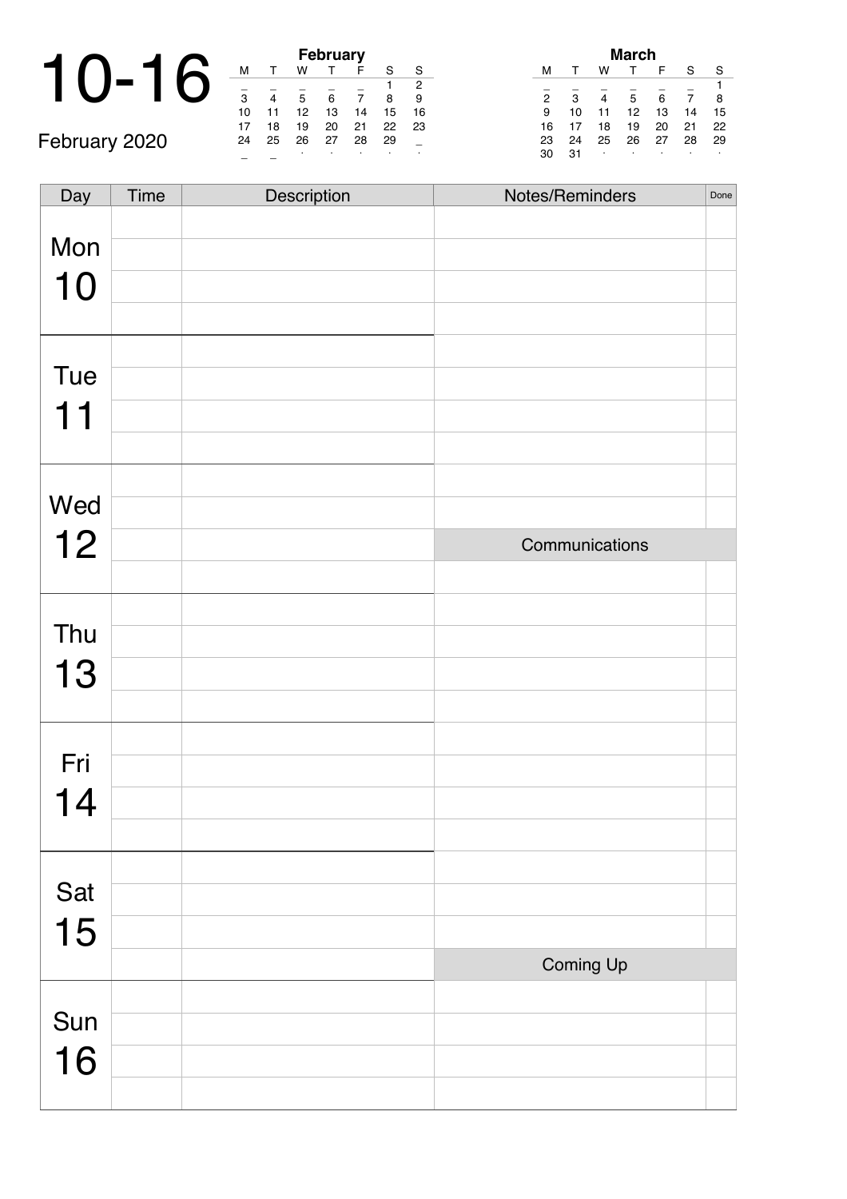#### 10-16 **February** February 2020

| <b>February</b> |    |    |    |    |    |    |  |  |  |  |  |
|-----------------|----|----|----|----|----|----|--|--|--|--|--|
| м               |    | w  |    | F  | S  | S  |  |  |  |  |  |
|                 |    |    |    |    |    | 2  |  |  |  |  |  |
| 3               |    | 5  | 6  |    | 8  | 9  |  |  |  |  |  |
| 10              | 11 | 12 | 13 | 14 | 15 | 16 |  |  |  |  |  |
| 17              | 18 | 19 | 20 | 21 | 22 | 23 |  |  |  |  |  |
| 24              | 25 | 26 | 27 | 28 | 29 |    |  |  |  |  |  |
|                 |    |    |    |    |    |    |  |  |  |  |  |

| March          |    |    |    |    |    |    |  |  |  |  |
|----------------|----|----|----|----|----|----|--|--|--|--|
| м              |    | w  |    | F  | S  | S  |  |  |  |  |
|                |    |    |    |    |    |    |  |  |  |  |
| $\overline{2}$ | 3  | 4  | 5  | 6  | 7  | 8  |  |  |  |  |
| 9              | 10 | 11 | 12 | 13 | 14 | 15 |  |  |  |  |
| 16             | 17 | 18 | 19 | 20 | 21 | 22 |  |  |  |  |
| 23             | 24 | 25 | 26 | 27 | 28 | 29 |  |  |  |  |
| 30             | 31 | ٠  |    |    | ٠  | ٠  |  |  |  |  |

| Day | Time | Description | Notes/Reminders | Done |
|-----|------|-------------|-----------------|------|
|     |      |             |                 |      |
| Mon |      |             |                 |      |
| 10  |      |             |                 |      |
|     |      |             |                 |      |
|     |      |             |                 |      |
| Tue |      |             |                 |      |
| 11  |      |             |                 |      |
|     |      |             |                 |      |
| Wed |      |             |                 |      |
|     |      |             |                 |      |
| 12  |      |             | Communications  |      |
|     |      |             |                 |      |
|     |      |             |                 |      |
| Thu |      |             |                 |      |
| 13  |      |             |                 |      |
|     |      |             |                 |      |
|     |      |             |                 |      |
| Fri |      |             |                 |      |
| 14  |      |             |                 |      |
|     |      |             |                 |      |
|     |      |             |                 |      |
| Sat |      |             |                 |      |
| 15  |      |             |                 |      |
|     |      |             | Coming Up       |      |
| Sun |      |             |                 |      |
|     |      |             |                 |      |
| 16  |      |             |                 |      |
|     |      |             |                 |      |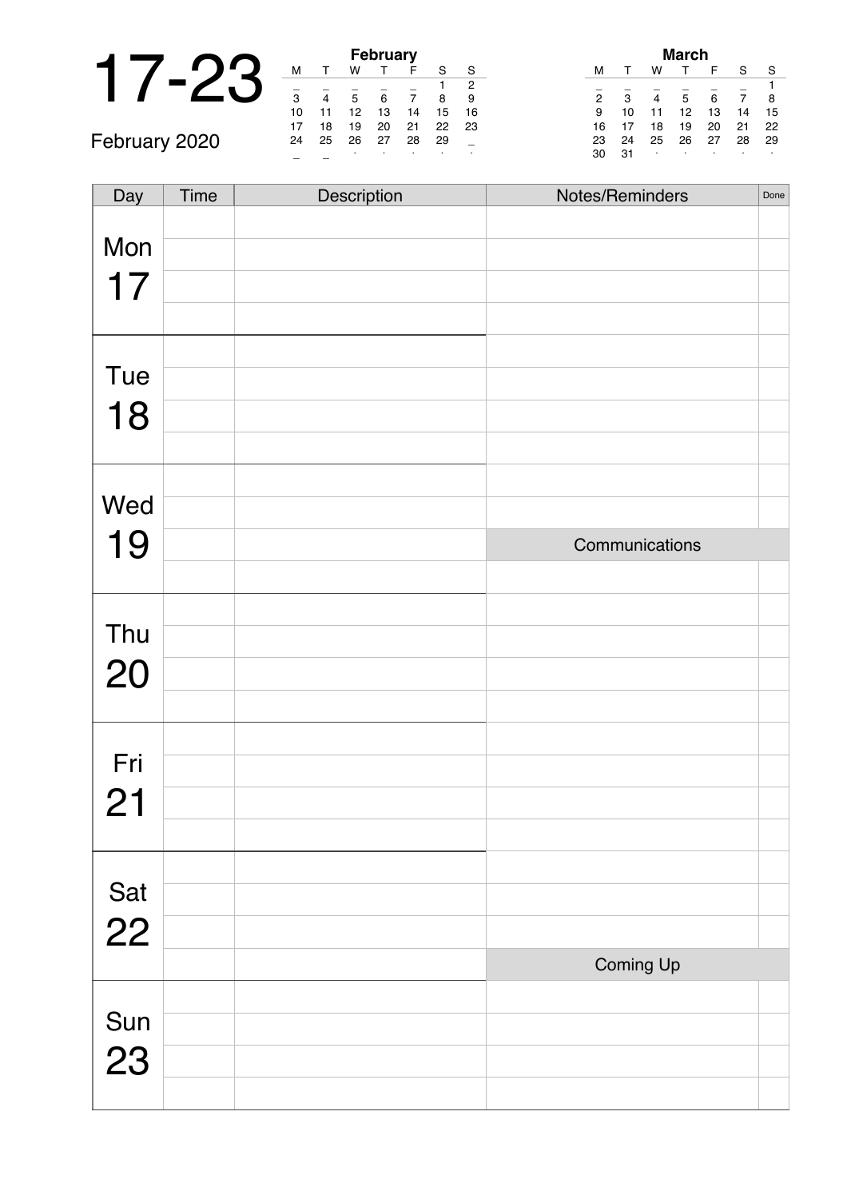|               |    |    |    | <b>February</b> |    |
|---------------|----|----|----|-----------------|----|
|               |    |    | w  |                 | F  |
|               | 3  |    | 5  |                 |    |
|               | 10 | 11 | 12 | 13              | 14 |
|               | 17 | 18 | 19 | 20              | 21 |
| February 2020 | 24 | 25 | 26 | 27              | 28 |
|               |    |    |    |                 |    |

|    | <b>February</b> |    |    |    |    |    |  |
|----|-----------------|----|----|----|----|----|--|
| м  | т               | w  |    | F  | S  | S  |  |
|    |                 |    |    |    |    | 2  |  |
| 3  | 4               | 5  | 6  | 7  | 8  | 9  |  |
| 10 | 11              | 12 | 13 | 14 | 15 | 16 |  |
| 17 | 18              | 19 | 20 | 21 | 22 | 23 |  |
| 24 | 25              | 26 | 27 | 28 | 29 |    |  |
|    |                 |    |    |    |    | ٠  |  |

|                | March |    |    |    |    |    |  |
|----------------|-------|----|----|----|----|----|--|
| м              |       | w  |    | F  | S  | S  |  |
|                |       |    |    |    |    | 1  |  |
| $\overline{2}$ | 3     |    | 5  | 6  |    | 8  |  |
| 9              | 10    | 11 | 12 | 13 | 14 | 15 |  |
| 16             | 17    | 18 | 19 | 20 | 21 | 22 |  |
| 23             | 24    | 25 | 26 | 27 | 28 | 29 |  |
| 30             | 31    | ٠  |    | ٠  |    | ٠  |  |

| Day       | Time | Description | Notes/Reminders | Done |
|-----------|------|-------------|-----------------|------|
|           |      |             |                 |      |
| Mon       |      |             |                 |      |
| 17        |      |             |                 |      |
|           |      |             |                 |      |
|           |      |             |                 |      |
|           |      |             |                 |      |
| Tue       |      |             |                 |      |
| 18        |      |             |                 |      |
|           |      |             |                 |      |
|           |      |             |                 |      |
|           |      |             |                 |      |
| Wed       |      |             |                 |      |
| 19        |      |             | Communications  |      |
|           |      |             |                 |      |
|           |      |             |                 |      |
| Thu       |      |             |                 |      |
|           |      |             |                 |      |
| 20        |      |             |                 |      |
|           |      |             |                 |      |
|           |      |             |                 |      |
| Fri       |      |             |                 |      |
| 21        |      |             |                 |      |
|           |      |             |                 |      |
|           |      |             |                 |      |
|           |      |             |                 |      |
| Sat<br>22 |      |             |                 |      |
|           |      |             |                 |      |
|           |      |             | Coming Up       |      |
|           |      |             |                 |      |
| Sun       |      |             |                 |      |
|           |      |             |                 |      |
| 23        |      |             |                 |      |
|           |      |             |                 |      |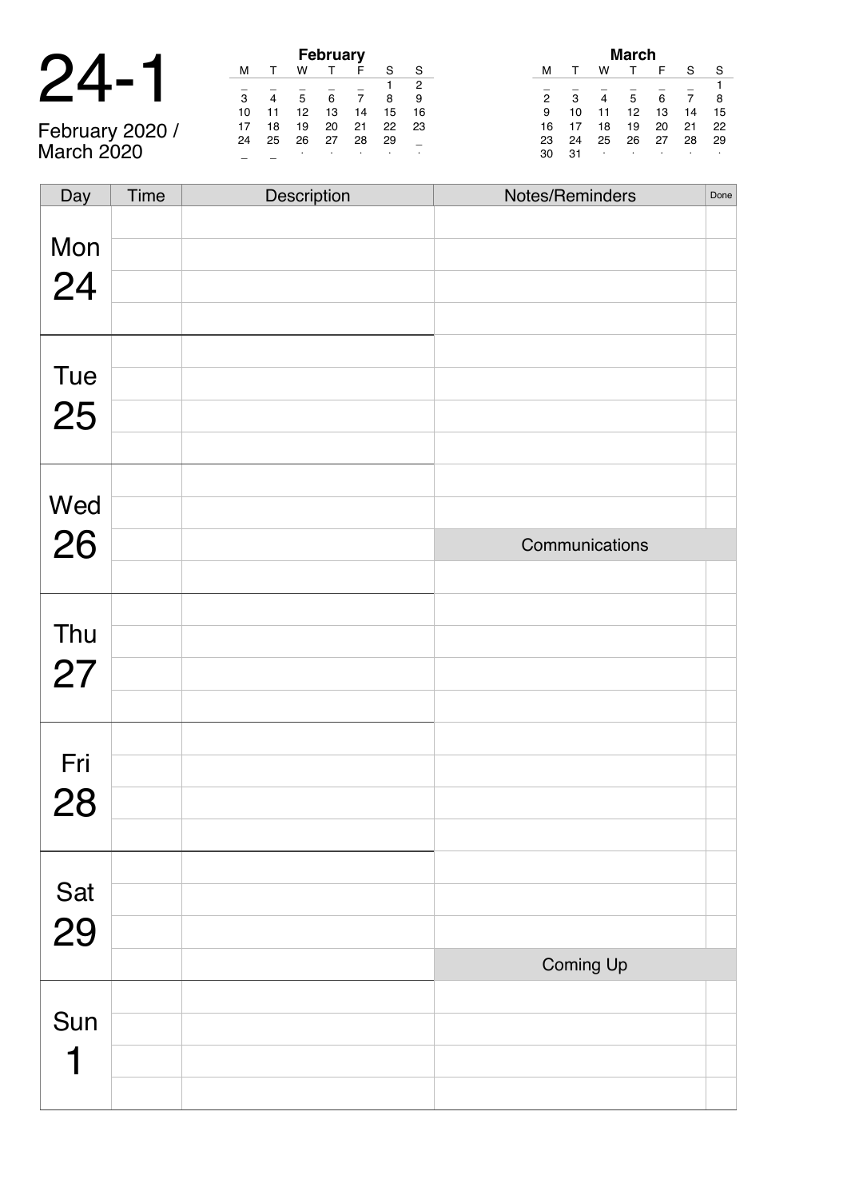| J.<br>$\boldsymbol{\mathcal{L}}$ | ≺ |
|----------------------------------|---|
|----------------------------------|---|

February 2020 / March 2020

|                          |    |    |    | <b>February</b> |    |    |    |
|--------------------------|----|----|----|-----------------|----|----|----|
|                          | м  |    | w  |                 | F  |    |    |
| $\overline{\phantom{a}}$ |    |    |    |                 |    |    | 2  |
|                          | З  |    | 5  | 6               |    |    |    |
|                          | 10 |    | 12 | 13              | 14 | 15 | 16 |
|                          |    | 18 | 19 | 20              | 21 | 22 | 23 |
| February 2020 /          | 24 | 25 | 26 | 27              | 28 | 29 |    |
| <b>March 2020</b>        |    |    |    |                 |    |    |    |

| March          |    |    |    |    |    |    |
|----------------|----|----|----|----|----|----|
| м              |    | w  |    | F  | S  | S  |
|                |    |    |    |    |    |    |
| $\overline{2}$ | 3  | 4  | 5  | 6  | 7  | 8  |
| 9              | 10 | 11 | 12 | 13 | 14 | 15 |
| 16             | 17 | 18 | 19 | 20 | 21 | 22 |
| 23             | 24 | 25 | 26 | 27 | 28 | 29 |
| 30             | 31 | ٠  |    | ٠  | ٠  | ٠  |

| Day       | <b>Time</b> | Description | Notes/Reminders | Done |
|-----------|-------------|-------------|-----------------|------|
| Mon       |             |             |                 |      |
| 24        |             |             |                 |      |
|           |             |             |                 |      |
|           |             |             |                 |      |
| Tue       |             |             |                 |      |
| 25        |             |             |                 |      |
|           |             |             |                 |      |
| Wed       |             |             |                 |      |
| 26        |             |             |                 |      |
|           |             |             | Communications  |      |
|           |             |             |                 |      |
| Thu       |             |             |                 |      |
| 27        |             |             |                 |      |
|           |             |             |                 |      |
|           |             |             |                 |      |
| Fri       |             |             |                 |      |
| 28        |             |             |                 |      |
|           |             |             |                 |      |
|           |             |             |                 |      |
| Sat<br>29 |             |             |                 |      |
|           |             |             |                 |      |
|           |             |             | Coming Up       |      |
| Sun       |             |             |                 |      |
|           |             |             |                 |      |
|           |             |             |                 |      |
|           |             |             |                 |      |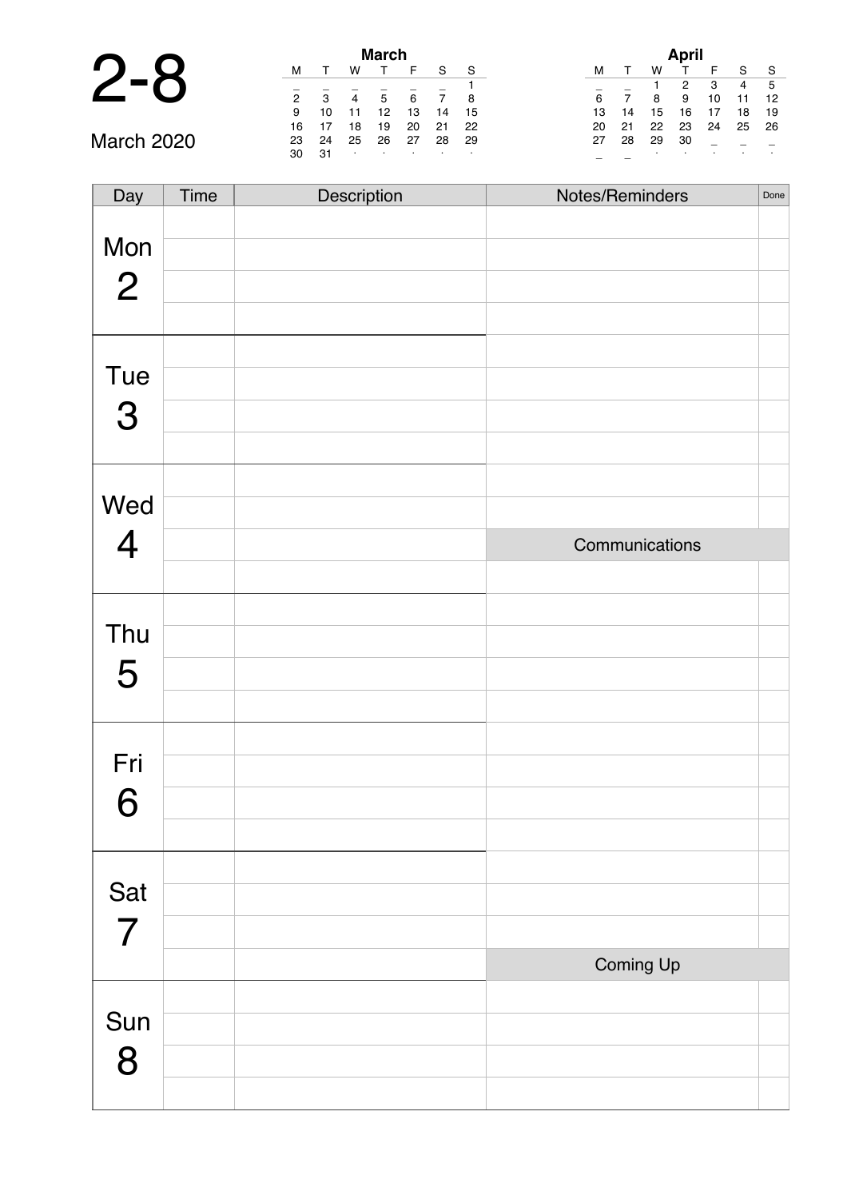|                   |    |    |    | <b>March</b> |    |    |    |  |
|-------------------|----|----|----|--------------|----|----|----|--|
|                   | м  |    | w  |              | F  | S  | S  |  |
|                   |    |    |    |              |    |    |    |  |
|                   | 2  | з  | 4  | 5            | 6  |    | 8  |  |
|                   | 9  | 10 | 11 | 12           | 13 | 14 | 15 |  |
|                   | 16 | 17 | 18 | 19           | 20 | 21 | 22 |  |
| <b>March 2020</b> | 23 | 24 | 25 | 26           | 27 | 28 | 29 |  |
|                   | 30 | 31 | ٠  | ٠            |    | ٠  |    |  |

| April |    |    |    |    |    |    |
|-------|----|----|----|----|----|----|
| м     |    | w  |    | F  | S  | S  |
|       |    | 1  | 2  | 3  | 4  | 5  |
| 6     | 7  | 8  | 9  | 10 | 11 | 12 |
| 13    | 14 | 15 | 16 | 17 | 18 | 19 |
| 20    | 21 | 22 | 23 | 24 | 25 | 26 |
| 27    | 28 | 29 | 30 |    |    |    |
|       |    | ٠  |    |    |    |    |

March 2020

| Day            | Time | Description | Notes/Reminders<br>Done |
|----------------|------|-------------|-------------------------|
|                |      |             |                         |
| Mon            |      |             |                         |
| $\overline{2}$ |      |             |                         |
|                |      |             |                         |
|                |      |             |                         |
| Tue            |      |             |                         |
| 3              |      |             |                         |
|                |      |             |                         |
|                |      |             |                         |
| Wed            |      |             |                         |
| $\overline{4}$ |      |             | Communications          |
|                |      |             |                         |
|                |      |             |                         |
| Thu            |      |             |                         |
| 5              |      |             |                         |
|                |      |             |                         |
|                |      |             |                         |
| Fri            |      |             |                         |
| 6              |      |             |                         |
|                |      |             |                         |
|                |      |             |                         |
| Sat            |      |             |                         |
| $\overline{7}$ |      |             |                         |
|                |      |             | Coming Up               |
|                |      |             |                         |
| Sun            |      |             |                         |
| 8              |      |             |                         |
|                |      |             |                         |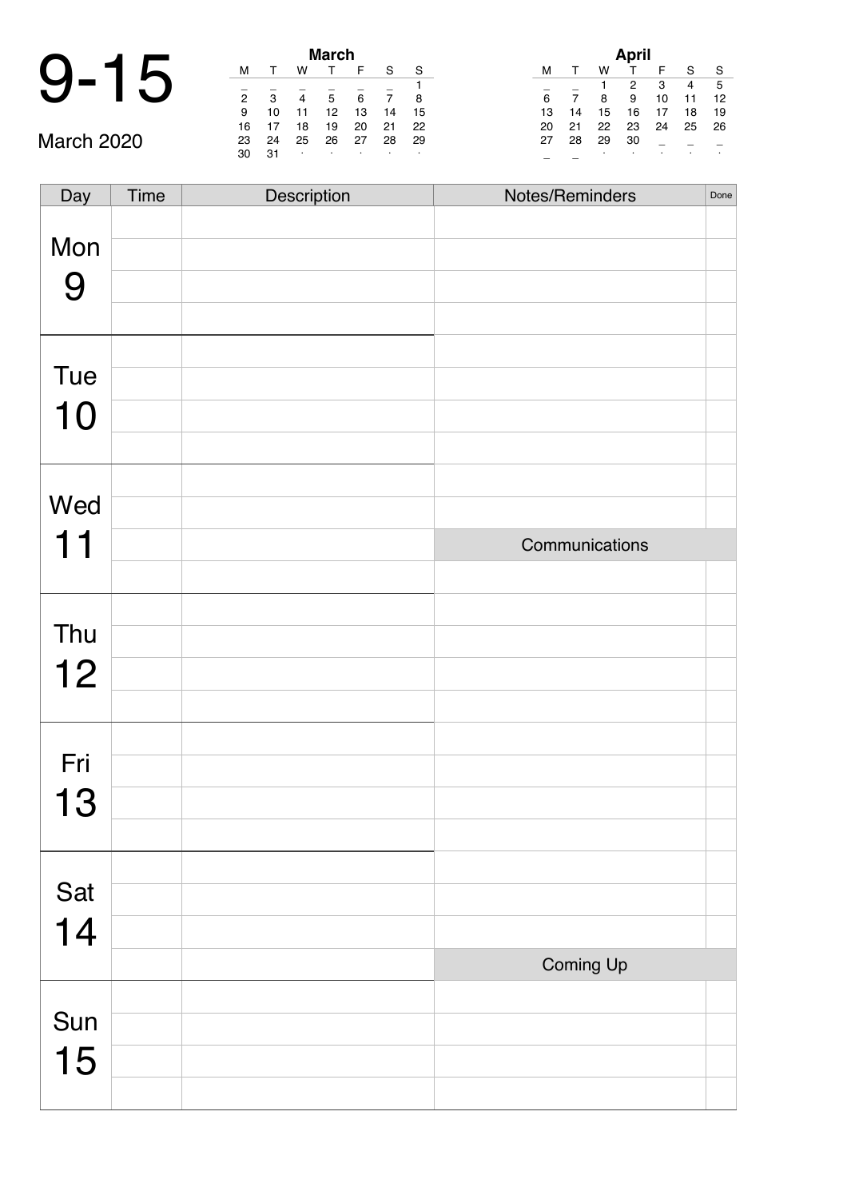# 9-15 **March**

March 2020

| March |    |    |    |    |    |    |  |  |  |
|-------|----|----|----|----|----|----|--|--|--|
| м     |    | w  |    | F  | S  | S  |  |  |  |
|       |    |    |    |    |    | 1  |  |  |  |
| 2     | 3  | 4  | 5  | 6  |    | 8  |  |  |  |
| 9     | 10 | 11 | 12 | 13 | 14 | 15 |  |  |  |
| 16    | 17 | 18 | 19 | 20 | 21 | 22 |  |  |  |
| 23    | 24 | 25 | 26 | 27 | 28 | 29 |  |  |  |
| 30    | 31 | ٠  | ٠  | ٠  | ٠  | ٠  |  |  |  |

| April |    |    |    |    |    |    |  |  |  |
|-------|----|----|----|----|----|----|--|--|--|
| м     | т  | w  | т  | F  | S  | S  |  |  |  |
|       |    | 1  | 2  | 3  | 4  | 5  |  |  |  |
| 6     | 7  | 8  | 9  | 10 | 11 | 12 |  |  |  |
| 13    | 14 | 15 | 16 | 17 | 18 | 19 |  |  |  |
| 20    | 21 | 22 | 23 | 24 | 25 | 26 |  |  |  |
| 27    | 28 | 29 | 30 |    |    |    |  |  |  |
|       |    | ٠  |    |    |    | ٠  |  |  |  |

| Day | Time | Description | Notes/Reminders | Done |
|-----|------|-------------|-----------------|------|
| Mon |      |             |                 |      |
|     |      |             |                 |      |
| 9   |      |             |                 |      |
|     |      |             |                 |      |
| Tue |      |             |                 |      |
|     |      |             |                 |      |
| 10  |      |             |                 |      |
|     |      |             |                 |      |
| Wed |      |             |                 |      |
|     |      |             |                 |      |
| 11  |      |             | Communications  |      |
|     |      |             |                 |      |
|     |      |             |                 |      |
| Thu |      |             |                 |      |
| 12  |      |             |                 |      |
|     |      |             |                 |      |
| Fri |      |             |                 |      |
|     |      |             |                 |      |
| 13  |      |             |                 |      |
|     |      |             |                 |      |
| Sat |      |             |                 |      |
|     |      |             |                 |      |
| 14  |      |             |                 |      |
|     |      |             | Coming Up       |      |
|     |      |             |                 |      |
| Sun |      |             |                 |      |
| 15  |      |             |                 |      |
|     |      |             |                 |      |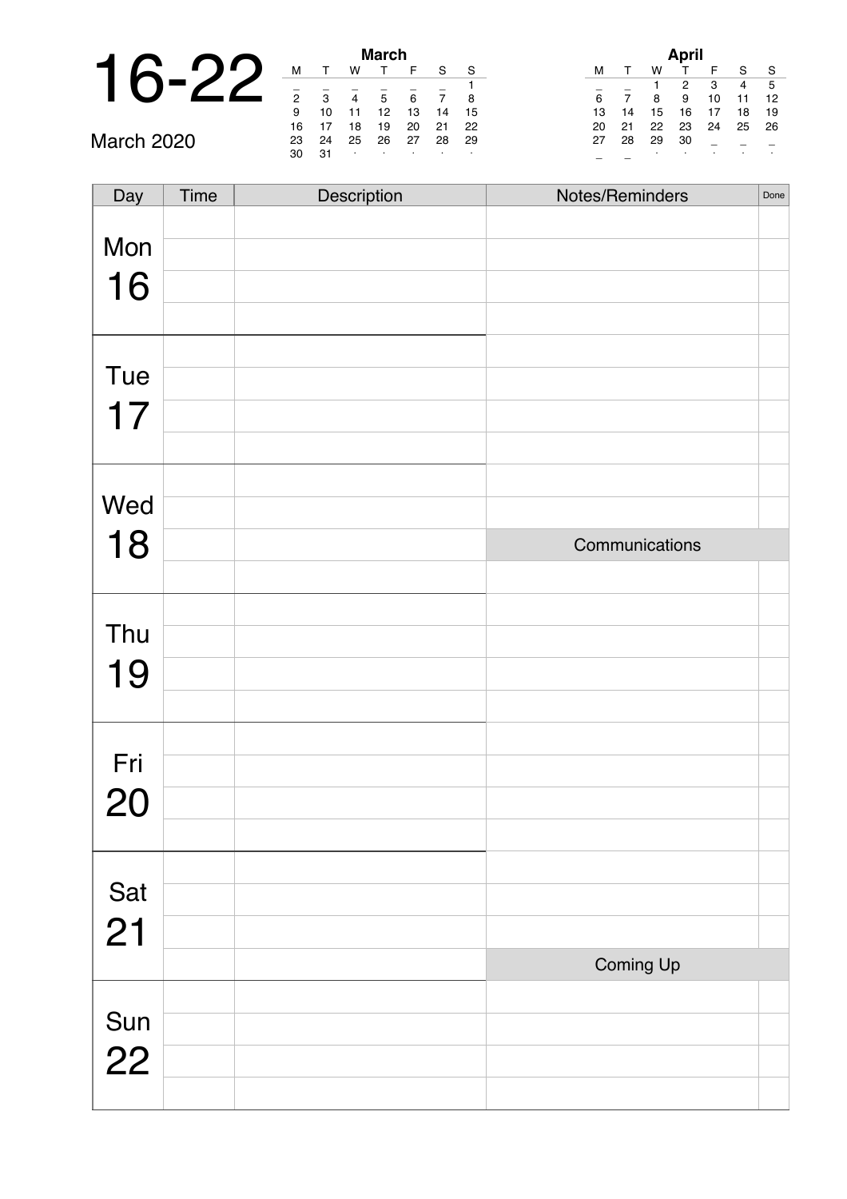|                   |        |               |    | <b>March</b> |  |
|-------------------|--------|---------------|----|--------------|--|
|                   | м      |               | w  |              |  |
|                   | 2      | 3             |    | 5            |  |
|                   | 9      | 10            |    | 12           |  |
|                   | 16     | 17            | 18 | 19           |  |
| <b>March 2020</b> | 23     | 24            | 25 | 26           |  |
|                   | $\sim$ | $\sim$ $\sim$ |    |              |  |

| March          |    |    |    |    |    |    |  |  |  |
|----------------|----|----|----|----|----|----|--|--|--|
| м              |    | w  | т  | F  | S  | S  |  |  |  |
|                |    |    |    |    |    |    |  |  |  |
| $\overline{2}$ | 3  | 4  | 5  | 6  |    | 8  |  |  |  |
| 9              | 10 | 11 | 12 | 13 | 14 | 15 |  |  |  |
| 16             | 17 | 18 | 19 | 20 | 21 | 22 |  |  |  |
| 23             | 24 | 25 | 26 | 27 | 28 | 29 |  |  |  |
| 30             | 31 | ٠  |    | ٠  | ٠  |    |  |  |  |

| April |    |    |    |    |    |    |  |  |  |
|-------|----|----|----|----|----|----|--|--|--|
| м     |    | w  |    | F  | S  | S  |  |  |  |
|       |    |    | 2  | 3  | 4  | 5  |  |  |  |
| 6     | 7  | 8  | 9  | 10 | 11 | 12 |  |  |  |
| 13    | 14 | 15 | 16 | 17 | 18 | 19 |  |  |  |
| 20    | 21 | 22 | 23 | 24 | 25 | 26 |  |  |  |
| 27    | 28 | 29 | 30 |    |    |    |  |  |  |
|       |    | ٠  | ٠  |    |    |    |  |  |  |

| Day         | Time | Description | Notes/Reminders | Done |
|-------------|------|-------------|-----------------|------|
|             |      |             |                 |      |
| Mon         |      |             |                 |      |
| 16          |      |             |                 |      |
|             |      |             |                 |      |
|             |      |             |                 |      |
| Tue         |      |             |                 |      |
|             |      |             |                 |      |
| 17          |      |             |                 |      |
|             |      |             |                 |      |
|             |      |             |                 |      |
| Wed         |      |             |                 |      |
| 18          |      |             | Communications  |      |
|             |      |             |                 |      |
|             |      |             |                 |      |
| Thu         |      |             |                 |      |
|             |      |             |                 |      |
| 19          |      |             |                 |      |
|             |      |             |                 |      |
|             |      |             |                 |      |
| Fri         |      |             |                 |      |
| 20          |      |             |                 |      |
|             |      |             |                 |      |
|             |      |             |                 |      |
| Sat         |      |             |                 |      |
|             |      |             |                 |      |
| 21          |      |             |                 |      |
|             |      |             | Coming Up       |      |
|             |      |             |                 |      |
| Sun<br>$22$ |      |             |                 |      |
|             |      |             |                 |      |
|             |      |             |                 |      |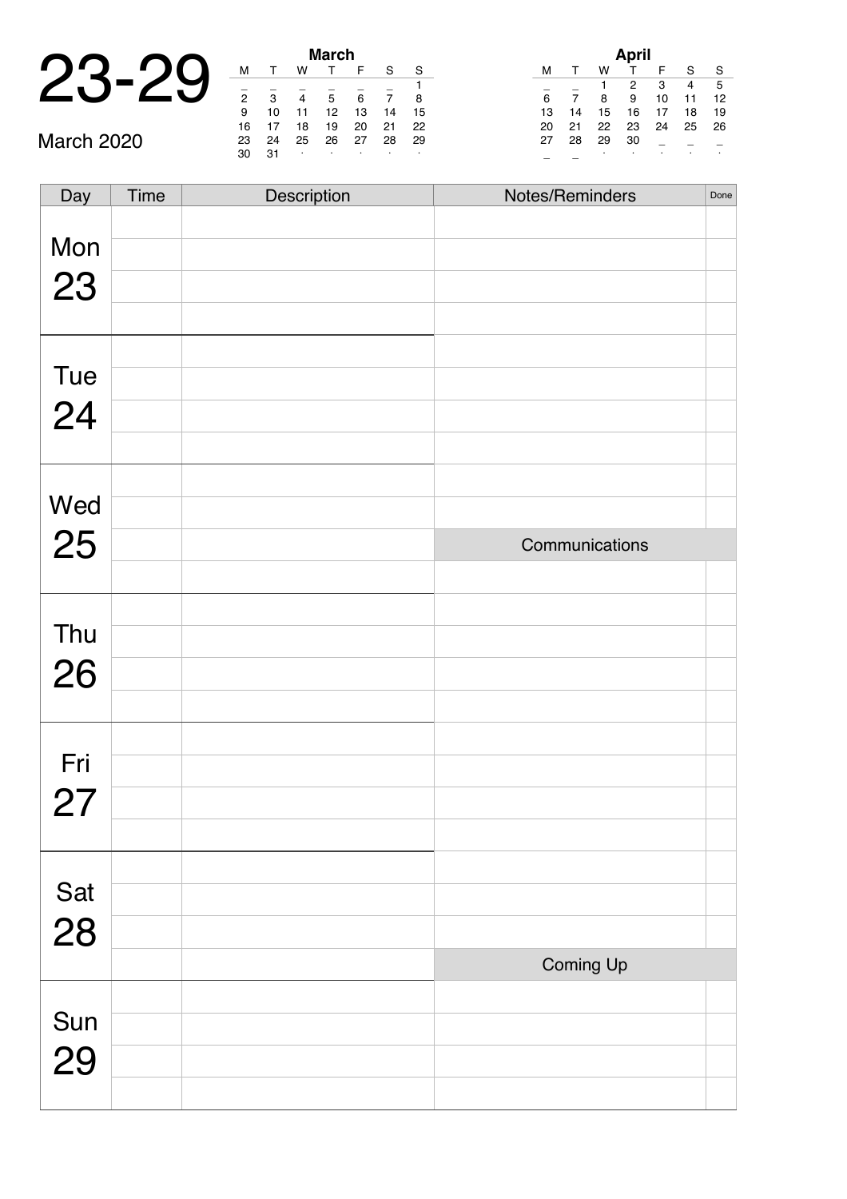## 23-29 **March**

March 2020

| <b>March</b>   |    |    |    |    |    |    |  |  |  |
|----------------|----|----|----|----|----|----|--|--|--|
| м              |    | w  |    | F  | S  | S  |  |  |  |
|                |    |    |    |    |    | 1  |  |  |  |
| $\overline{2}$ | 3  | 4  | 5  | 6  |    | 8  |  |  |  |
| 9              | 10 | 11 | 12 | 13 | 14 | 15 |  |  |  |
| 16             | 17 | 18 | 19 | 20 | 21 | 22 |  |  |  |
| 23             | 24 | 25 | 26 | 27 | 28 | 29 |  |  |  |
| 30             | 31 | ٠  | ٠  |    |    |    |  |  |  |

| April |    |    |    |    |    |    |  |  |  |
|-------|----|----|----|----|----|----|--|--|--|
| м     |    | w  |    | F  | S  | S  |  |  |  |
|       |    | 1  | 2  | 3  | 4  | 5  |  |  |  |
| 6     | 7  | 8  | 9  | 10 | 11 | 12 |  |  |  |
| 13    | 14 | 15 | 16 | 17 | 18 | 19 |  |  |  |
| 20    | 21 | 22 | 23 | 24 | 25 | 26 |  |  |  |
| 27    | 28 | 29 | 30 |    |    |    |  |  |  |
|       |    | ٠  | ٠  |    |    | ٠  |  |  |  |

| Day       | Time | Description | Notes/Reminders | Done |
|-----------|------|-------------|-----------------|------|
|           |      |             |                 |      |
| Mon       |      |             |                 |      |
| 23        |      |             |                 |      |
|           |      |             |                 |      |
|           |      |             |                 |      |
| Tue       |      |             |                 |      |
| 24        |      |             |                 |      |
|           |      |             |                 |      |
| Wed       |      |             |                 |      |
|           |      |             |                 |      |
| 25        |      |             | Communications  |      |
|           |      |             |                 |      |
| Thu       |      |             |                 |      |
|           |      |             |                 |      |
| 26        |      |             |                 |      |
|           |      |             |                 |      |
| Fri       |      |             |                 |      |
| 27        |      |             |                 |      |
|           |      |             |                 |      |
|           |      |             |                 |      |
|           |      |             |                 |      |
| Sat<br>28 |      |             |                 |      |
|           |      |             | Coming Up       |      |
|           |      |             |                 |      |
| Sun<br>29 |      |             |                 |      |
|           |      |             |                 |      |
|           |      |             |                 |      |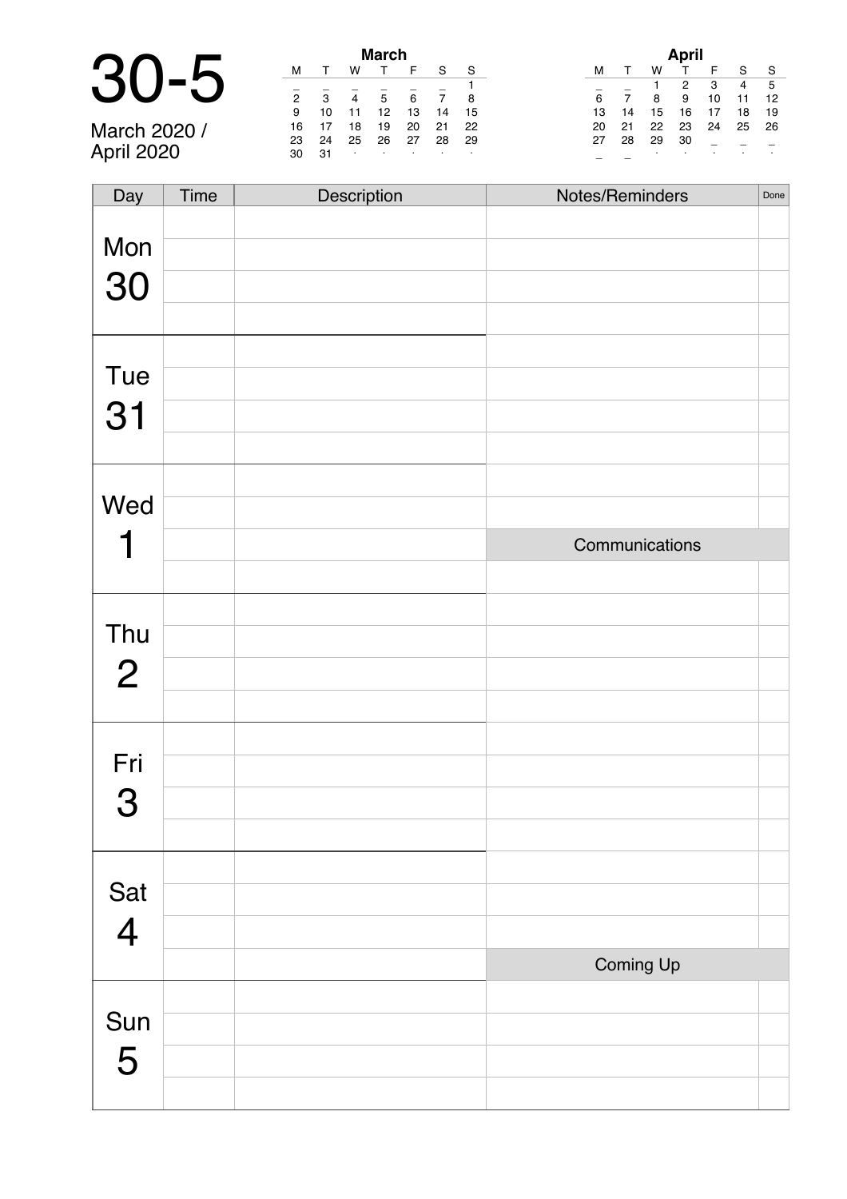|             |    |    |    | <b>March</b> |  |
|-------------|----|----|----|--------------|--|
|             |    |    |    |              |  |
| 30-         | っ  | ء  |    |              |  |
|             |    |    |    |              |  |
|             | 9  | 10 |    | 12           |  |
| . .<br>^^^^ | 16 |    | 19 | 10           |  |

March 2020 / April 2020

| March          |    |    |    |    |    |    |  |  |  |
|----------------|----|----|----|----|----|----|--|--|--|
| м              |    | w  | т  | F  | S  | S  |  |  |  |
|                |    |    |    |    |    |    |  |  |  |
| $\overline{2}$ | 3  |    | 5  | 6  |    | 8  |  |  |  |
| 9              | 10 | 11 | 12 | 13 | 14 | 15 |  |  |  |
| 16             | 17 | 18 | 19 | 20 | 21 | 22 |  |  |  |
| 23             | 24 | 25 | 26 | 27 | 28 | 29 |  |  |  |
| 30             | 31 | ٠  | ٠  | ٠  | ٠  | ٠  |  |  |  |

|    |    |    | April |    |    |    |
|----|----|----|-------|----|----|----|
| м  |    | w  |       | F  | S  | S  |
|    |    | 1  | 2     | 3  | 4  | 5  |
| 6  |    | 8  | 9     | 10 | 11 | 12 |
| 13 | 14 | 15 | 16    | 17 | 18 | 19 |
| 20 | 21 | 22 | 23    | 24 | 25 | 26 |
| 27 | 28 | 29 | 30    |    |    |    |
|    |    |    | ٠     |    |    |    |

| Day            | Time | Description | Notes/Reminders | Done |
|----------------|------|-------------|-----------------|------|
|                |      |             |                 |      |
| Mon            |      |             |                 |      |
| 30             |      |             |                 |      |
|                |      |             |                 |      |
|                |      |             |                 |      |
| Tue            |      |             |                 |      |
| 31             |      |             |                 |      |
|                |      |             |                 |      |
|                |      |             |                 |      |
| Wed            |      |             |                 |      |
|                |      |             | Communications  |      |
|                |      |             |                 |      |
|                |      |             |                 |      |
| Thu            |      |             |                 |      |
| $\overline{2}$ |      |             |                 |      |
|                |      |             |                 |      |
|                |      |             |                 |      |
| Fri            |      |             |                 |      |
| 3              |      |             |                 |      |
|                |      |             |                 |      |
|                |      |             |                 |      |
| Sat            |      |             |                 |      |
| $\overline{4}$ |      |             |                 |      |
|                |      |             | Coming Up       |      |
|                |      |             |                 |      |
| Sun            |      |             |                 |      |
| 5              |      |             |                 |      |
|                |      |             |                 |      |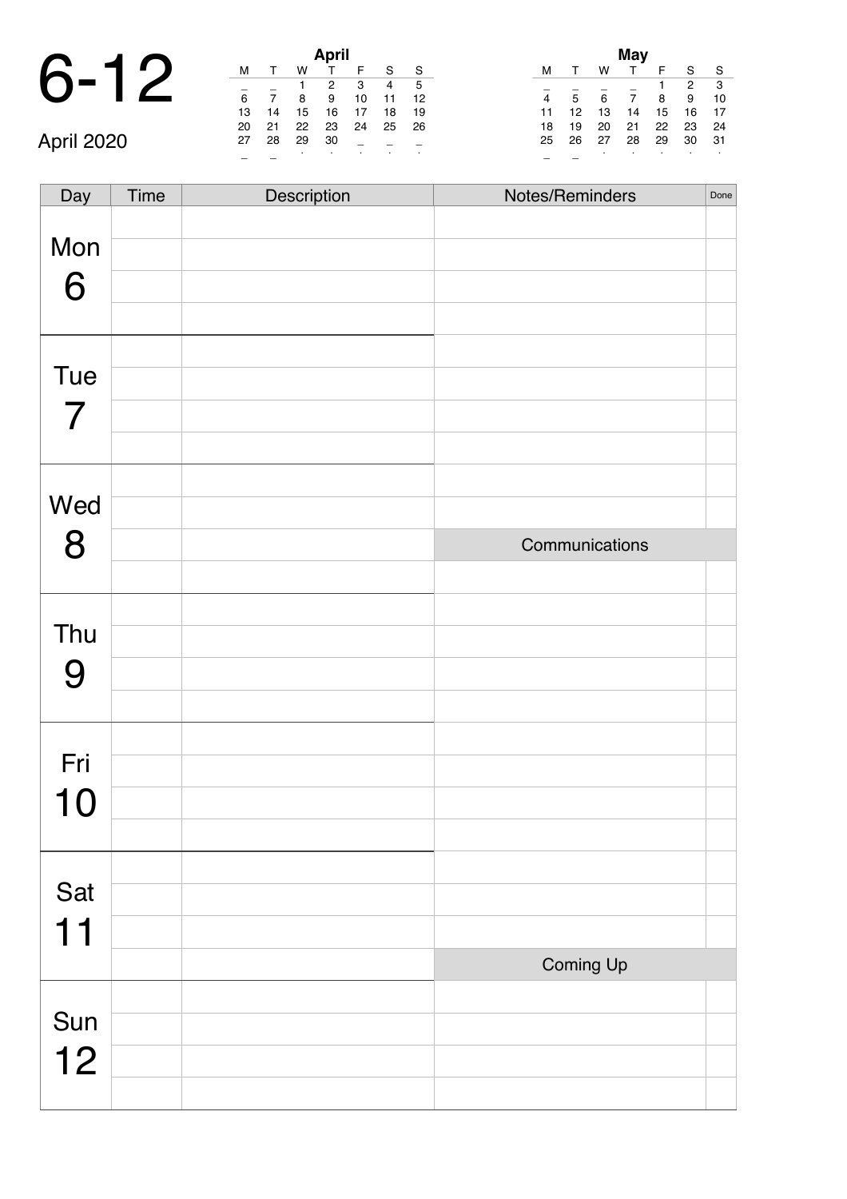# 6-12 **April**

April 2020

|    |    |    | April        |    |    |    |
|----|----|----|--------------|----|----|----|
| м  |    | w  | $\mathsf{T}$ | F  | S  | S  |
|    |    | 1  | 2            | 3  | 4  | 5  |
| 6  |    | 8  | 9            | 10 | 11 | 12 |
| 13 | 14 | 15 | 16           | 17 | 18 | 19 |
| 20 | 21 | 22 | 23           | 24 | 25 | 26 |
| 27 | 28 | 29 | 30           |    |    |    |
|    |    |    |              | ٠  | ٠  |    |

| May |    |    |    |    |    |    |  |
|-----|----|----|----|----|----|----|--|
| м   |    | w  |    | F  | S  | S  |  |
|     |    |    |    | 1  | 2  | 3  |  |
|     | 5  | 6  | 7  | 8  | 9  | 10 |  |
| 11  | 12 | 13 | 14 | 15 | 16 | 17 |  |
| 18  | 19 | 20 | 21 | 22 | 23 | 24 |  |
| 25  | 26 | 27 | 28 | 29 | 30 | 31 |  |
|     |    | ٠  |    | ٠  | ٠  | ٠  |  |

Day Time Description Notes/Reminders Done Mon 6 Tue 7 Wed 8 Communications Thu 9 Fri 10 Sat 11 Coming Up Sun 12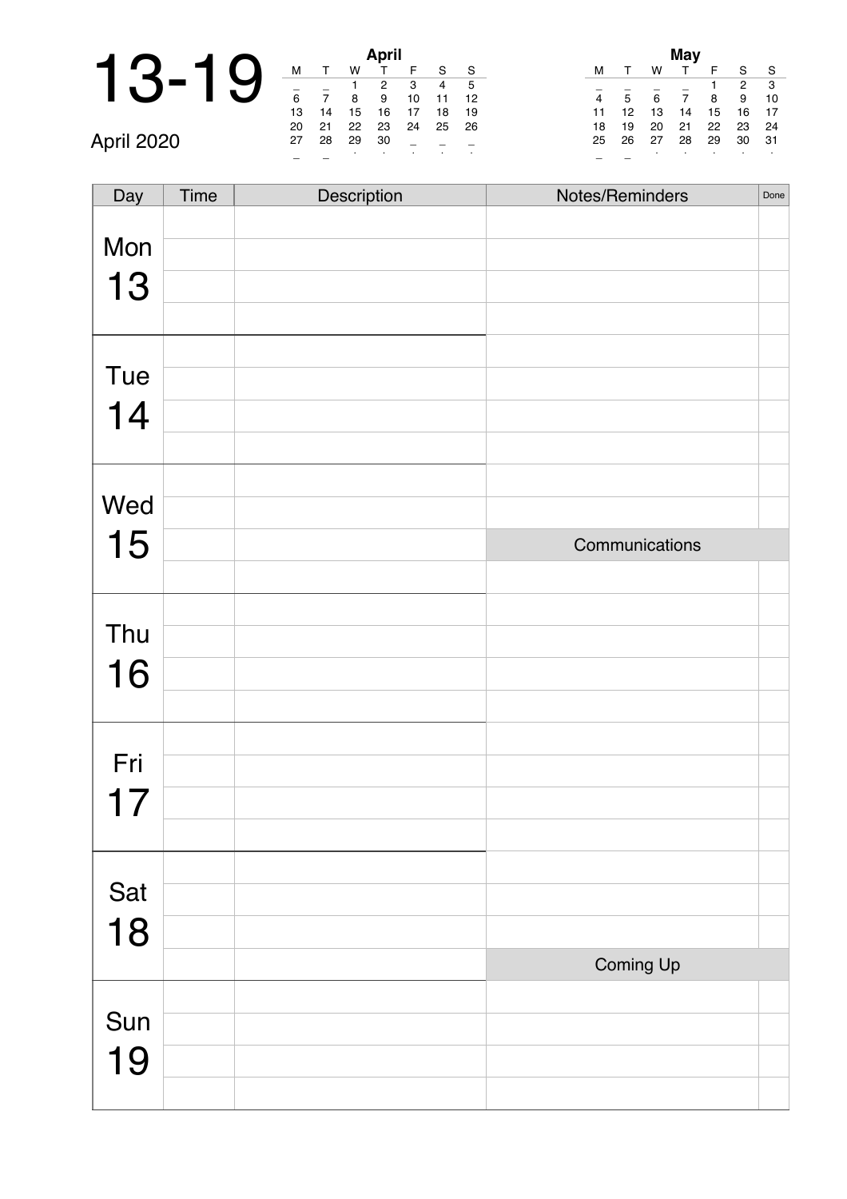# 13-19

|    | April |    |    |    |    |    |  |
|----|-------|----|----|----|----|----|--|
| м  |       | w  |    | F  | S  | S  |  |
|    |       |    | 2  | 3  |    | 5  |  |
| 6  |       | 8  | 9  | 10 | 11 | 12 |  |
| 13 | 14    | 15 | 16 | 17 | 18 | 19 |  |
| 20 | 21    | 22 | 23 | 24 | 25 | 26 |  |
| 27 | 28    | 29 | 30 |    |    |    |  |
|    |       |    |    |    |    |    |  |

|    |    |    | <b>May</b> |    |    |    |
|----|----|----|------------|----|----|----|
| м  |    | w  |            | F  | S  | S  |
|    |    |    |            |    | 2  | 3  |
| 4  | 5  | 6  | 7          | 8  | 9  | 10 |
| 11 | 12 | 13 | 14         | 15 | 16 | 17 |
| 18 | 19 | 20 | 21         | 22 | 23 | 24 |
| 25 | 26 | 27 | 28         | 29 | 30 | 31 |
|    |    | ٠  | ٠          |    |    | ٠  |

\_ \_ <sup>∙</sup> <sup>∙</sup> <sup>∙</sup> <sup>∙</sup> <sup>∙</sup> April 2020

| Day | Time | Description | Notes/Reminders | Done |
|-----|------|-------------|-----------------|------|
| Mon |      |             |                 |      |
|     |      |             |                 |      |
| 13  |      |             |                 |      |
|     |      |             |                 |      |
|     |      |             |                 |      |
| Tue |      |             |                 |      |
| 14  |      |             |                 |      |
|     |      |             |                 |      |
|     |      |             |                 |      |
| Wed |      |             |                 |      |
| 15  |      |             | Communications  |      |
|     |      |             |                 |      |
|     |      |             |                 |      |
| Thu |      |             |                 |      |
| 16  |      |             |                 |      |
|     |      |             |                 |      |
|     |      |             |                 |      |
| Fri |      |             |                 |      |
|     |      |             |                 |      |
|     |      |             |                 |      |
|     |      |             |                 |      |
| Sat |      |             |                 |      |
| 18  |      |             |                 |      |
|     |      |             | Coming Up       |      |
|     |      |             |                 |      |
| Sun |      |             |                 |      |
| 19  |      |             |                 |      |
|     |      |             |                 |      |
|     |      |             |                 |      |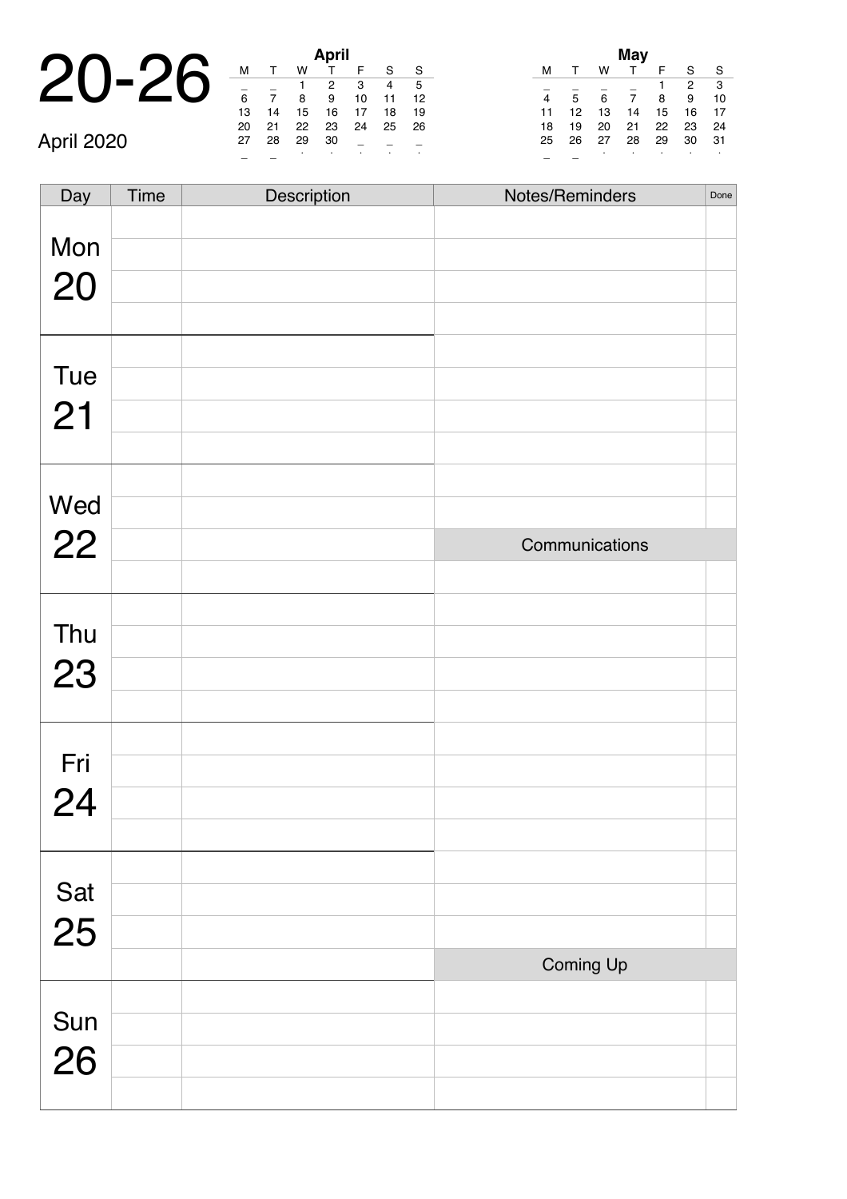|            |    |    |    | <b>April</b> |  |
|------------|----|----|----|--------------|--|
|            | м  |    | w  |              |  |
|            |    |    |    |              |  |
|            | 6  |    | 8  | 9            |  |
|            | 13 | 14 | 15 | 16           |  |
|            | 20 | 21 | 22 | 23           |  |
| April 2020 | 27 | 28 | 29 | 30           |  |
|            |    |    | ٠  |              |  |

| April |    |    |    |    |    |    |  |
|-------|----|----|----|----|----|----|--|
| м     |    | w  | T. | F  | S  | S  |  |
|       |    |    | 2  | 3  | 4  | 5  |  |
| 6     |    | 8  | 9  | 10 | 11 | 12 |  |
| 13    | 14 | 15 | 16 | 17 | 18 | 19 |  |
| 20    | 21 | 22 | 23 | 24 | 25 | 26 |  |
| 27    | 28 | 29 | 30 |    |    |    |  |
|       |    |    | ٠  |    |    |    |  |

| May |    |    |    |    |    |    |  |
|-----|----|----|----|----|----|----|--|
| м   |    | w  |    | F  | S  | S  |  |
|     |    |    |    | 1  | 2  | 3  |  |
|     | 5  | 6  | 7  | 8  | 9  | 10 |  |
| 11  | 12 | 13 | 14 | 15 | 16 | 17 |  |
| 18  | 19 | 20 | 21 | 22 | 23 | 24 |  |
| 25  | 26 | 27 | 28 | 29 | 30 | 31 |  |
|     |    | ٠  |    | ٠  | ٠  | ٠  |  |

| Day       | Time | Description | Notes/Reminders | Done |
|-----------|------|-------------|-----------------|------|
|           |      |             |                 |      |
| Mon       |      |             |                 |      |
| 20        |      |             |                 |      |
|           |      |             |                 |      |
|           |      |             |                 |      |
| Tue       |      |             |                 |      |
| 21        |      |             |                 |      |
|           |      |             |                 |      |
|           |      |             |                 |      |
| Wed       |      |             |                 |      |
| 22        |      |             | Communications  |      |
|           |      |             |                 |      |
| Thu       |      |             |                 |      |
|           |      |             |                 |      |
| 23        |      |             |                 |      |
|           |      |             |                 |      |
| Fri       |      |             |                 |      |
| 24        |      |             |                 |      |
|           |      |             |                 |      |
|           |      |             |                 |      |
|           |      |             |                 |      |
| Sat<br>25 |      |             |                 |      |
|           |      |             | Coming Up       |      |
|           |      |             |                 |      |
|           |      |             |                 |      |
| Sun<br>26 |      |             |                 |      |
|           |      |             |                 |      |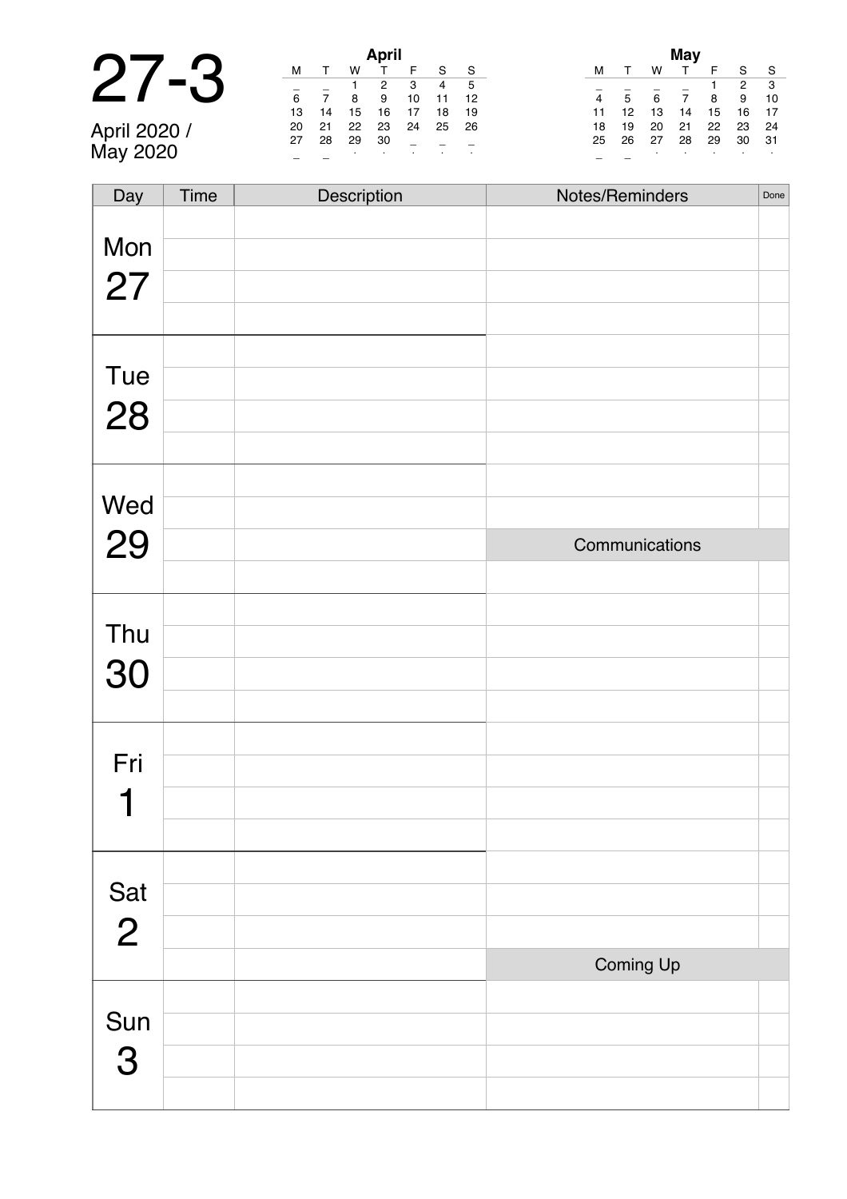|    |    |    | <b>April</b> |
|----|----|----|--------------|
|    |    |    |              |
|    |    |    |              |
| 6  |    | 8  | 9            |
| 13 | 14 | 15 | 16           |

April 2020 / May 2020

| April |    |    |    |    |    |    |  |  |  |
|-------|----|----|----|----|----|----|--|--|--|
| м     |    | w  |    | F  | S  | S  |  |  |  |
|       |    | 1  | 2  | 3  | 4  | 5  |  |  |  |
| 6     |    | 8  | 9  | 10 | 11 | 12 |  |  |  |
| 13    | 14 | 15 | 16 | 17 | 18 | 19 |  |  |  |
| 20    | 21 | 22 | 23 | 24 | 25 | 26 |  |  |  |
| 27    | 28 | 29 | 30 |    |    |    |  |  |  |
|       |    | ٠  |    |    |    |    |  |  |  |

|    |    |    | May |    |    |    |
|----|----|----|-----|----|----|----|
| м  |    | w  |     | F  | S  | S  |
|    |    |    |     | 1  | 2  | 3  |
| 4  | 5  | 6  | 7   | 8  | 9  | 10 |
| 11 | 12 | 13 | 14  | 15 | 16 | 17 |
| 18 | 19 | 20 | 21  | 22 | 23 | 24 |
| 25 | 26 | 27 | 28  | 29 | 30 | 31 |
|    |    | ٠  | ٠   |    |    | ٠  |

| Day            | Time | Description | Notes/Reminders | Done |
|----------------|------|-------------|-----------------|------|
|                |      |             |                 |      |
| Mon            |      |             |                 |      |
| 27             |      |             |                 |      |
|                |      |             |                 |      |
|                |      |             |                 |      |
|                |      |             |                 |      |
| Tue            |      |             |                 |      |
| 28             |      |             |                 |      |
|                |      |             |                 |      |
|                |      |             |                 |      |
| Wed            |      |             |                 |      |
| 29             |      |             | Communications  |      |
|                |      |             |                 |      |
|                |      |             |                 |      |
| Thu            |      |             |                 |      |
|                |      |             |                 |      |
| 30             |      |             |                 |      |
|                |      |             |                 |      |
|                |      |             |                 |      |
| Fri            |      |             |                 |      |
|                |      |             |                 |      |
|                |      |             |                 |      |
|                |      |             |                 |      |
| Sat            |      |             |                 |      |
|                |      |             |                 |      |
| $\overline{2}$ |      |             |                 |      |
|                |      |             | Coming Up       |      |
|                |      |             |                 |      |
| Sun            |      |             |                 |      |
| 3              |      |             |                 |      |
|                |      |             |                 |      |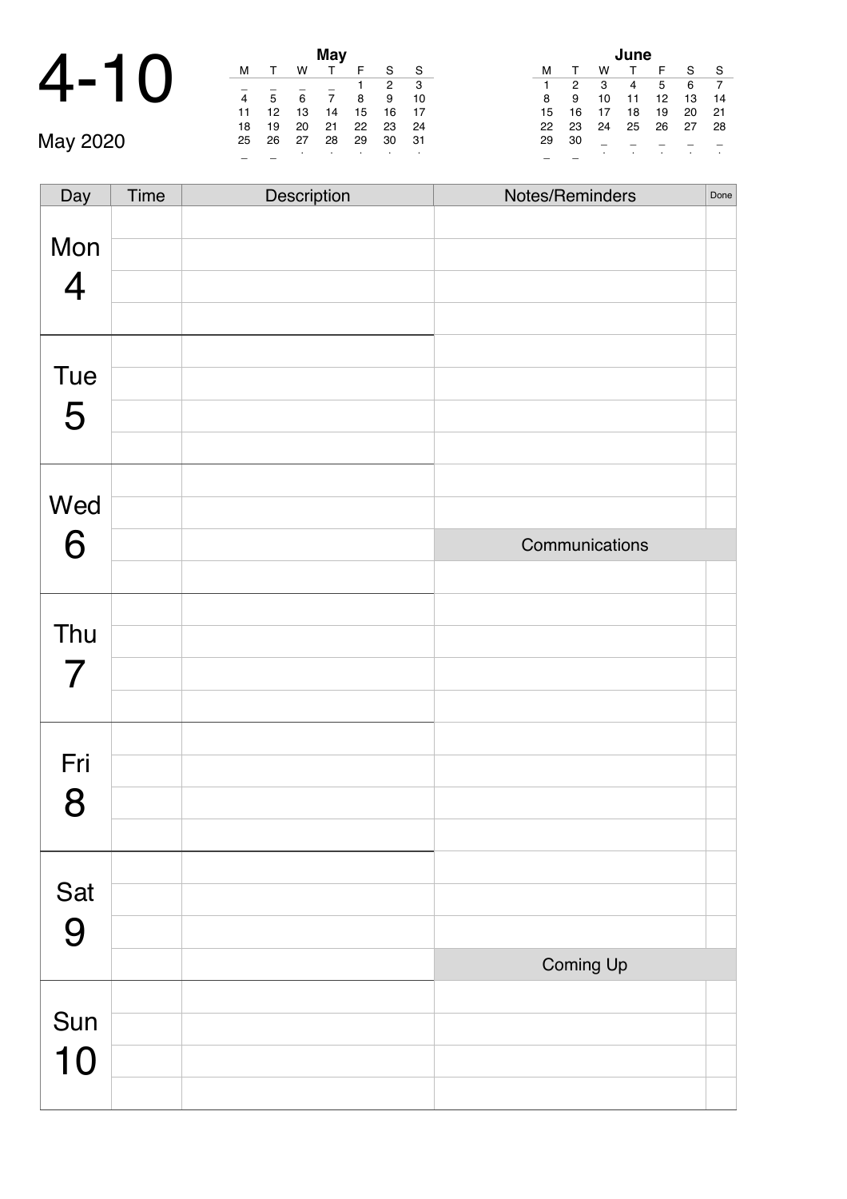## 4-10 **May**

|    |    |    | May |    |    |    |
|----|----|----|-----|----|----|----|
| м  |    | w  |     | F  | S  | S  |
|    |    |    |     |    | 2  | 3  |
| 4  | 5  | 6  | 7   | 8  | 9  | 10 |
| 11 | 12 | 13 | 14  | 15 | 16 | 17 |
| 18 | 19 | 20 | 21  | 22 | 23 | 24 |
| 25 | 26 | 27 | 28  | 29 | 30 | 31 |
|    |    | ٠  |     | ٠  |    | ٠  |

| lune |    |    |    |    |    |  |  |  |  |
|------|----|----|----|----|----|--|--|--|--|
| т    | w  |    | F  | S  | S  |  |  |  |  |
| 2    | 3  |    | 5  | 6  |    |  |  |  |  |
| 9    | 10 | 11 | 12 | 13 | 14 |  |  |  |  |
| 16   | 17 | 18 | 19 | 20 | 21 |  |  |  |  |
| 23   | 24 | 25 | 26 | 27 | 28 |  |  |  |  |
| 30   |    |    |    |    |    |  |  |  |  |
|      | ٠  | ٠  | ٠  |    | ٠  |  |  |  |  |
|      |    |    |    |    |    |  |  |  |  |

| Day            | Time | Description | Notes/Reminders | Done |
|----------------|------|-------------|-----------------|------|
|                |      |             |                 |      |
| Mon            |      |             |                 |      |
| $\overline{4}$ |      |             |                 |      |
|                |      |             |                 |      |
|                |      |             |                 |      |
| Tue            |      |             |                 |      |
| 5              |      |             |                 |      |
|                |      |             |                 |      |
| Wed            |      |             |                 |      |
|                |      |             |                 |      |
| 6              |      |             | Communications  |      |
|                |      |             |                 |      |
|                |      |             |                 |      |
| Thu            |      |             |                 |      |
| $\overline{7}$ |      |             |                 |      |
|                |      |             |                 |      |
|                |      |             |                 |      |
| Fri            |      |             |                 |      |
| 8              |      |             |                 |      |
|                |      |             |                 |      |
|                |      |             |                 |      |
| Sat            |      |             |                 |      |
| 9              |      |             |                 |      |
|                |      |             | Coming Up       |      |
|                |      |             |                 |      |
| Sun            |      |             |                 |      |
| 10             |      |             |                 |      |
|                |      |             |                 |      |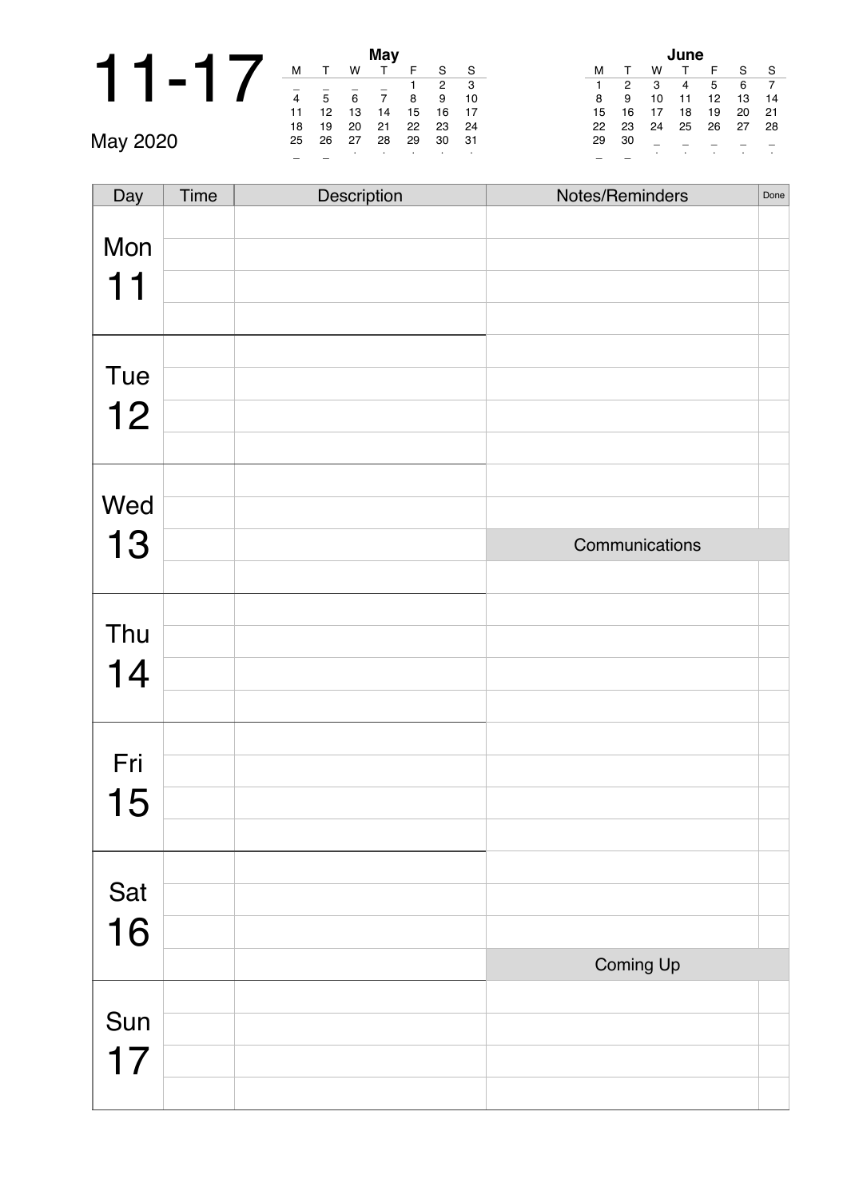|   |  |  |    |    |    | <b>May</b> |
|---|--|--|----|----|----|------------|
|   |  |  | м  |    | W  |            |
|   |  |  |    | 5  | 6  |            |
|   |  |  | 11 | 12 | 13 | 14         |
|   |  |  | 18 | 19 | 20 | 21         |
| - |  |  |    |    |    |            |

| May |    |              |    |    |    |    |    |  |  |
|-----|----|--------------|----|----|----|----|----|--|--|
|     | м  | $\mathbf{r}$ | w  |    | F  | S  | S  |  |  |
|     |    |              |    |    |    | 2  | 3  |  |  |
|     | 4  | 5            | 6  |    | 8  | 9  | 10 |  |  |
|     | 11 | 12           | 13 | 14 | 15 | 16 | 17 |  |  |
|     | 18 | 19           | 20 | 21 | 22 | 23 | 24 |  |  |
|     | 25 | 26           | 27 | 28 | 29 | 30 | 31 |  |  |
|     |    |              | ٠  |    | ٠  |    | ٠  |  |  |

| June |    |    |    |    |    |    |  |  |  |
|------|----|----|----|----|----|----|--|--|--|
| м    |    | w  |    | F  | S  | S  |  |  |  |
|      | 2  | 3  | 4  | 5  | 6  |    |  |  |  |
| 8    | 9  | 10 | 11 | 12 | 13 | 14 |  |  |  |
| 15   | 16 | 17 | 18 | 19 | 20 | 21 |  |  |  |
| 22   | 23 | 24 | 25 | 26 | 27 | 28 |  |  |  |
| 29   | 30 |    |    |    |    |    |  |  |  |
|      |    | ٠  | ٠  | ٠  |    | ٠  |  |  |  |

| Day | Time | Description | Notes/Reminders | Done |
|-----|------|-------------|-----------------|------|
| Mon |      |             |                 |      |
|     |      |             |                 |      |
| 11  |      |             |                 |      |
|     |      |             |                 |      |
|     |      |             |                 |      |
| Tue |      |             |                 |      |
| 12  |      |             |                 |      |
|     |      |             |                 |      |
|     |      |             |                 |      |
| Wed |      |             |                 |      |
| 13  |      |             | Communications  |      |
|     |      |             |                 |      |
|     |      |             |                 |      |
| Thu |      |             |                 |      |
| 14  |      |             |                 |      |
|     |      |             |                 |      |
|     |      |             |                 |      |
| Fri |      |             |                 |      |
| 15  |      |             |                 |      |
|     |      |             |                 |      |
|     |      |             |                 |      |
| Sat |      |             |                 |      |
| 16  |      |             |                 |      |
|     |      |             | Coming Up       |      |
|     |      |             |                 |      |
| Sun |      |             |                 |      |
| 17  |      |             |                 |      |
|     |      |             |                 |      |
|     |      |             |                 |      |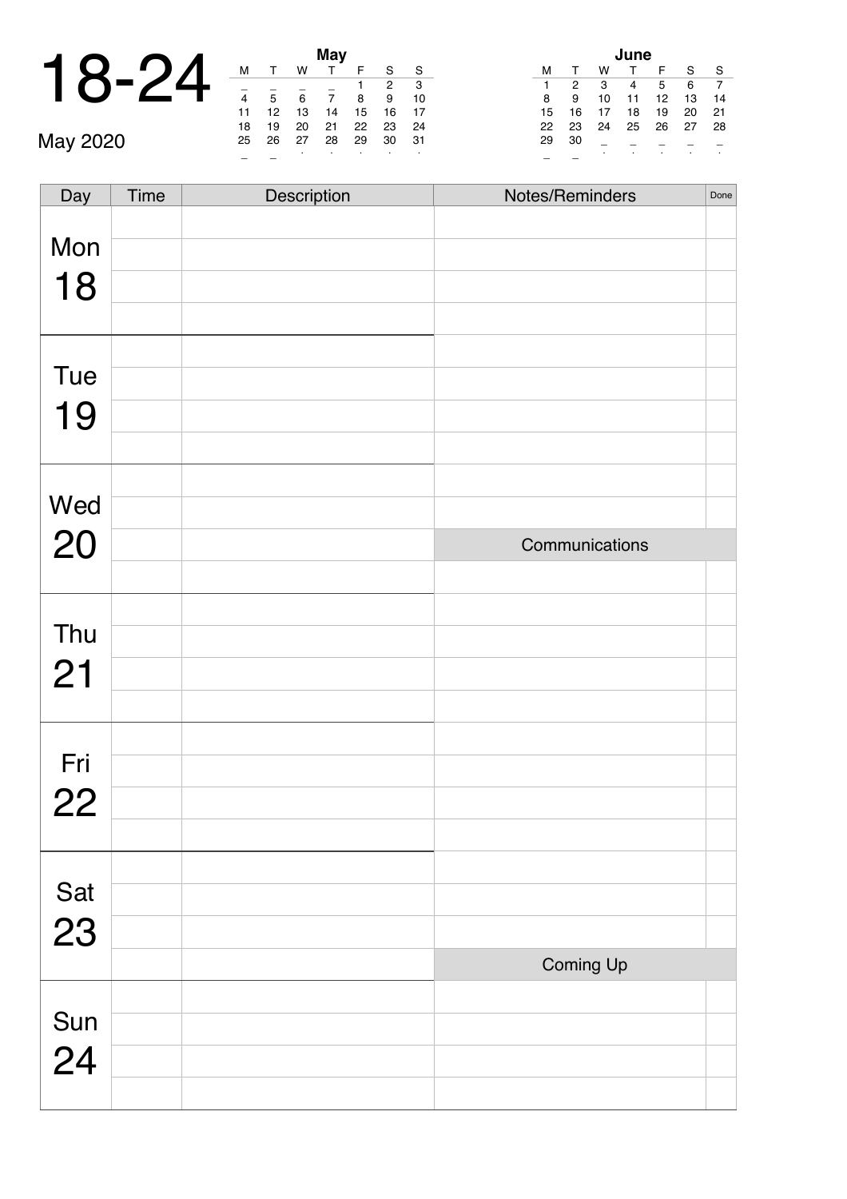|             | $\mathbf{Q}$ |  |       |        |        |               | <b>May</b>    |
|-------------|--------------|--|-------|--------|--------|---------------|---------------|
|             |              |  |       |        |        |               |               |
| $\mathbf 1$ |              |  | $-24$ |        |        |               |               |
|             |              |  |       |        |        |               |               |
|             |              |  |       |        | 12     | 13            | 14            |
|             |              |  |       | $\sim$ | $\sim$ | $\sim$ $\sim$ | $\sim$ $\sim$ |

| May |    |    |    |    |                |    |  |  |  |
|-----|----|----|----|----|----------------|----|--|--|--|
| м   |    | w  |    | F  | S              | S  |  |  |  |
|     |    |    |    |    | $\overline{2}$ | 3  |  |  |  |
| 4   | 5  | 6  | 7  | 8  | 9              | 10 |  |  |  |
| 11  | 12 | 13 | 14 | 15 | 16             | 17 |  |  |  |
| 18  | 19 | 20 | 21 | 22 | 23             | 24 |  |  |  |
| 25  | 26 | 27 | 28 | 29 | 30             | 31 |  |  |  |
|     |    |    | ٠  |    |                |    |  |  |  |

| June |    |    |    |    |    |    |  |  |  |  |  |
|------|----|----|----|----|----|----|--|--|--|--|--|
| м    |    | w  |    | F  | S  | S  |  |  |  |  |  |
| 1    | 2  | 3  |    | 5  | 6  |    |  |  |  |  |  |
| 8    | 9  | 10 | 11 | 12 | 13 | 14 |  |  |  |  |  |
| 15   | 16 | 17 | 18 | 19 | 20 | 21 |  |  |  |  |  |
| 22   | 23 | 24 | 25 | 26 | 27 | 28 |  |  |  |  |  |
| 29   | 30 |    |    |    |    |    |  |  |  |  |  |
|      |    | ٠  | ٠  | ٠  |    | ٠  |  |  |  |  |  |

| Day         | Time | Description | Notes/Reminders | Done |
|-------------|------|-------------|-----------------|------|
| Mon         |      |             |                 |      |
| 18          |      |             |                 |      |
|             |      |             |                 |      |
|             |      |             |                 |      |
| Tue         |      |             |                 |      |
| 19          |      |             |                 |      |
|             |      |             |                 |      |
| Wed         |      |             |                 |      |
|             |      |             |                 |      |
| 20          |      |             | Communications  |      |
|             |      |             |                 |      |
| Thu         |      |             |                 |      |
| 21          |      |             |                 |      |
|             |      |             |                 |      |
|             |      |             |                 |      |
| Fri         |      |             |                 |      |
| 22          |      |             |                 |      |
|             |      |             |                 |      |
|             |      |             |                 |      |
| Sat<br>23   |      |             |                 |      |
|             |      |             |                 |      |
|             |      |             | Coming Up       |      |
|             |      |             |                 |      |
| Sun<br>$24$ |      |             |                 |      |
|             |      |             |                 |      |
|             |      |             |                 |      |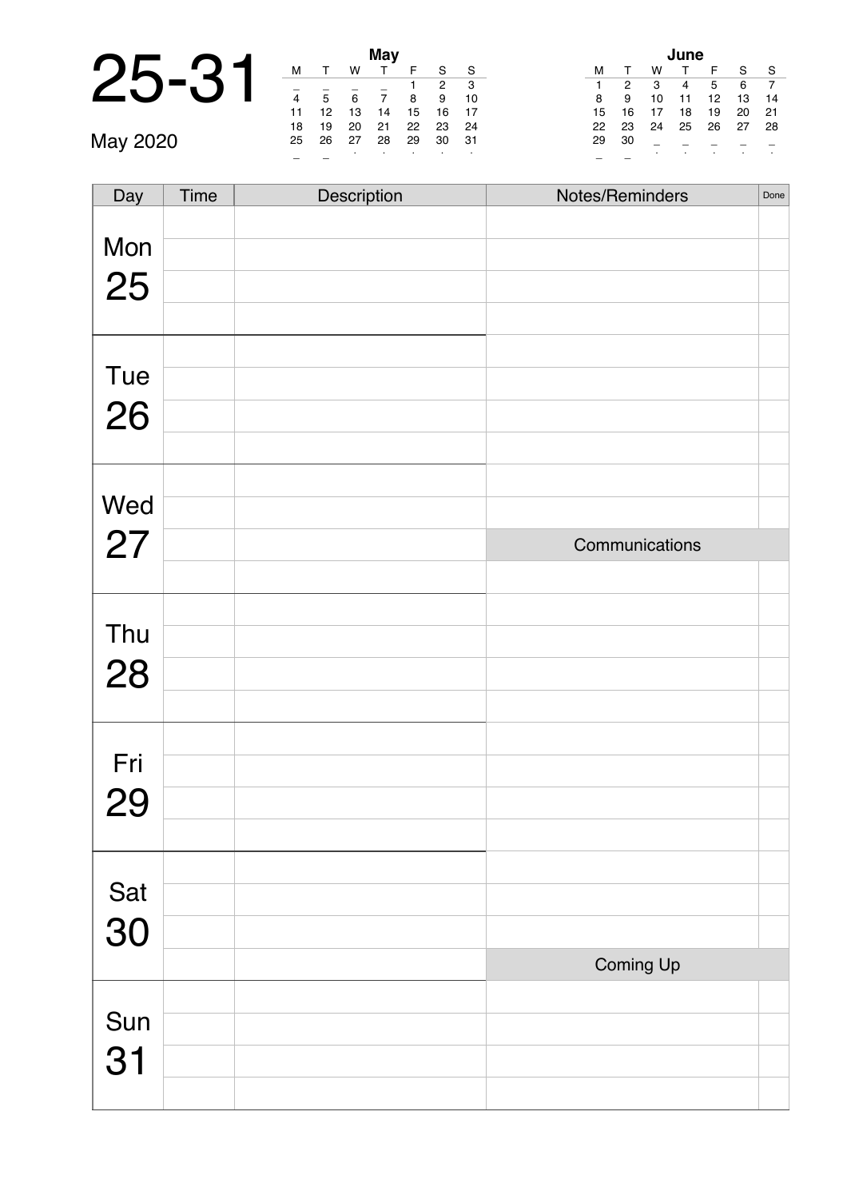|                                           |                        |     |    | May |
|-------------------------------------------|------------------------|-----|----|-----|
| $\mathbf{D}_{\mathbf{L}}$<br>$\mathbf{L}$ |                        |     | w  |     |
|                                           |                        |     |    |     |
|                                           | $\boldsymbol{\Lambda}$ |     | 6  |     |
|                                           | 11                     | 12  | 13 | 14  |
|                                           | 18                     | 1 Q | 20 | 21  |

| <b>May</b> |    |    |    |    |                |    |  |  |  |  |  |
|------------|----|----|----|----|----------------|----|--|--|--|--|--|
| м          | т  | w  |    | F  | S              | S  |  |  |  |  |  |
|            |    |    |    | 1  | $\overline{2}$ | 3  |  |  |  |  |  |
| 4          | 5  | 6  | 7  | 8  | 9              | 10 |  |  |  |  |  |
| 11         | 12 | 13 | 14 | 15 | 16             | 17 |  |  |  |  |  |
| 18         | 19 | 20 | 21 | 22 | 23             | 24 |  |  |  |  |  |
| 25         | 26 | 27 | 28 | 29 | 30             | 31 |  |  |  |  |  |
|            |    | ٠  |    |    |                |    |  |  |  |  |  |

| lune |    |    |              |    |    |    |  |  |  |  |  |
|------|----|----|--------------|----|----|----|--|--|--|--|--|
| м    | т  | w  | $\mathsf{T}$ | F  | S  | S  |  |  |  |  |  |
| 1    | 2  | 3  | 4            | 5  | 6  |    |  |  |  |  |  |
| 8    | 9  | 10 | 11           | 12 | 13 | 14 |  |  |  |  |  |
| 15   | 16 | 17 | 18           | 19 | 20 | 21 |  |  |  |  |  |
| 22   | 23 | 24 | 25           | 26 | 27 | 28 |  |  |  |  |  |
| 29   | 30 |    |              |    |    |    |  |  |  |  |  |
|      |    | ٠  | ٠            | ٠  |    | ٠  |  |  |  |  |  |

| Day       | Time | Description | Notes/Reminders | Done |
|-----------|------|-------------|-----------------|------|
|           |      |             |                 |      |
| Mon       |      |             |                 |      |
| 25        |      |             |                 |      |
|           |      |             |                 |      |
|           |      |             |                 |      |
| Tue       |      |             |                 |      |
| 26        |      |             |                 |      |
|           |      |             |                 |      |
|           |      |             |                 |      |
|           |      |             |                 |      |
| Wed       |      |             |                 |      |
| 27        |      |             | Communications  |      |
|           |      |             |                 |      |
|           |      |             |                 |      |
| Thu       |      |             |                 |      |
| 28        |      |             |                 |      |
|           |      |             |                 |      |
|           |      |             |                 |      |
| Fri       |      |             |                 |      |
|           |      |             |                 |      |
| <b>29</b> |      |             |                 |      |
|           |      |             |                 |      |
|           |      |             |                 |      |
| Sat<br>30 |      |             |                 |      |
|           |      |             |                 |      |
|           |      |             | Coming Up       |      |
|           |      |             |                 |      |
| Sun       |      |             |                 |      |
| 31        |      |             |                 |      |
|           |      |             |                 |      |
|           |      |             |                 |      |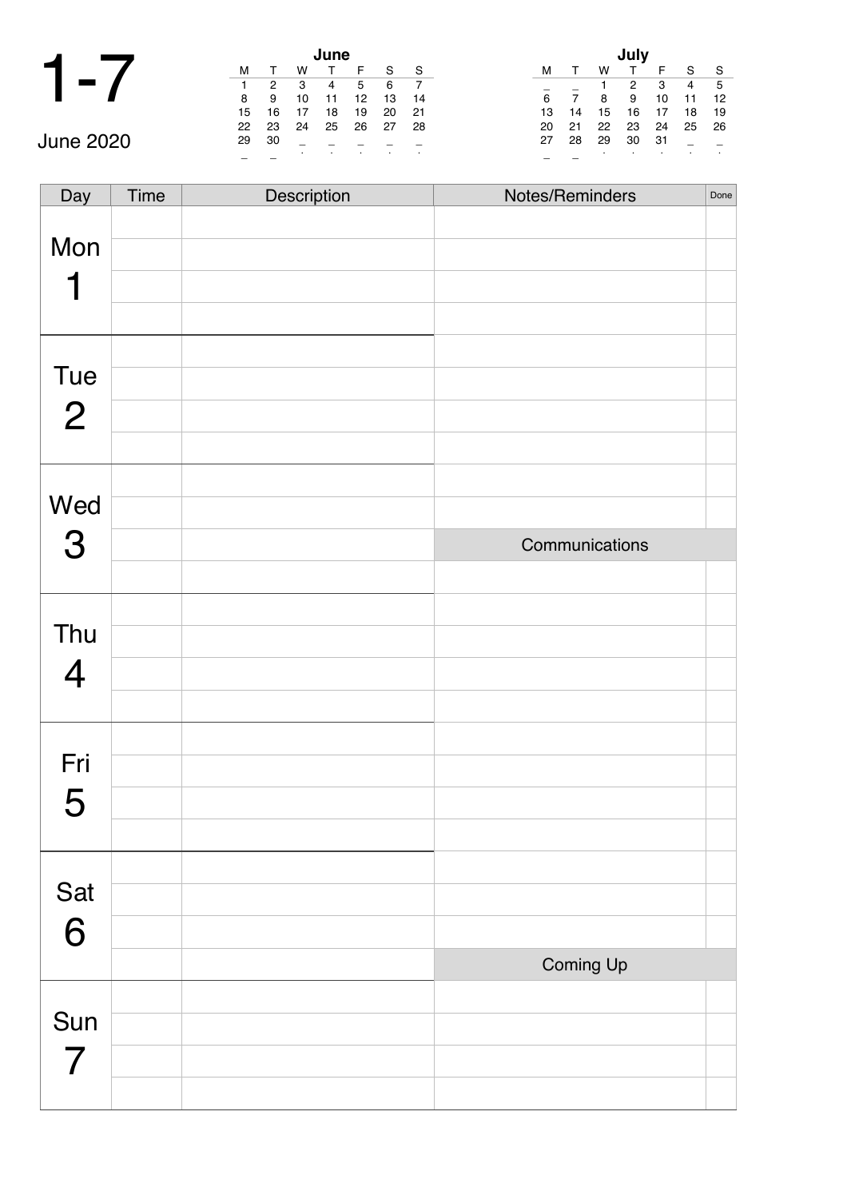|  |  | <b>I</b> |
|--|--|----------|
|--|--|----------|

|           |    | June |    |    |    |     |     |  |  |
|-----------|----|------|----|----|----|-----|-----|--|--|
|           | м  |      | w  |    |    | S   | S   |  |  |
|           |    | 2    | -3 | 4  | 5  | 6   |     |  |  |
|           | 8  | 9    | 10 | 11 | 12 | 13  | 14  |  |  |
|           | 15 | 16   |    | 18 | 19 | 20  | -21 |  |  |
|           | 22 | 23   | 24 | 25 | 26 | -27 | -28 |  |  |
| June 2020 | 29 | 30   |    |    |    |     |     |  |  |
|           |    |      |    |    |    |     |     |  |  |

| July |          |    |    |    |    |    |  |  |  |  |
|------|----------|----|----|----|----|----|--|--|--|--|
| м    | $\Gamma$ | w  |    | F  | S  | S  |  |  |  |  |
|      |          | 1  | 2  | 3  | 4  | 5  |  |  |  |  |
| 6    |          | 8  | 9  | 10 | 11 | 12 |  |  |  |  |
| 13   | 14       | 15 | 16 | 17 | 18 | 19 |  |  |  |  |
| 20   | 21       | 22 | 23 | 24 | 25 | 26 |  |  |  |  |
| 27   | 28       | 29 | 30 | 31 |    |    |  |  |  |  |
|      |          | ٠  |    |    | ٠  |    |  |  |  |  |

| Day            | Time | Description | Notes/Reminders | Done |
|----------------|------|-------------|-----------------|------|
|                |      |             |                 |      |
| Mon            |      |             |                 |      |
|                |      |             |                 |      |
| 1              |      |             |                 |      |
|                |      |             |                 |      |
|                |      |             |                 |      |
| Tue            |      |             |                 |      |
| $\overline{2}$ |      |             |                 |      |
|                |      |             |                 |      |
|                |      |             |                 |      |
| Wed            |      |             |                 |      |
| 3              |      |             | Communications  |      |
|                |      |             |                 |      |
|                |      |             |                 |      |
| Thu            |      |             |                 |      |
| $\overline{4}$ |      |             |                 |      |
|                |      |             |                 |      |
|                |      |             |                 |      |
| Fri            |      |             |                 |      |
| 5              |      |             |                 |      |
|                |      |             |                 |      |
|                |      |             |                 |      |
| Sat            |      |             |                 |      |
| 6              |      |             |                 |      |
|                |      |             | Coming Up       |      |
|                |      |             |                 |      |
| Sun            |      |             |                 |      |
| $\overline{7}$ |      |             |                 |      |
|                |      |             |                 |      |
|                |      |             |                 |      |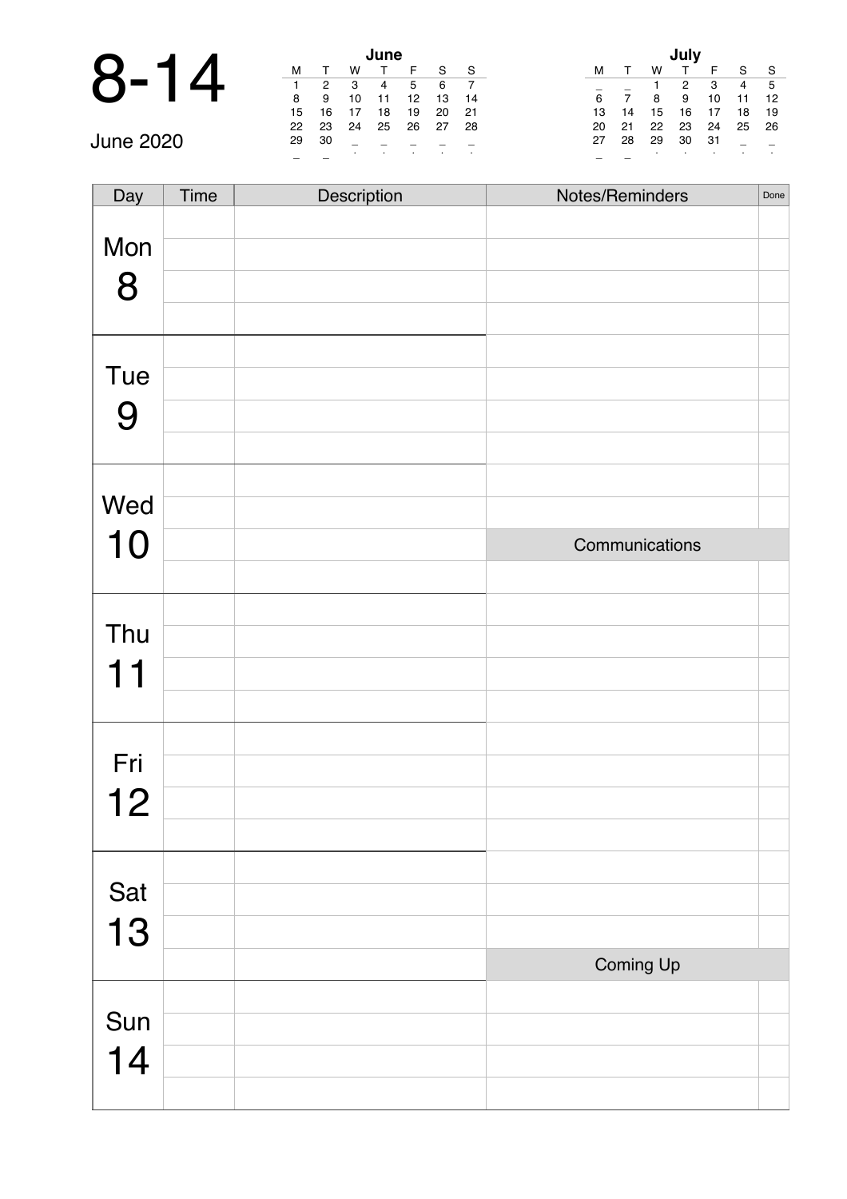| 4            |          |    |    |    | June |  |
|--------------|----------|----|----|----|------|--|
| $\mathbf{Q}$ | $\Delta$ |    |    |    |      |  |
|              |          |    | 2  | з  |      |  |
|              |          | 8  | 9  | 10 | 11   |  |
|              |          | 15 | 16 | 17 | 18   |  |

|            |    |    |    | June |    |    |     |    |    |    |    |     |              |                |
|------------|----|----|----|------|----|----|-----|----|----|----|----|-----|--------------|----------------|
| $\bigodot$ |    |    |    |      |    | S  | S   | м  |    | w  |    |     | <sub>S</sub> | ŗ.             |
| Č          |    | 2  |    | 4    |    | 6  |     |    |    |    |    | 3   | 4            | Æ              |
|            | 8  | 9  | 10 | 11   | 12 | 13 | -14 | 6  |    | 8  | 9  | 10  | 11           | $\blacksquare$ |
|            | 15 | 16 |    | 18   | 19 | 20 | 21  |    | 14 | 15 | 16 | 17  | $18$ 1       |                |
|            | 22 | 23 | 24 | 25   | 26 | 27 | -28 | 20 | 21 | 22 | 23 | 24  | 25 2         |                |
| June 2020  | 29 | 30 |    |      |    |    |     | 27 | 28 | 29 | 30 | -31 |              |                |
|            |    |    |    |      |    |    |     |    |    |    |    |     |              |                |

| July |    |    |    |    |    |    |  |  |  |  |  |
|------|----|----|----|----|----|----|--|--|--|--|--|
| м    | т  | W  | т  | F  | S  | S  |  |  |  |  |  |
|      |    | 1  | 2  | 3  | 4  | 5  |  |  |  |  |  |
| 6    | 7  | 8  | 9  | 10 | 11 | 12 |  |  |  |  |  |
| 13   | 14 | 15 | 16 | 17 | 18 | 19 |  |  |  |  |  |
| 20   | 21 | 22 | 23 | 24 | 25 | 26 |  |  |  |  |  |
| 27   | 28 | 29 | 30 | 31 |    |    |  |  |  |  |  |
|      |    |    |    | ٠  |    |    |  |  |  |  |  |

| Day | Time | Description | Notes/Reminders | Done |
|-----|------|-------------|-----------------|------|
|     |      |             |                 |      |
| Mon |      |             |                 |      |
|     |      |             |                 |      |
| 8   |      |             |                 |      |
|     |      |             |                 |      |
|     |      |             |                 |      |
| Tue |      |             |                 |      |
|     |      |             |                 |      |
| 9   |      |             |                 |      |
|     |      |             |                 |      |
|     |      |             |                 |      |
| Wed |      |             |                 |      |
|     |      |             |                 |      |
| 10  |      |             | Communications  |      |
|     |      |             |                 |      |
|     |      |             |                 |      |
| Thu |      |             |                 |      |
|     |      |             |                 |      |
| 11  |      |             |                 |      |
|     |      |             |                 |      |
|     |      |             |                 |      |
| Fri |      |             |                 |      |
|     |      |             |                 |      |
| 12  |      |             |                 |      |
|     |      |             |                 |      |
|     |      |             |                 |      |
| Sat |      |             |                 |      |
|     |      |             |                 |      |
| 13  |      |             |                 |      |
|     |      |             | Coming Up       |      |
|     |      |             |                 |      |
| Sun |      |             |                 |      |
|     |      |             |                 |      |
| 14  |      |             |                 |      |
|     |      |             |                 |      |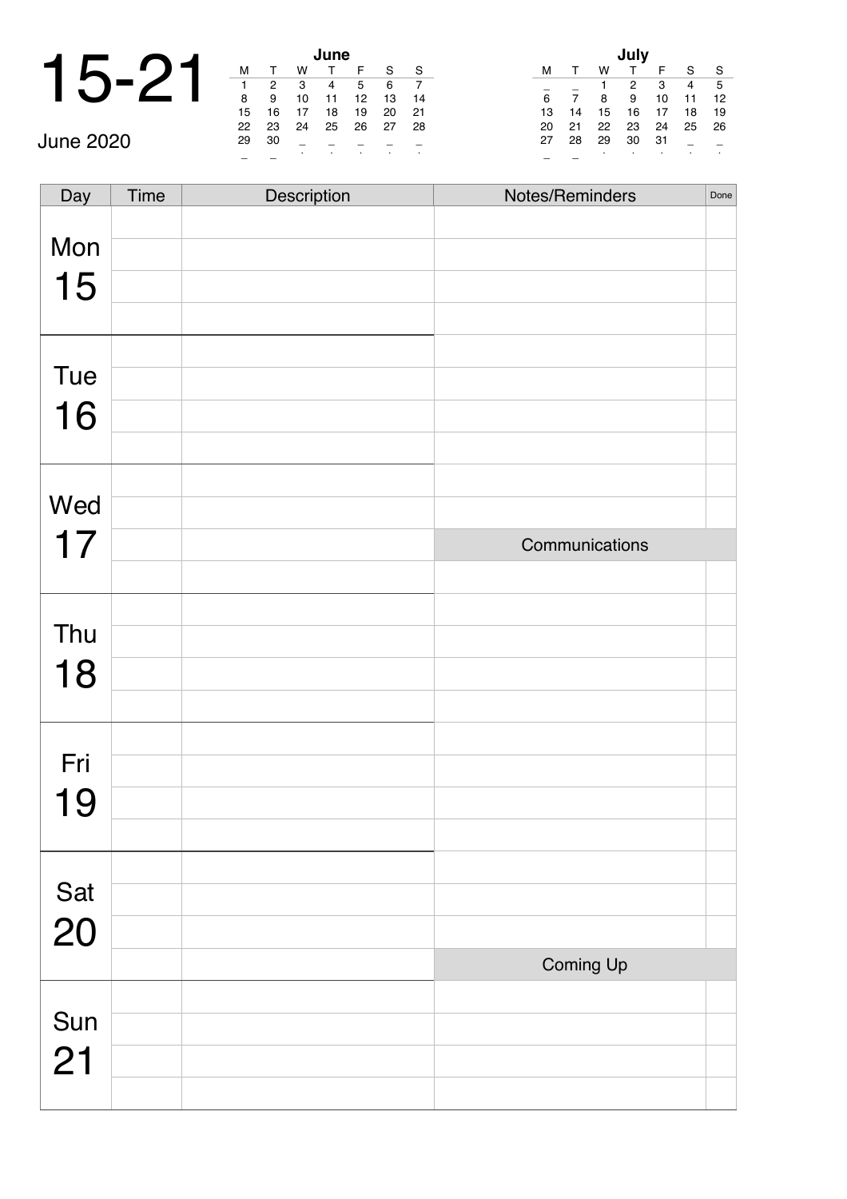|   |        |        |               | lune       |  |
|---|--------|--------|---------------|------------|--|
| 1 |        |        |               |            |  |
|   |        |        | 3             |            |  |
|   | 8      | 9      | 10            | 11         |  |
|   | 15     | 16     |               | 18         |  |
|   | $\sim$ | $\sim$ | $\sim$ $\sim$ | $\sim$ $-$ |  |

|                  |    |    |    | June |     |    |     |    |    |    |    |     |        |
|------------------|----|----|----|------|-----|----|-----|----|----|----|----|-----|--------|
|                  | M  |    | w  |      |     | S  | `S  | M  |    |    |    |     | - S    |
|                  |    | 2  | -3 | 4    | 5   | 6  |     |    |    |    | 2  | 3   | 4      |
|                  | 8  | 9  | 10 |      | 12  | 13 | 14  | 6  |    | 8  | 9  | 10  | 11     |
|                  | 15 | 16 |    | 18   | 19  | 20 | 21  | 13 | 14 | 15 | 16 | 17  | $18$ 1 |
|                  | 22 | 23 | 24 | 25   | -26 | 27 | -28 | 20 | 21 | 22 | 23 | 24  | 25 2   |
| <b>June 2020</b> | 29 | 30 |    |      |     |    |     | 27 | 28 | 29 | 30 | -31 |        |
|                  |    |    |    |      |     |    |     |    |    |    |    |     |        |

| July |          |    |    |    |    |    |  |  |  |  |  |
|------|----------|----|----|----|----|----|--|--|--|--|--|
| м    | $\Gamma$ | w  |    | F  | S  | S  |  |  |  |  |  |
|      |          | 1  | 2  | 3  | 4  | 5  |  |  |  |  |  |
| 6    | 7        | 8  | 9  | 10 | 11 | 12 |  |  |  |  |  |
| 13   | 14       | 15 | 16 | 17 | 18 | 19 |  |  |  |  |  |
| 20   | 21       | 22 | 23 | 24 | 25 | 26 |  |  |  |  |  |
| 27   | 28       | 29 | 30 | 31 |    |    |  |  |  |  |  |
|      |          | ٠  | ٠  | ٠  | ٠  | ٠  |  |  |  |  |  |

| Day       | Time | Description | Notes/Reminders | Done |
|-----------|------|-------------|-----------------|------|
| Mon       |      |             |                 |      |
| 15        |      |             |                 |      |
|           |      |             |                 |      |
| Tue       |      |             |                 |      |
| 16        |      |             |                 |      |
|           |      |             |                 |      |
| Wed       |      |             |                 |      |
|           |      |             |                 |      |
| 17        |      |             | Communications  |      |
|           |      |             |                 |      |
| Thu       |      |             |                 |      |
|           |      |             |                 |      |
| 18        |      |             |                 |      |
|           |      |             |                 |      |
| Fri       |      |             |                 |      |
|           |      |             |                 |      |
| 19        |      |             |                 |      |
|           |      |             |                 |      |
|           |      |             |                 |      |
| Sat<br>20 |      |             |                 |      |
|           |      |             | Coming Up       |      |
|           |      |             |                 |      |
| Sun       |      |             |                 |      |
| 21        |      |             |                 |      |
|           |      |             |                 |      |
|           |      |             |                 |      |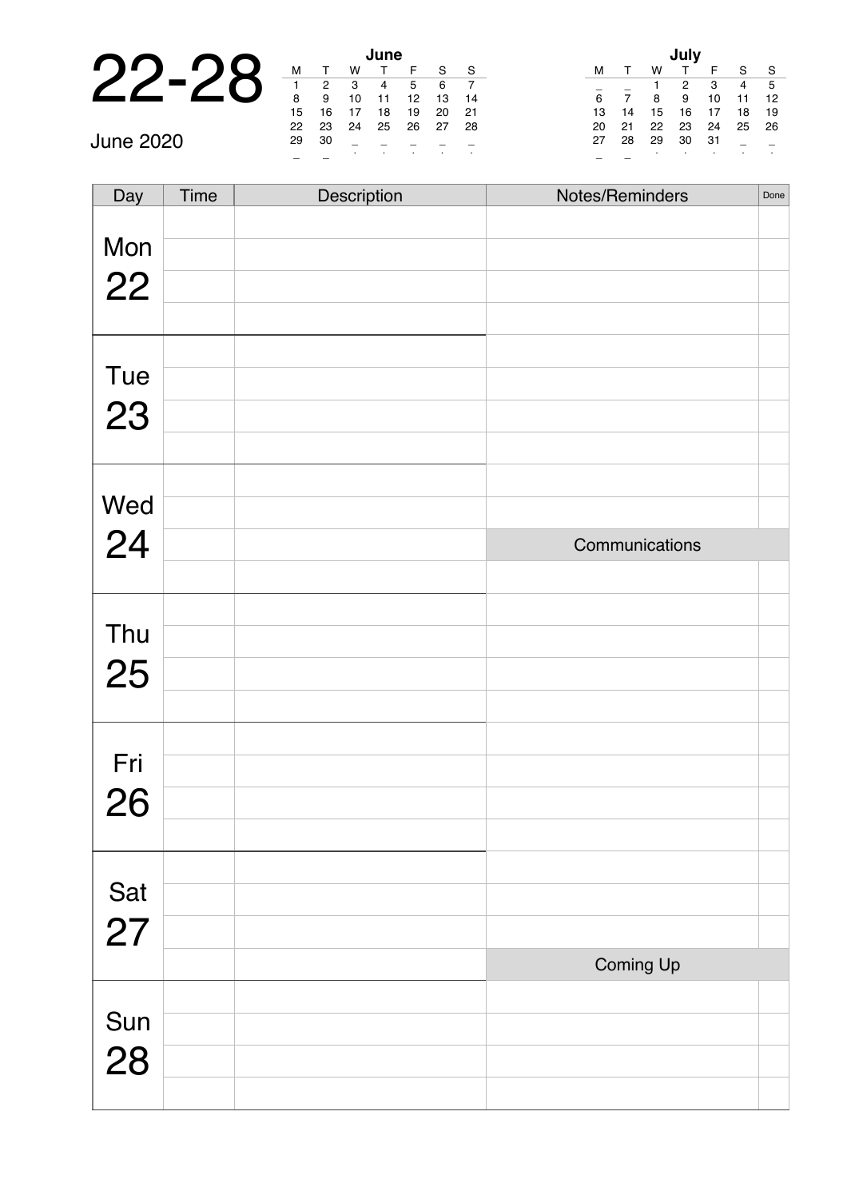|                                                                    |    |    |    | lune |  |
|--------------------------------------------------------------------|----|----|----|------|--|
| $\mathbf{\Omega}$<br>$\Box$<br>$\boldsymbol{\mathsf{R}}$<br>$\Box$ |    |    |    |      |  |
|                                                                    |    |    | 3  |      |  |
|                                                                    | 8  | 9  | 10 |      |  |
|                                                                    | 15 | 16 | 17 | 18   |  |
|                                                                    | っっ | っっ | つん | つに   |  |

|           |    |    |    | June |    |      |     |    |    |    |    |      |                |                   |
|-----------|----|----|----|------|----|------|-----|----|----|----|----|------|----------------|-------------------|
| $\Box$    | M  |    |    |      |    | e    | S   | м  |    | w  |    |      | $\mathbf{C}$   | <b>C</b>          |
|           |    | 2  | 3  | 4    | 5  | 6    |     |    |    |    |    | 3    | $\overline{4}$ | E                 |
|           | 8  | 9  | 10 | 11   | 12 | 13   | -14 | 6  |    | 8  | 9  | 10   | 11             | $\blacksquare$ 1. |
|           | 15 | 16 |    | 18   | 19 | 20   | -21 |    | 14 | 15 | 16 | 17   | 18             | $\blacksquare$    |
|           | 22 | 23 | 24 | 25   | 26 | - 27 | -28 | 20 | 21 | 22 | 23 | 24   | 25 2           |                   |
| June 2020 | 29 | 30 |    |      |    |      |     | 27 | 28 | 29 | 30 | - 31 |                |                   |
|           |    |    |    |      |    |      |     |    |    |    |    |      |                |                   |
|           |    |    |    |      |    |      |     |    |    |    |    |      |                |                   |

| July |    |    |    |    |    |    |  |  |  |  |  |
|------|----|----|----|----|----|----|--|--|--|--|--|
| м    |    | w  | т  | F  | S  | S  |  |  |  |  |  |
|      |    | 1  | 2  | 3  | 4  | 5  |  |  |  |  |  |
| 6    | 7  | 8  | 9  | 10 | 11 | 12 |  |  |  |  |  |
| 13   | 14 | 15 | 16 | 17 | 18 | 19 |  |  |  |  |  |
| 20   | 21 | 22 | 23 | 24 | 25 | 26 |  |  |  |  |  |
| 27   | 28 | 29 | 30 | 31 |    |    |  |  |  |  |  |
|      |    | ٠  |    |    |    |    |  |  |  |  |  |

| Day       | Time | Description | Notes/Reminders | Done |
|-----------|------|-------------|-----------------|------|
| Mon       |      |             |                 |      |
|           |      |             |                 |      |
| 22        |      |             |                 |      |
|           |      |             |                 |      |
|           |      |             |                 |      |
| Tue       |      |             |                 |      |
| 23        |      |             |                 |      |
|           |      |             |                 |      |
|           |      |             |                 |      |
| Wed<br>24 |      |             |                 |      |
|           |      |             | Communications  |      |
|           |      |             |                 |      |
|           |      |             |                 |      |
| Thu       |      |             |                 |      |
| 25        |      |             |                 |      |
|           |      |             |                 |      |
|           |      |             |                 |      |
| Fri       |      |             |                 |      |
| 26        |      |             |                 |      |
|           |      |             |                 |      |
|           |      |             |                 |      |
| Sat       |      |             |                 |      |
| 27        |      |             |                 |      |
|           |      |             | Coming Up       |      |
|           |      |             |                 |      |
| Sun       |      |             |                 |      |
| 28        |      |             |                 |      |
|           |      |             |                 |      |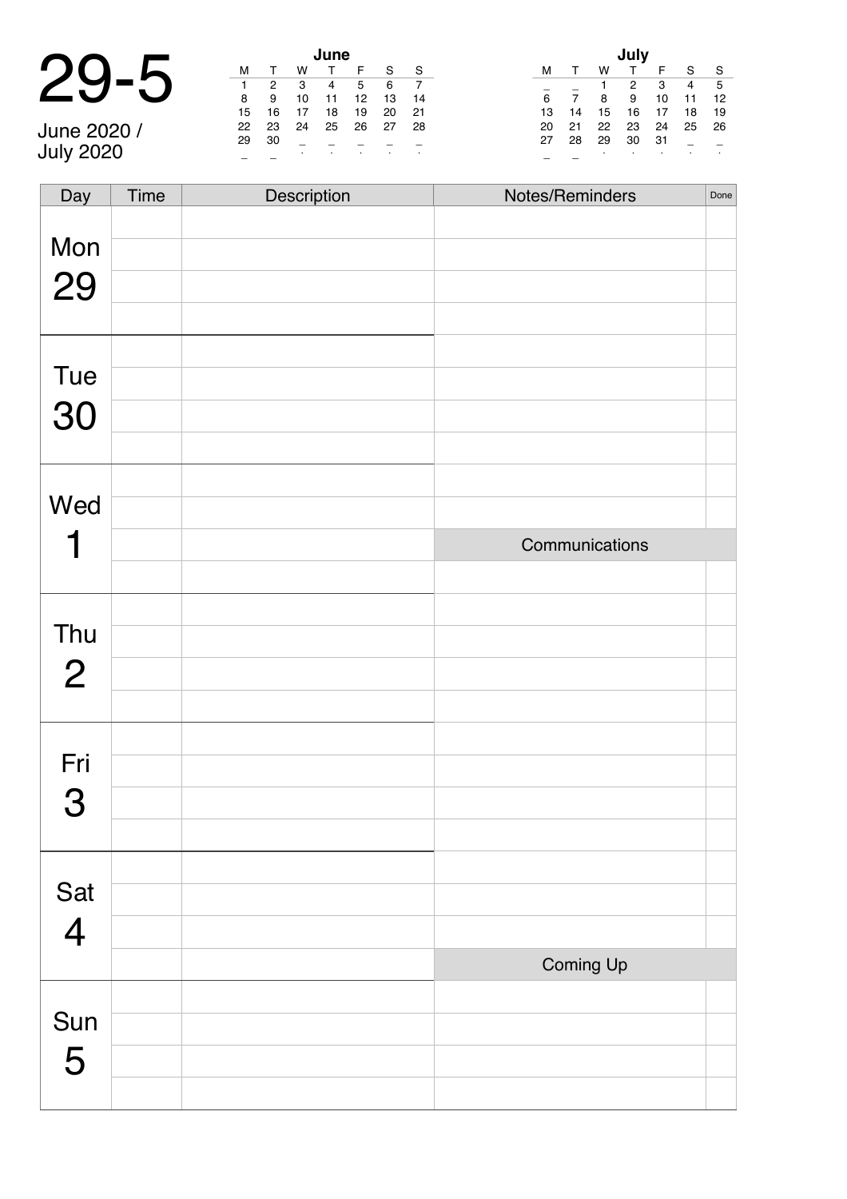|          |    |    |          | June |  |
|----------|----|----|----------|------|--|
| $29 - 5$ |    |    |          |      |  |
|          |    |    | 3        |      |  |
|          | 8  |    | 10       |      |  |
|          | 15 | 16 | 17       | 18   |  |
|          | nn | פר | $\Omega$ | n =  |  |

June 2020 / July 2020

| June |    |    |    |    |    |    |  |  |  |  |  |  |
|------|----|----|----|----|----|----|--|--|--|--|--|--|
| м    | т  | w  |    | F  | S  | S  |  |  |  |  |  |  |
|      | 2  | 3  | 4  | 5  | 6  |    |  |  |  |  |  |  |
| 8    | 9  | 10 | 11 | 12 | 13 | 14 |  |  |  |  |  |  |
| 15   | 16 | 17 | 18 | 19 | 20 | 21 |  |  |  |  |  |  |
| 22   | 23 | 24 | 25 | 26 | 27 | 28 |  |  |  |  |  |  |
| 29   | 30 |    |    |    |    |    |  |  |  |  |  |  |
|      |    | ٠  | ٠  |    | ٠  | ٠  |  |  |  |  |  |  |

|    |              |    | July |    |    |    |
|----|--------------|----|------|----|----|----|
| м  | $\mathsf{T}$ | w  | т    | F  | S  | S  |
|    |              | 1  | 2    | 3  | 4  | 5  |
| 6  | 7            | 8  | 9    | 10 | 11 | 12 |
| 13 | 14           | 15 | 16   | 17 | 18 | 19 |
| 20 | 21           | 22 | 23   | 24 | 25 | 26 |
| 27 | 28           | 29 | 30   | 31 |    |    |
|    |              | ٠  | ٠    |    | ٠  |    |

| Day            | Time | Description | Notes/Reminders | Done |
|----------------|------|-------------|-----------------|------|
|                |      |             |                 |      |
| Mon            |      |             |                 |      |
| 29             |      |             |                 |      |
|                |      |             |                 |      |
|                |      |             |                 |      |
| Tue            |      |             |                 |      |
| 30             |      |             |                 |      |
|                |      |             |                 |      |
|                |      |             |                 |      |
| Wed            |      |             |                 |      |
|                |      |             | Communications  |      |
|                |      |             |                 |      |
|                |      |             |                 |      |
| Thu            |      |             |                 |      |
| $\overline{2}$ |      |             |                 |      |
|                |      |             |                 |      |
|                |      |             |                 |      |
| Fri            |      |             |                 |      |
| 3              |      |             |                 |      |
|                |      |             |                 |      |
|                |      |             |                 |      |
| Sat            |      |             |                 |      |
| $\overline{4}$ |      |             |                 |      |
|                |      |             | Coming Up       |      |
|                |      |             |                 |      |
| Sun            |      |             |                 |      |
| 5              |      |             |                 |      |
|                |      |             |                 |      |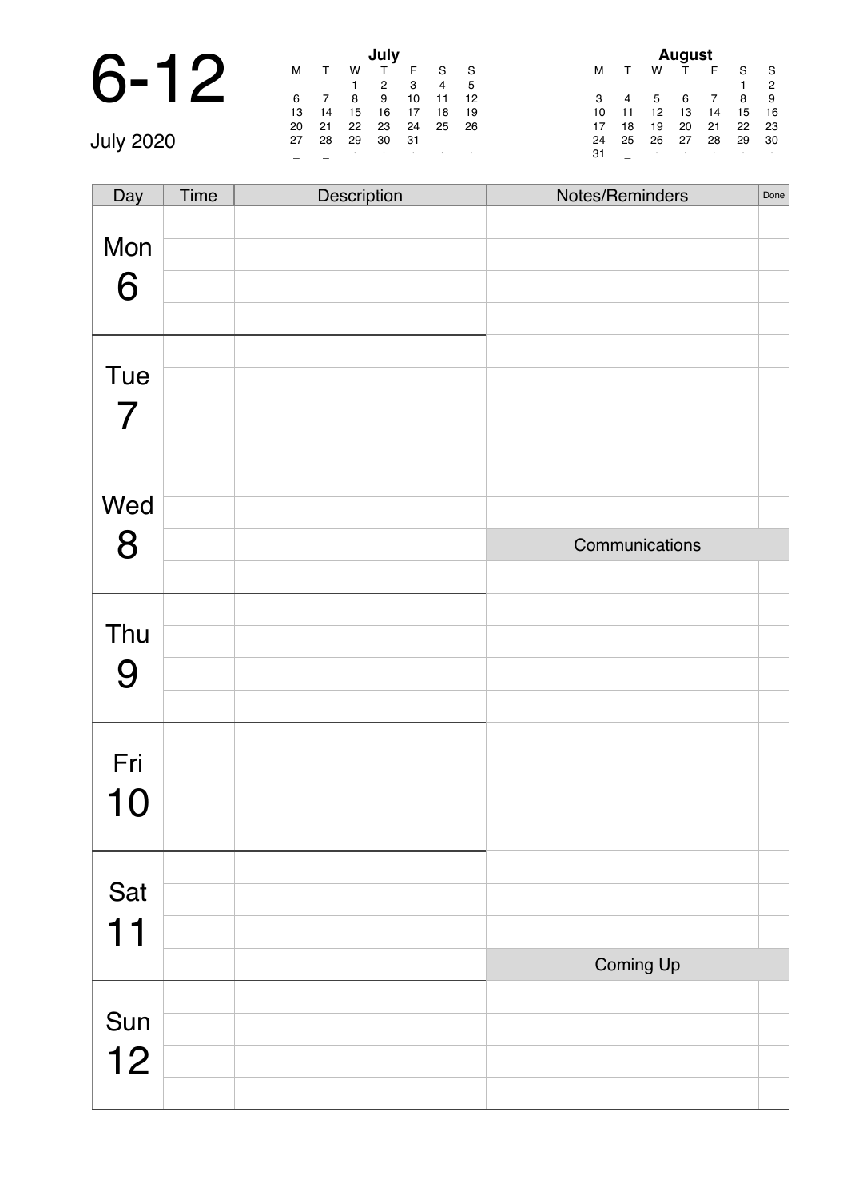# 6-12 **July**

| July |    |    |    |    |    |    |  |  |  |
|------|----|----|----|----|----|----|--|--|--|
| м    |    | w  |    | F  | S  | S  |  |  |  |
|      |    | 1  | 2  | 3  | 4  | 5  |  |  |  |
| 6    |    | 8  | 9  | 10 | 11 | 12 |  |  |  |
| 13   | 14 | 15 | 16 | 17 | 18 | 19 |  |  |  |
| 20   | 21 | 22 | 23 | 24 | 25 | 26 |  |  |  |
| 27   | 28 | 29 | 30 | 31 |    |    |  |  |  |
|      |    | ٠  |    |    |    | ٠  |  |  |  |

|                |    |    | <b>August</b> |    |    |                |
|----------------|----|----|---------------|----|----|----------------|
| м              |    | w  |               | F  | S  | S              |
|                |    |    |               |    | 1  | $\overline{2}$ |
| $\overline{3}$ | 4  | 5  | 6             |    | 8  | 9              |
| 10             | 11 | 12 | 13            | 14 | 15 | 16             |
| 17             | 18 | 19 | 20            | 21 | 22 | 23             |
| 24             | 25 | 26 | 27            | 28 | 29 | 30             |
| 31             |    | ٠  |               |    |    |                |

<sup>31</sup> \_ <sup>∙</sup> <sup>∙</sup> <sup>∙</sup> <sup>∙</sup> <sup>∙</sup> July 2020

| Day            | Time | Description | Notes/Reminders | Done |
|----------------|------|-------------|-----------------|------|
|                |      |             |                 |      |
| Mon            |      |             |                 |      |
| 6              |      |             |                 |      |
|                |      |             |                 |      |
| Tue            |      |             |                 |      |
|                |      |             |                 |      |
| $\overline{7}$ |      |             |                 |      |
|                |      |             |                 |      |
| Wed            |      |             |                 |      |
| 8              |      |             | Communications  |      |
|                |      |             |                 |      |
|                |      |             |                 |      |
| Thu            |      |             |                 |      |
| 9              |      |             |                 |      |
|                |      |             |                 |      |
| Fri            |      |             |                 |      |
|                |      |             |                 |      |
| <b>10</b>      |      |             |                 |      |
|                |      |             |                 |      |
| Sat            |      |             |                 |      |
| 11             |      |             |                 |      |
|                |      |             | Coming Up       |      |
|                |      |             |                 |      |
| Sun            |      |             |                 |      |
| 12             |      |             |                 |      |
|                |      |             |                 |      |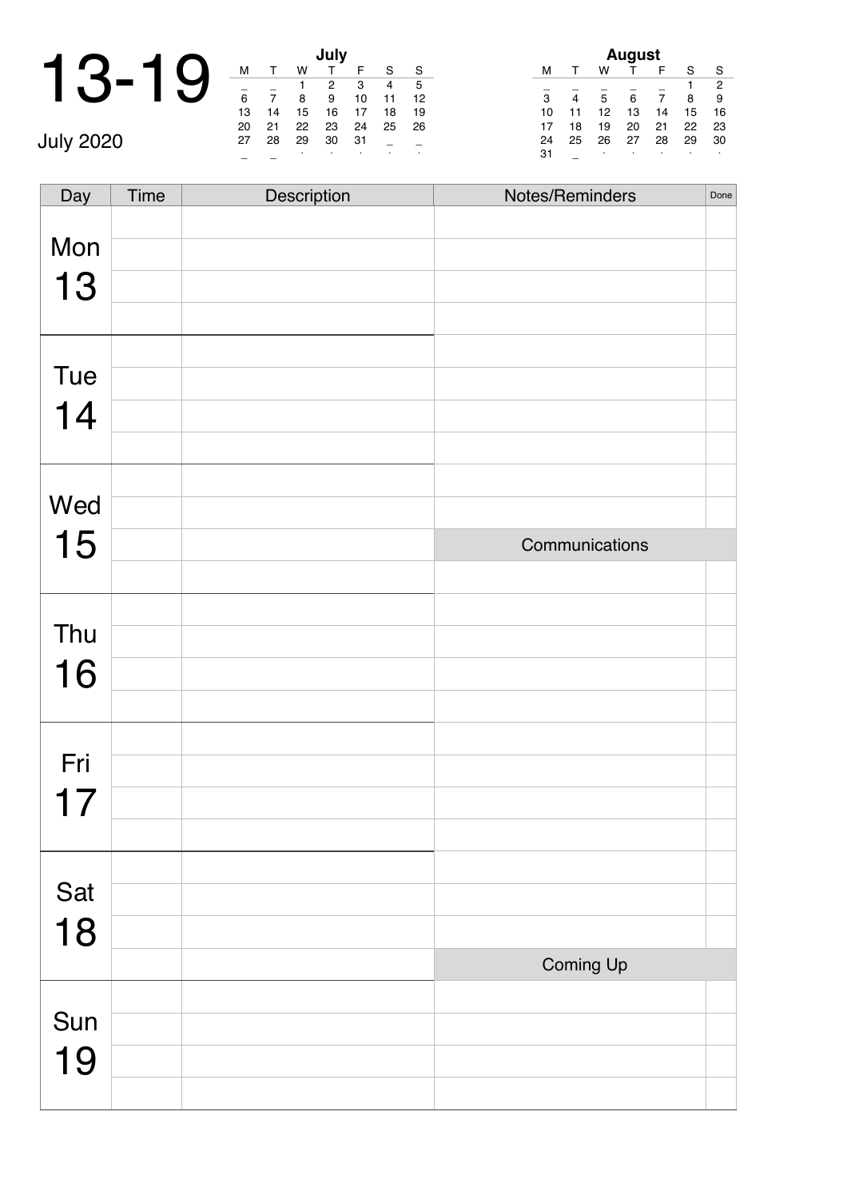|                  | м  |    | w  | July |
|------------------|----|----|----|------|
|                  |    |    |    | 2    |
|                  | 6  |    | 8  | 9    |
|                  | 13 | 14 | 15 | 16   |
|                  | 20 | 21 | 22 | 23   |
| <b>July 2020</b> | 27 | 28 | 29 | 30   |
|                  |    |    | ٠  |      |

|    |    |    | July |    |    |    |
|----|----|----|------|----|----|----|
| М  |    | w  | т    | F  | S  | S  |
|    |    |    | 2    | 3  | 4  | 5  |
| 6  |    | 8  | 9    | 10 | 11 | 12 |
| 13 | 14 | 15 | 16   | 17 | 18 | 19 |
| 20 | 21 | 22 | 23   | 24 | 25 | 26 |
| 27 | 28 | 29 | 30   | 31 |    |    |
|    |    | ٠  | ٠    |    |    | ٠  |

| <b>August</b> |    |    |    |    |    |    |  |  |  |  |
|---------------|----|----|----|----|----|----|--|--|--|--|
| м             |    | w  |    | F  | S  | S  |  |  |  |  |
|               |    |    |    |    | 1  | 2  |  |  |  |  |
| 3             | 4  | 5  | 6  |    | 8  | 9  |  |  |  |  |
| 10            | 11 | 12 | 13 | 14 | 15 | 16 |  |  |  |  |
| 17            | 18 | 19 | 20 | 21 | 22 | 23 |  |  |  |  |
| 24            | 25 | 26 | 27 | 28 | 29 | 30 |  |  |  |  |
| 31            |    | ٠  | ٠  |    | ٠  | ٠  |  |  |  |  |

| Day | <b>Time</b> | Description | Notes/Reminders | Done |
|-----|-------------|-------------|-----------------|------|
|     |             |             |                 |      |
| Mon |             |             |                 |      |
| 13  |             |             |                 |      |
|     |             |             |                 |      |
| Tue |             |             |                 |      |
|     |             |             |                 |      |
| 14  |             |             |                 |      |
|     |             |             |                 |      |
| Wed |             |             |                 |      |
| 15  |             |             | Communications  |      |
|     |             |             |                 |      |
|     |             |             |                 |      |
| Thu |             |             |                 |      |
| 16  |             |             |                 |      |
|     |             |             |                 |      |
|     |             |             |                 |      |
| Fri |             |             |                 |      |
| 17  |             |             |                 |      |
|     |             |             |                 |      |
|     |             |             |                 |      |
| Sat |             |             |                 |      |
| 18  |             |             |                 |      |
|     |             |             | Coming Up       |      |
|     |             |             |                 |      |
| Sun |             |             |                 |      |
| 19  |             |             |                 |      |
|     |             |             |                 |      |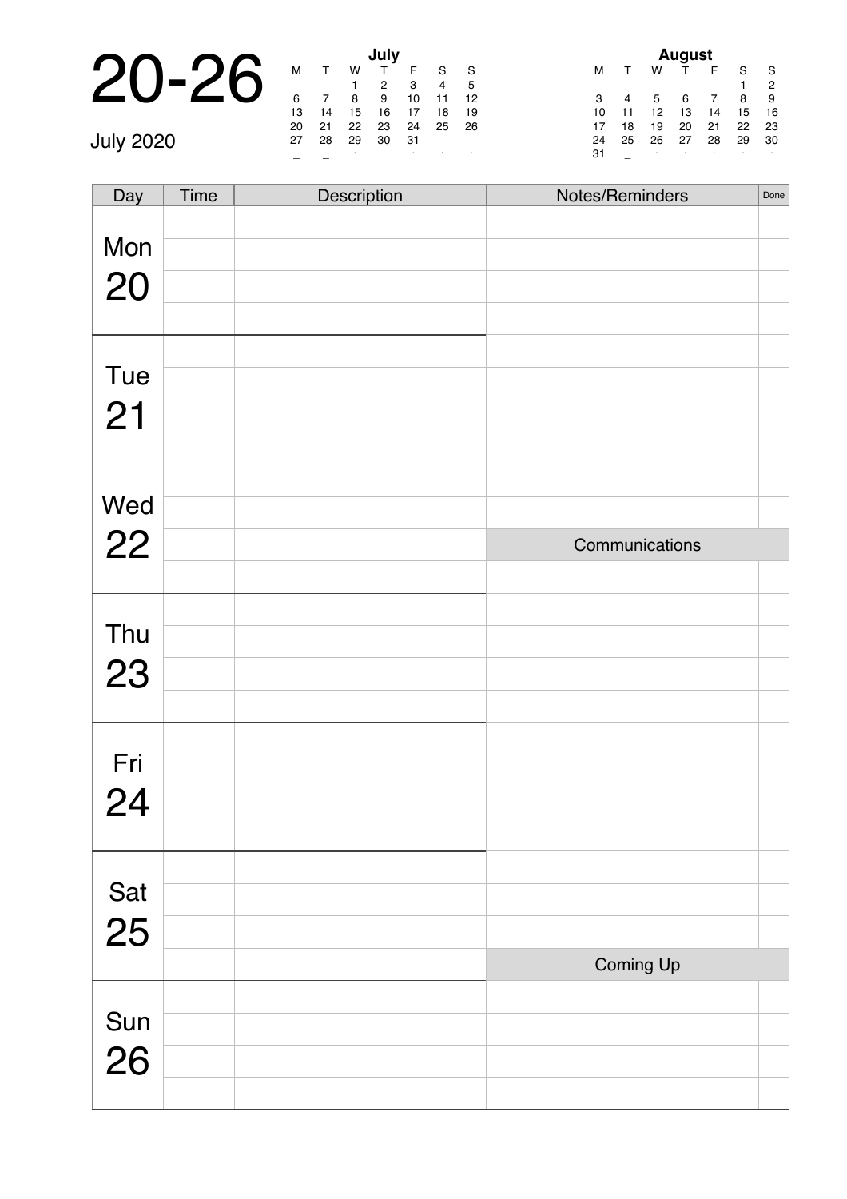|                  |    |    |    | July |  |
|------------------|----|----|----|------|--|
|                  | м  |    | w  |      |  |
|                  |    |    |    | 2    |  |
|                  | 6  |    | 8  | 9    |  |
|                  | 13 | 14 | 15 | 16   |  |
|                  | 20 | 21 | 22 | 23   |  |
| <b>July 2020</b> | 27 | 28 | 29 | 30   |  |
|                  |    |    | ٠  |      |  |

|    |    |    | July |    |    |    |
|----|----|----|------|----|----|----|
| м  |    | w  |      | F  | S  | S  |
|    |    |    | 2    | 3  | 4  | 5  |
| 6  |    | 8  | 9    | 10 | 11 | 12 |
| 13 | 14 | 15 | 16   | 17 | 18 | 19 |
| 20 | 21 | 22 | 23   | 24 | 25 | 26 |
| 27 | 28 | 29 | 30   | 31 |    |    |
|    |    | ٠  |      | ٠  |    | ٠  |

|    |    |    | August |    |    |    |
|----|----|----|--------|----|----|----|
| м  |    | w  |        | F  | S  | S  |
|    |    |    |        |    |    | 2  |
| 3  | 4  | 5  | 6      |    | 8  | 9  |
| 10 | 11 | 12 | 13     | 14 | 15 | 16 |
| 17 | 18 | 19 | 20     | 21 | 22 | 23 |
| 24 | 25 | 26 | 27     | 28 | 29 | 30 |
| 31 |    | ٠  | ٠      |    |    |    |

Day Time Description Notes/Reminders Done

| Mon       |                |  |
|-----------|----------------|--|
| 20        |                |  |
|           |                |  |
|           |                |  |
| Tue       |                |  |
| 21        |                |  |
|           |                |  |
| Wed       |                |  |
| 22        | Communications |  |
|           |                |  |
|           |                |  |
| Thu       |                |  |
| 23        |                |  |
|           |                |  |
|           |                |  |
| Fri       |                |  |
| 24        |                |  |
|           |                |  |
|           |                |  |
| Sat<br>25 |                |  |
|           |                |  |
|           | Coming Up      |  |
|           |                |  |
| Sun<br>26 |                |  |
|           |                |  |
|           |                |  |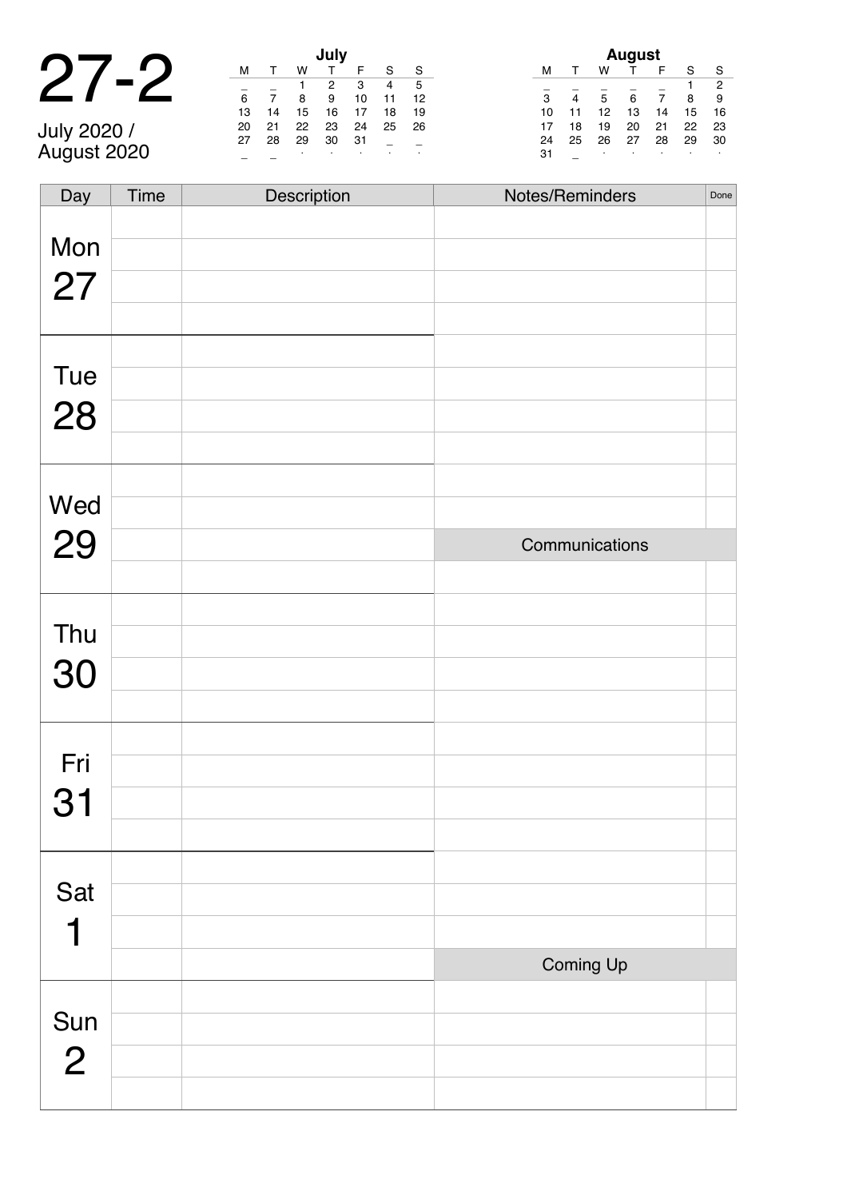#### 27-2 **July**

July 2020 / August 2020

| July |    |    |    |    |    |    |
|------|----|----|----|----|----|----|
| м    |    | w  |    | F  | S  | S  |
|      |    |    | 2  | 3  | 4  | 5  |
| 6    |    | 8  | 9  | 10 | 11 | 12 |
| 13   | 14 | 15 | 16 | 17 | 18 | 19 |
| 20   | 21 | 22 | 23 | 24 | 25 | 26 |
| 27   | 28 | 29 | 30 | 31 |    |    |
|      |    |    | ٠  |    |    |    |

| August |    |    |    |    |    |                |  |
|--------|----|----|----|----|----|----------------|--|
| м      |    | w  |    | F  | S  | S              |  |
|        |    |    |    |    |    | $\overline{2}$ |  |
| 3      | 4  | 5  | 6  | 7  | 8  | 9              |  |
| 10     | 11 | 12 | 13 | 14 | 15 | 16             |  |
| 17     | 18 | 19 | 20 | 21 | 22 | 23             |  |
| 24     | 25 | 26 | 27 | 28 | 29 | 30             |  |
| 31     |    | ٠  | ٠  | ٠  | ٠  |                |  |

| Day            | <b>Time</b> | Description | Notes/Reminders | Done |
|----------------|-------------|-------------|-----------------|------|
|                |             |             |                 |      |
| Mon            |             |             |                 |      |
| 27             |             |             |                 |      |
|                |             |             |                 |      |
|                |             |             |                 |      |
| Tue            |             |             |                 |      |
| 28             |             |             |                 |      |
|                |             |             |                 |      |
|                |             |             |                 |      |
| Wed            |             |             |                 |      |
| 29             |             |             | Communications  |      |
|                |             |             |                 |      |
| Thu            |             |             |                 |      |
|                |             |             |                 |      |
| 30             |             |             |                 |      |
|                |             |             |                 |      |
| Fri            |             |             |                 |      |
|                |             |             |                 |      |
| 31             |             |             |                 |      |
|                |             |             |                 |      |
| Sat            |             |             |                 |      |
| 1              |             |             |                 |      |
|                |             |             | Coming Up       |      |
|                |             |             |                 |      |
| Sun            |             |             |                 |      |
| $\overline{2}$ |             |             |                 |      |
|                |             |             |                 |      |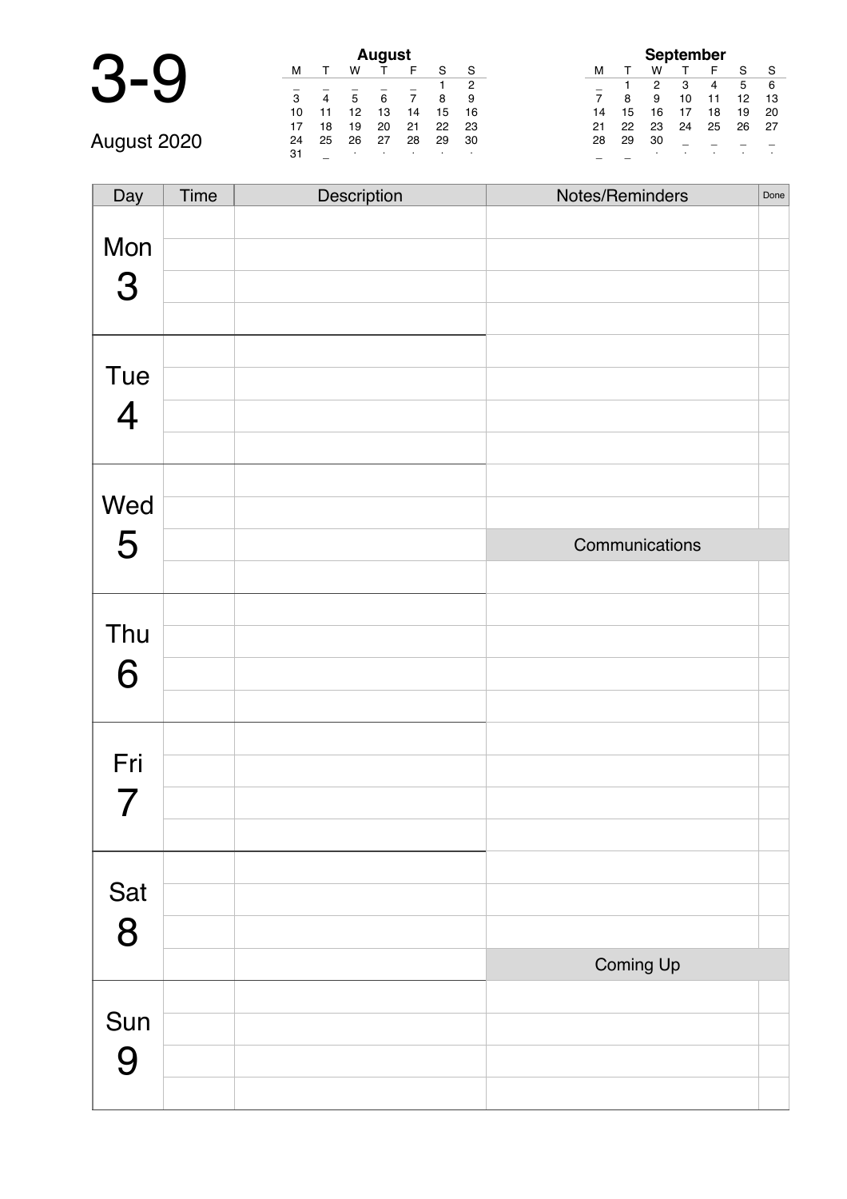| $\bullet$<br>J<br>₩ |  |
|---------------------|--|
|---------------------|--|

| <b>August</b> |    |    |    |    |    |    |    |  |
|---------------|----|----|----|----|----|----|----|--|
|               | М  |    | w  |    |    |    |    |  |
|               |    |    |    |    |    |    | 2  |  |
|               | 3  | 4  | 5  | 6  |    | 8  | 9  |  |
|               | 10 |    | 12 | 13 | 14 | 15 | 16 |  |
|               | 17 | 18 | 19 | 20 | 21 | 22 | 23 |  |
| August 2020   | 24 | 25 | 26 | 27 | 28 | 29 | 30 |  |
|               | 31 |    | ٠  |    |    |    |    |  |

| <b>September</b> |    |    |    |    |    |    |  |  |
|------------------|----|----|----|----|----|----|--|--|
| м                |    | w  |    | F  | S  | S  |  |  |
|                  |    | 2  | з  | 4  | 5  | 6  |  |  |
| 7                | 8  | 9  | 10 | 11 | 12 | 13 |  |  |
| 14               | 15 | 16 | 17 | 18 | 19 | 20 |  |  |
| 21               | 22 | 23 | 24 | 25 | 26 | 27 |  |  |
| 28               | 29 | 30 |    |    |    |    |  |  |
|                  |    |    |    |    |    |    |  |  |

| Day            | Time | Description | Notes/Reminders | Done |
|----------------|------|-------------|-----------------|------|
| Mon<br>3       |      |             |                 |      |
| Tue            |      |             |                 |      |
| $\overline{4}$ |      |             |                 |      |
| Wed            |      |             |                 |      |
| 5              |      |             | Communications  |      |
|                |      |             |                 |      |
| Thu            |      |             |                 |      |
| 6              |      |             |                 |      |
|                |      |             |                 |      |
| Fri            |      |             |                 |      |
| 7              |      |             |                 |      |
|                |      |             |                 |      |
| Sat            |      |             |                 |      |
| 8              |      |             |                 |      |
|                |      |             | Coming Up       |      |
| Sun            |      |             |                 |      |
| 9              |      |             |                 |      |
|                |      |             |                 |      |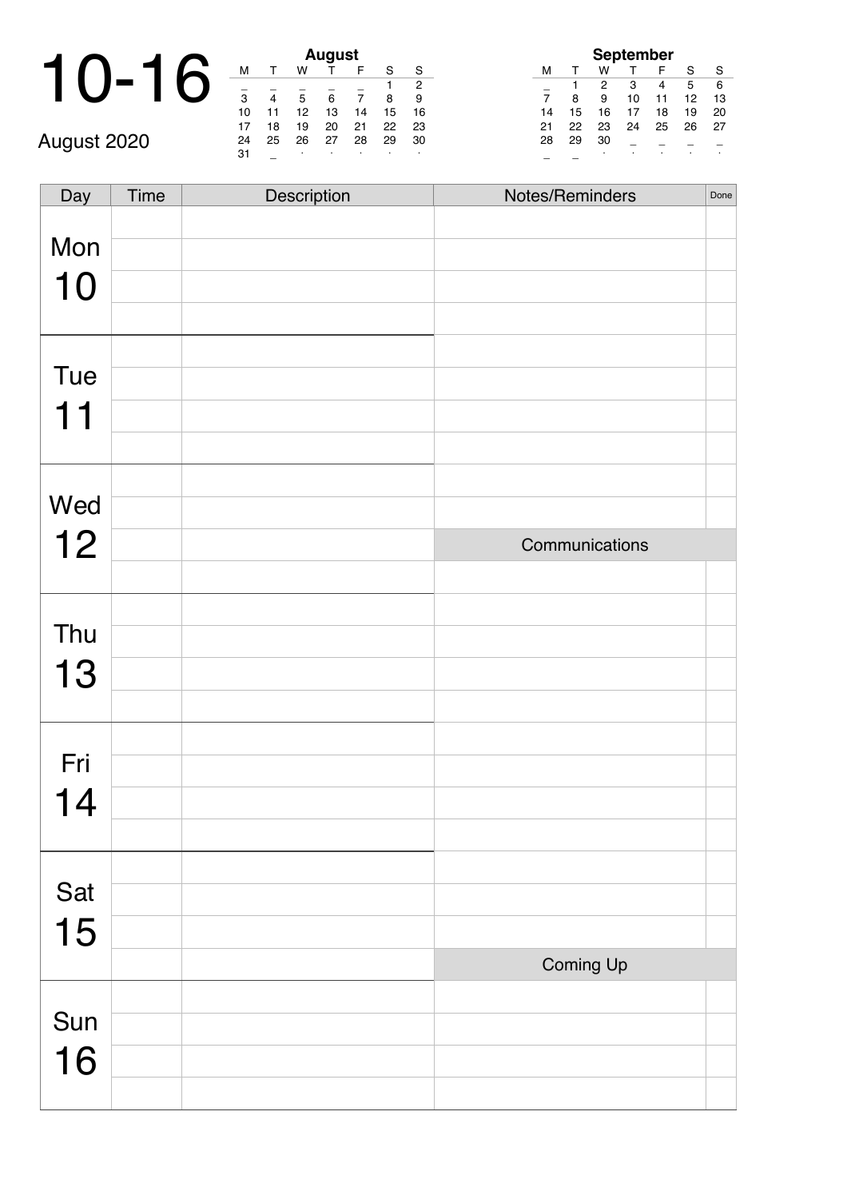#### 10-16 \_ \_ <sup>∙</sup> <sup>∙</sup> <sup>∙</sup> <sup>∙</sup> <sup>∙</sup> August 2020

| August |    |    |    |    |    |                |  |  |
|--------|----|----|----|----|----|----------------|--|--|
| м      |    | w  |    | F  | S  | S              |  |  |
|        |    |    |    |    |    | $\overline{2}$ |  |  |
| 3      |    | 5  | 6  | 7  | 8  | 9              |  |  |
| 10     | 11 | 12 | 13 | 14 | 15 | 16             |  |  |
| 17     | 18 | 19 | 20 | 21 | 22 | 23             |  |  |
| 24     | 25 | 26 | 27 | 28 | 29 | 30             |  |  |
| 31     |    | ٠  |    |    | ٠  | ٠              |  |  |

| <b>September</b> |    |    |    |    |    |    |  |
|------------------|----|----|----|----|----|----|--|
| м                | л. | w  |    | F  | S  | S  |  |
|                  |    | 2  | 3  | 4  | 5  | 6  |  |
|                  | 8  | 9  | 10 | 11 | 12 | 13 |  |
| 14               | 15 | 16 | 17 | 18 | 19 | 20 |  |
| 21               | 22 | 23 | 24 | 25 | 26 | 27 |  |
| 28               | 29 | 30 |    |    |    |    |  |
|                  |    | ٠  |    |    |    |    |  |

| Day | Time | Description | Notes/Reminders | Done |
|-----|------|-------------|-----------------|------|
|     |      |             |                 |      |
| Mon |      |             |                 |      |
| 10  |      |             |                 |      |
|     |      |             |                 |      |
|     |      |             |                 |      |
| Tue |      |             |                 |      |
| 11  |      |             |                 |      |
|     |      |             |                 |      |
|     |      |             |                 |      |
| Wed |      |             |                 |      |
| 12  |      |             | Communications  |      |
|     |      |             |                 |      |
|     |      |             |                 |      |
| Thu |      |             |                 |      |
| 13  |      |             |                 |      |
|     |      |             |                 |      |
|     |      |             |                 |      |
| Fri |      |             |                 |      |
| 14  |      |             |                 |      |
|     |      |             |                 |      |
|     |      |             |                 |      |
| Sat |      |             |                 |      |
| 15  |      |             |                 |      |
|     |      |             | Coming Up       |      |
|     |      |             |                 |      |
| Sun |      |             |                 |      |
| 16  |      |             |                 |      |
|     |      |             |                 |      |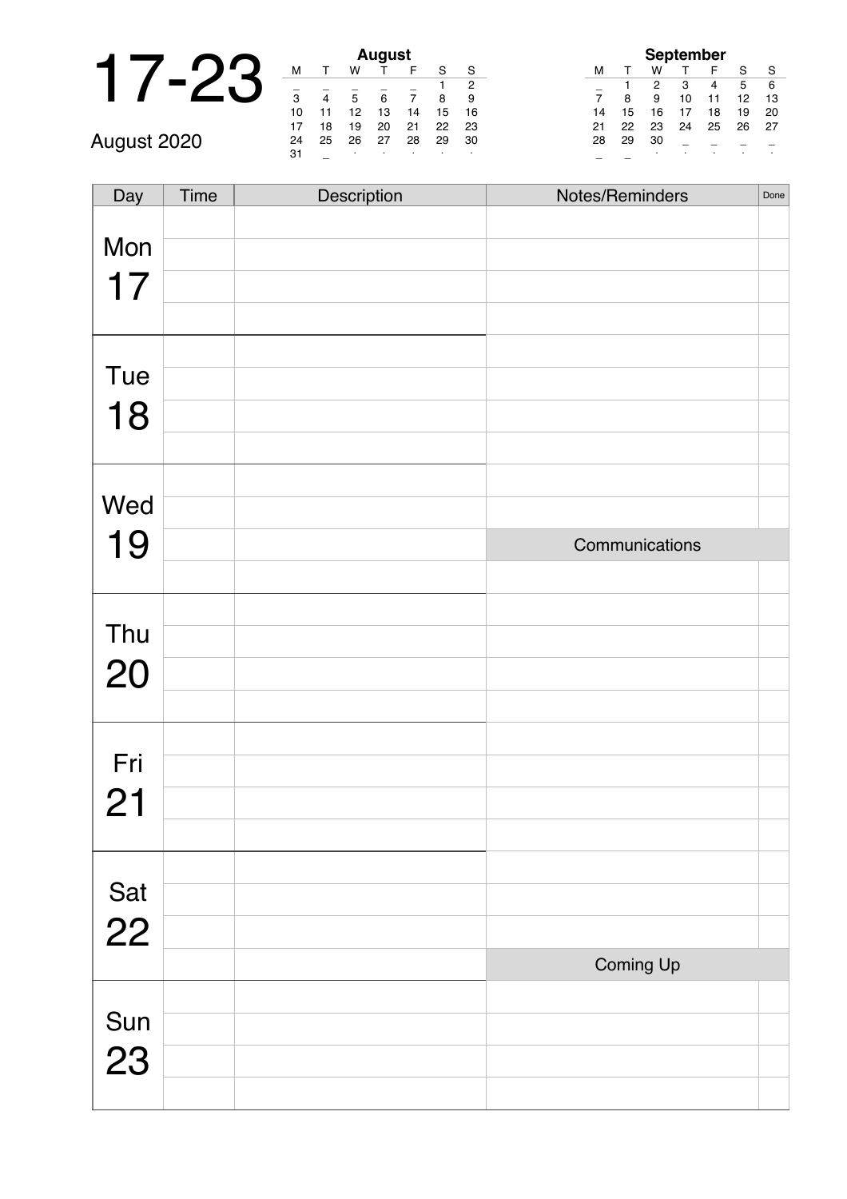|             |     |    |    | <b>August</b> |   |
|-------------|-----|----|----|---------------|---|
|             | м   |    | w  |               |   |
|             | 3   |    | 5  | 6             |   |
|             | 10  |    | 12 | 13            |   |
|             | 17  | 18 | 19 | 20            | ź |
| August 2020 | 24  | 25 | 26 | 27            | ۶ |
|             | -21 |    |    |               |   |

| August |    |    |    |    |    |    |  |  |
|--------|----|----|----|----|----|----|--|--|
| м      |    | w  |    | F  | S  | S  |  |  |
|        |    |    |    |    |    | 2  |  |  |
| 3      |    | 5  | 6  |    | 8  | 9  |  |  |
| 10     | 11 | 12 | 13 | 14 | 15 | 16 |  |  |
| 17     | 18 | 19 | 20 | 21 | 22 | 23 |  |  |
| 24     | 25 | 26 | 27 | 28 | 29 | 30 |  |  |
| 31     |    | ٠  |    | ٠  |    | ٠  |  |  |

|    |    |    | <b>September</b> |    |    |    |
|----|----|----|------------------|----|----|----|
| м  |    | w  |                  | F  | S  | S  |
|    |    | 2  | 3                | 4  | 5  | 6  |
|    | 8  | 9  | 10               | 11 | 12 | 13 |
| 14 | 15 | 16 | 17               | 18 | 19 | 20 |
| 21 | 22 | 23 | 24               | 25 | 26 | 27 |
| 28 | 29 | 30 |                  |    |    |    |
|    |    | ٠  |                  |    |    |    |

| Day       | Time | Description | Notes/Reminders | Done |
|-----------|------|-------------|-----------------|------|
|           |      |             |                 |      |
| Mon       |      |             |                 |      |
| 17        |      |             |                 |      |
|           |      |             |                 |      |
|           |      |             |                 |      |
| Tue       |      |             |                 |      |
| 18        |      |             |                 |      |
|           |      |             |                 |      |
|           |      |             |                 |      |
| Wed       |      |             |                 |      |
| 19        |      |             | Communications  |      |
|           |      |             |                 |      |
|           |      |             |                 |      |
| Thu       |      |             |                 |      |
| 20        |      |             |                 |      |
|           |      |             |                 |      |
|           |      |             |                 |      |
| Fri       |      |             |                 |      |
| 21        |      |             |                 |      |
|           |      |             |                 |      |
|           |      |             |                 |      |
| Sat<br>22 |      |             |                 |      |
|           |      |             |                 |      |
|           |      |             | Coming Up       |      |
|           |      |             |                 |      |
| Sun<br>23 |      |             |                 |      |
|           |      |             |                 |      |
|           |      |             |                 |      |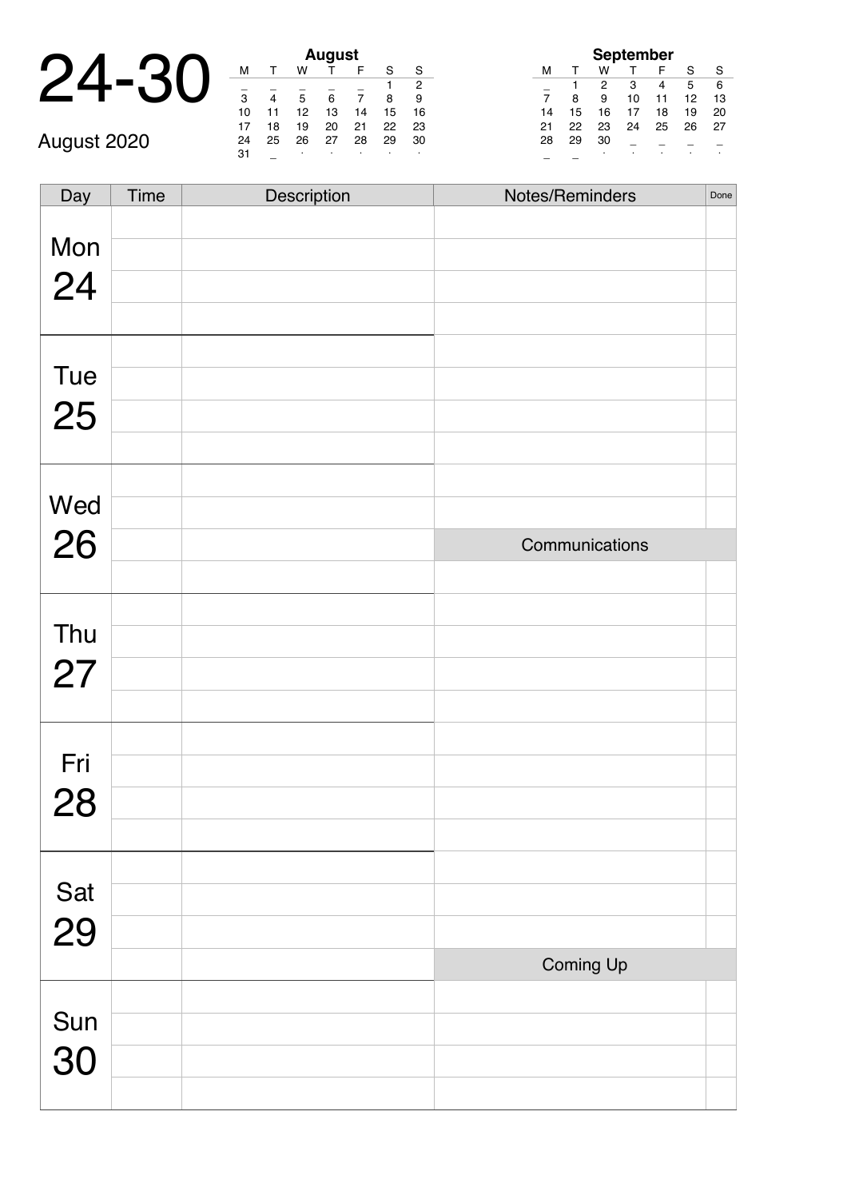### 24-30 **August**

\_ \_ <sup>∙</sup> <sup>∙</sup> <sup>∙</sup> <sup>∙</sup> <sup>∙</sup> August 2020

|    |    |    | August |    |    |    |
|----|----|----|--------|----|----|----|
| м  |    | w  |        | F  | S  | S  |
|    |    |    |        |    |    | 2  |
| 3  | 4  | 5  | 6      | 7  | 8  | 9  |
| 10 | 11 | 12 | 13     | 14 | 15 | 16 |
| 17 | 18 | 19 | 20     | 21 | 22 | 23 |
| 24 | 25 | 26 | 27     | 28 | 29 | 30 |
| 31 |    | ٠  |        |    |    | ٠  |

| <b>September</b> |    |    |    |    |    |    |  |
|------------------|----|----|----|----|----|----|--|
| м                |    | w  |    | F  | S  | S  |  |
|                  |    | 2  | з  |    | 5  | 6  |  |
| $\overline{7}$   | 8  | 9  | 10 | 11 | 12 | 13 |  |
| 14               | 15 | 16 | 17 | 18 | 19 | 20 |  |
| 21               | 22 | 23 | 24 | 25 | 26 | 27 |  |
| 28               | 29 | 30 |    |    |    |    |  |
|                  |    | ٠  |    |    |    |    |  |

| Day       | Time | Description | Notes/Reminders | Done |
|-----------|------|-------------|-----------------|------|
| Mon       |      |             |                 |      |
| 24        |      |             |                 |      |
|           |      |             |                 |      |
|           |      |             |                 |      |
| Tue       |      |             |                 |      |
| 25        |      |             |                 |      |
|           |      |             |                 |      |
| Wed       |      |             |                 |      |
|           |      |             |                 |      |
| 26        |      |             | Communications  |      |
|           |      |             |                 |      |
| Thu       |      |             |                 |      |
|           |      |             |                 |      |
| 27        |      |             |                 |      |
|           |      |             |                 |      |
| Fri       |      |             |                 |      |
|           |      |             |                 |      |
| 28        |      |             |                 |      |
|           |      |             |                 |      |
|           |      |             |                 |      |
| Sat<br>29 |      |             |                 |      |
|           |      |             | Coming Up       |      |
|           |      |             |                 |      |
|           |      |             |                 |      |
| Sun<br>30 |      |             |                 |      |
|           |      |             |                 |      |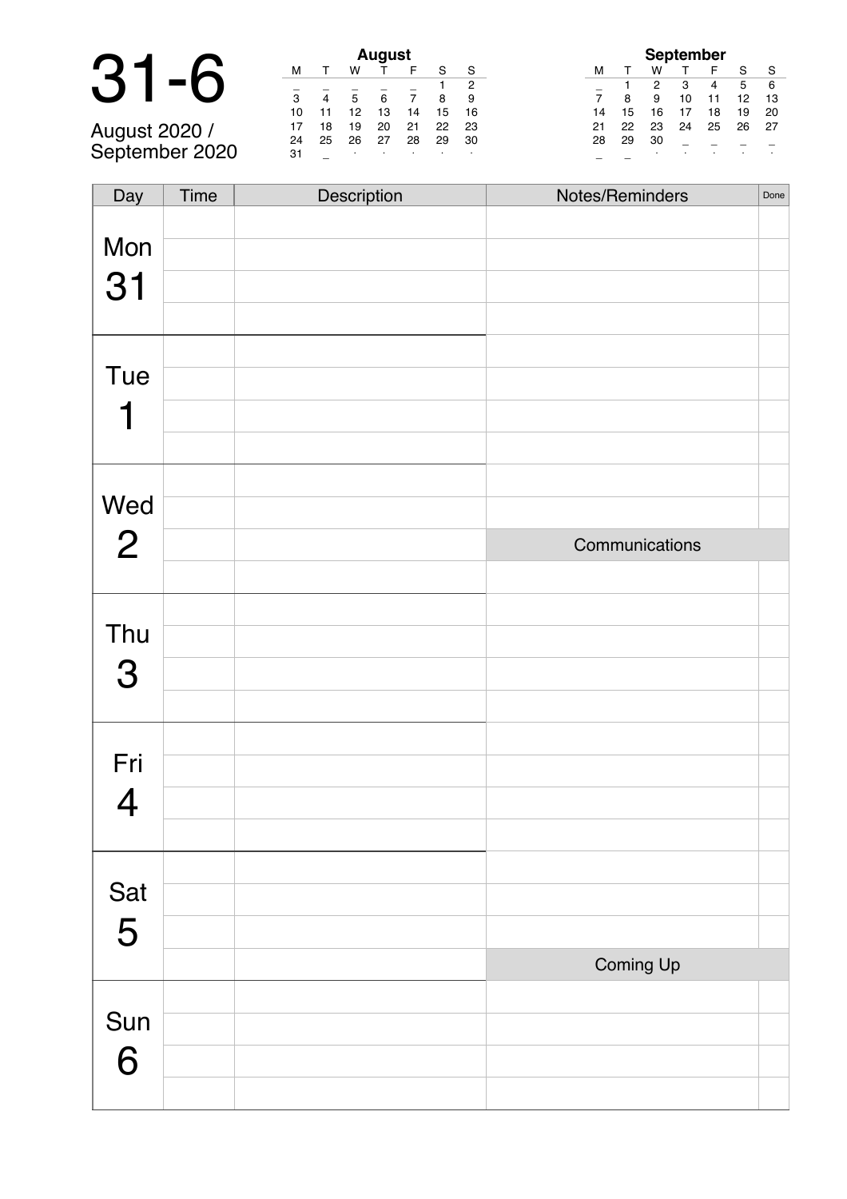# 31-6 **August**

August 2020 / September 2020

| August |    |    |    |    |    |    |  |  |
|--------|----|----|----|----|----|----|--|--|
| м      |    | w  |    | F  | S  | S  |  |  |
|        |    |    |    |    | 1  | 2  |  |  |
| 3      |    | 5  | 6  | 7  | 8  | 9  |  |  |
| 10     | 11 | 12 | 13 | 14 | 15 | 16 |  |  |
| 17     | 18 | 19 | 20 | 21 | 22 | 23 |  |  |
| 24     | 25 | 26 | 27 | 28 | 29 | 30 |  |  |
| 31     |    | ٠  |    |    | ٠  | ٠  |  |  |

|                |    |    | <b>September</b> |    |    |    |
|----------------|----|----|------------------|----|----|----|
| м              |    | w  |                  | F  | S  | S  |
|                |    | 2  | 3                | 4  | 5  | 6  |
| $\overline{7}$ | 8  | 9  | 10               | 11 | 12 | 13 |
| 14             | 15 | 16 | 17               | 18 | 19 | 20 |
| 21             | 22 | 23 | 24               | 25 | 26 | 27 |
| 28             | 29 | 30 |                  |    |    |    |
|                |    |    |                  |    |    |    |

| Day            | Time | Description | Notes/Reminders | Done |
|----------------|------|-------------|-----------------|------|
|                |      |             |                 |      |
| Mon            |      |             |                 |      |
| 31             |      |             |                 |      |
|                |      |             |                 |      |
|                |      |             |                 |      |
| Tue            |      |             |                 |      |
| 1              |      |             |                 |      |
|                |      |             |                 |      |
|                |      |             |                 |      |
| Wed            |      |             |                 |      |
| $\overline{2}$ |      |             | Communications  |      |
|                |      |             |                 |      |
|                |      |             |                 |      |
| Thu            |      |             |                 |      |
| 3              |      |             |                 |      |
|                |      |             |                 |      |
|                |      |             |                 |      |
| Fri            |      |             |                 |      |
| 4              |      |             |                 |      |
|                |      |             |                 |      |
|                |      |             |                 |      |
| Sat            |      |             |                 |      |
| 5              |      |             |                 |      |
|                |      |             | Coming Up       |      |
|                |      |             |                 |      |
| Sun            |      |             |                 |      |
| 6              |      |             |                 |      |
|                |      |             |                 |      |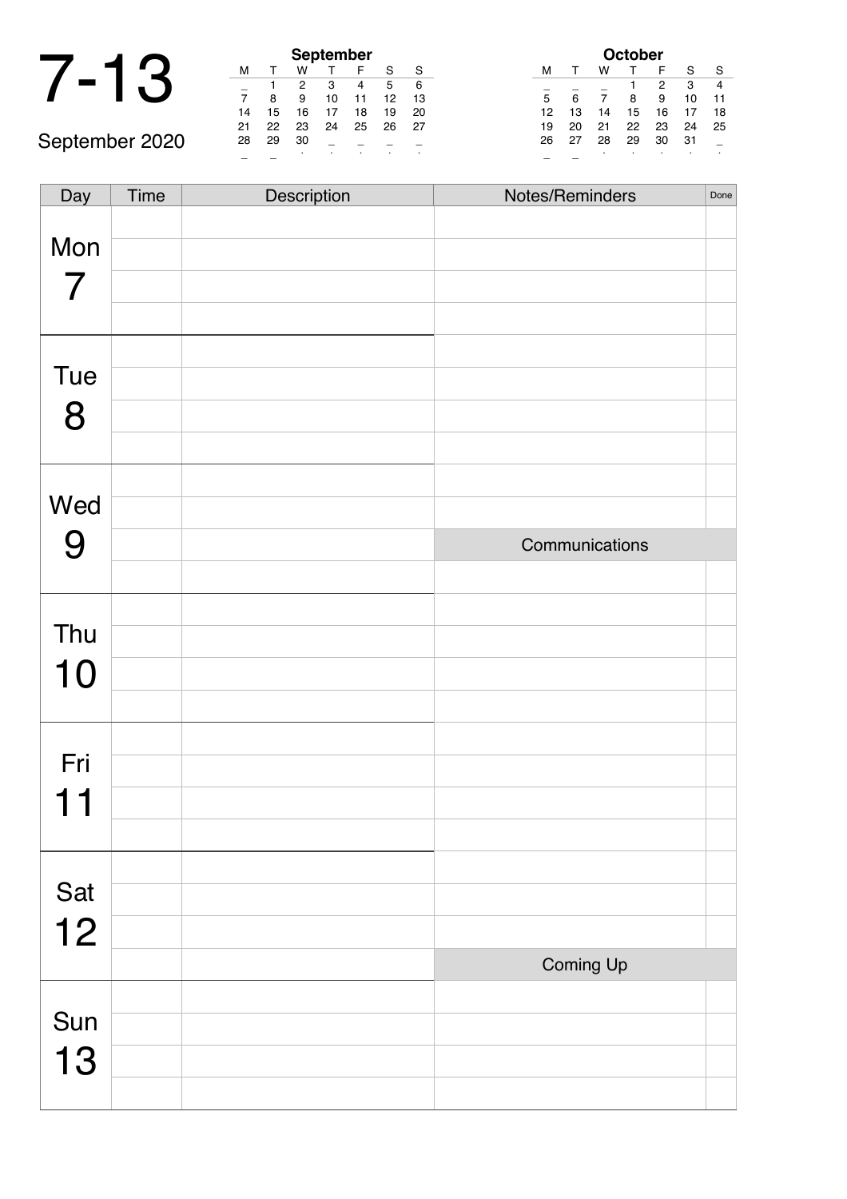## 7-13 **September**

|    |    |    | <b>September</b> |    |    |    |
|----|----|----|------------------|----|----|----|
| м  |    | w  |                  | F  | S  | S  |
|    |    | 2  | 3                | 4  | 5  | 6  |
| 7  | 8  | 9  | 10               | 11 | 12 | 13 |
| 14 | 15 | 16 | 17               | 18 | 19 | 20 |
| 21 | 22 | 23 | 24               | 25 | 26 | 27 |
| 28 | 29 | 30 |                  |    |    |    |
|    |    |    |                  |    |    |    |

| <b>October</b> |    |    |    |    |    |    |
|----------------|----|----|----|----|----|----|
| м              |    | w  |    | F  | S  | S  |
|                |    |    | 1  | 2  | 3  |    |
| 5              | 6  | 7  | 8  | 9  | 10 | 11 |
| 12             | 13 | 14 | 15 | 16 | 17 | 18 |
| 19             | 20 | 21 | 22 | 23 | 24 | 25 |
| 26             | 27 | 28 | 29 | 30 | 31 |    |
|                |    | ٠  |    |    |    | ٠  |

September 2020 Day Time Description Notes/Reminders Done

| Mon |                |  |
|-----|----------------|--|
| 7   |                |  |
|     |                |  |
|     |                |  |
| Tue |                |  |
| 8   |                |  |
|     |                |  |
|     |                |  |
| Wed |                |  |
| 9   | Communications |  |
|     |                |  |
|     |                |  |
| Thu |                |  |
| 10  |                |  |
|     |                |  |
|     |                |  |
| Fri |                |  |
| 11  |                |  |
|     |                |  |
|     |                |  |
| Sat |                |  |
| 12  |                |  |
|     | Coming Up      |  |
| Sun |                |  |
|     |                |  |
| 13  |                |  |
|     |                |  |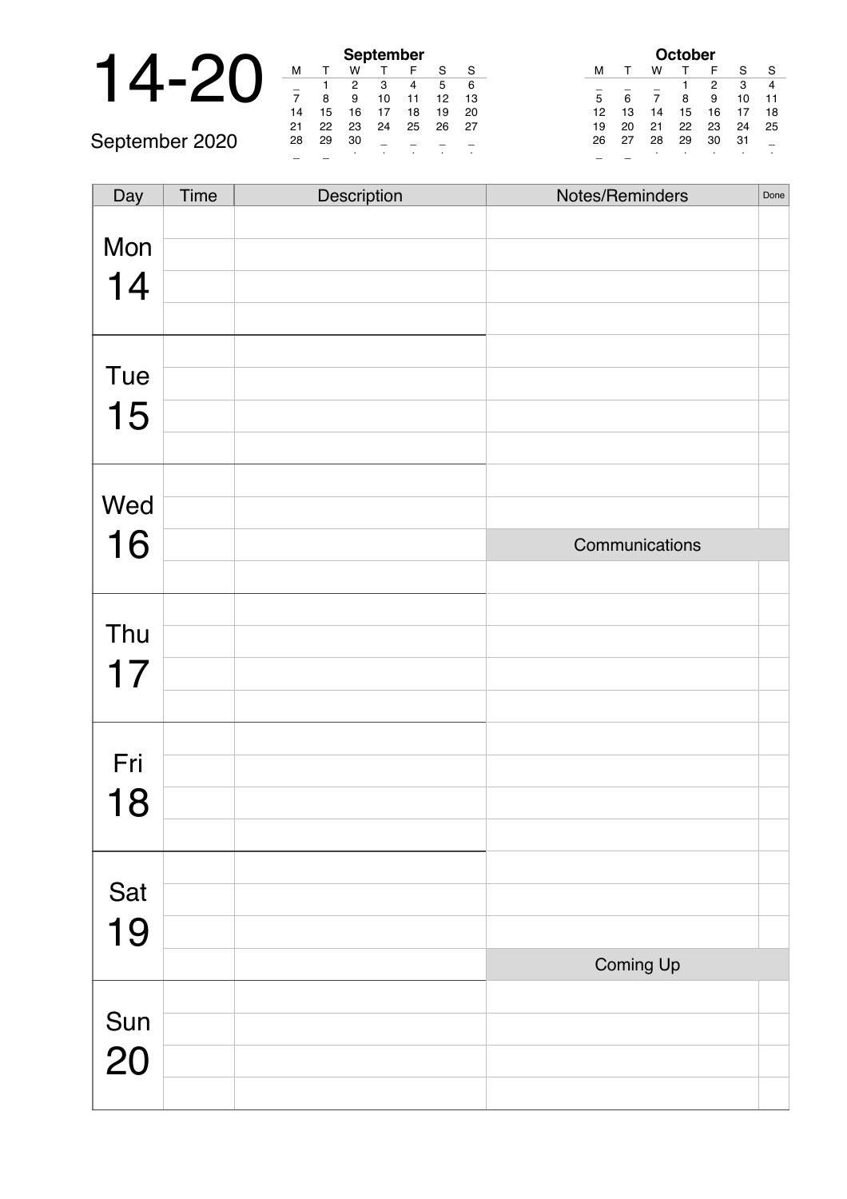|  |        |    | September |           |     |
|--|--------|----|-----------|-----------|-----|
|  |        |    |           |           |     |
|  |        |    |           |           |     |
|  |        |    |           | 10        |     |
|  | 14     | 15 | 16        |           | 18  |
|  | $\sim$ | nn | nn        | $\bigcap$ | OE. |

September 2020

|                | <b>September</b> |    |    |    |    |    |  |  |
|----------------|------------------|----|----|----|----|----|--|--|
| м              |                  | w  |    | F  | S  | S  |  |  |
|                |                  | 2  | з  | 4  | 5  | 6  |  |  |
| $\overline{7}$ | 8                | 9  | 10 | 11 | 12 | 13 |  |  |
| 14             | 15               | 16 | 17 | 18 | 19 | 20 |  |  |
| 21             | 22               | 23 | 24 | 25 | 26 | 27 |  |  |
| 28             | 29               | 30 |    |    |    |    |  |  |
|                |                  | ٠  |    |    |    |    |  |  |

|    |              |    | October |    |    |    |
|----|--------------|----|---------|----|----|----|
| м  | $\mathsf{T}$ | w  |         | F  | S  | S  |
|    |              |    |         | 2  | 3  |    |
| 5  | 6            | 7  | 8       | 9  | 10 | 11 |
| 12 | 13           | 14 | 15      | 16 | 17 | 18 |
| 19 | 20           | 21 | 22      | 23 | 24 | 25 |
| 26 | 27           | 28 | 29      | 30 | 31 |    |
|    |              |    |         |    |    |    |

| Day       | Time | Description | Notes/Reminders | Done |
|-----------|------|-------------|-----------------|------|
|           |      |             |                 |      |
| Mon       |      |             |                 |      |
| 14        |      |             |                 |      |
|           |      |             |                 |      |
|           |      |             |                 |      |
| Tue       |      |             |                 |      |
|           |      |             |                 |      |
| 15        |      |             |                 |      |
|           |      |             |                 |      |
| Wed       |      |             |                 |      |
|           |      |             |                 |      |
| 16        |      |             | Communications  |      |
|           |      |             |                 |      |
|           |      |             |                 |      |
| Thu       |      |             |                 |      |
| 17        |      |             |                 |      |
|           |      |             |                 |      |
|           |      |             |                 |      |
| Fri       |      |             |                 |      |
| 18        |      |             |                 |      |
|           |      |             |                 |      |
|           |      |             |                 |      |
| Sat       |      |             |                 |      |
|           |      |             |                 |      |
| 19        |      |             |                 |      |
|           |      |             | Coming Up       |      |
|           |      |             |                 |      |
| Sun<br>20 |      |             |                 |      |
|           |      |             |                 |      |
|           |      |             |                 |      |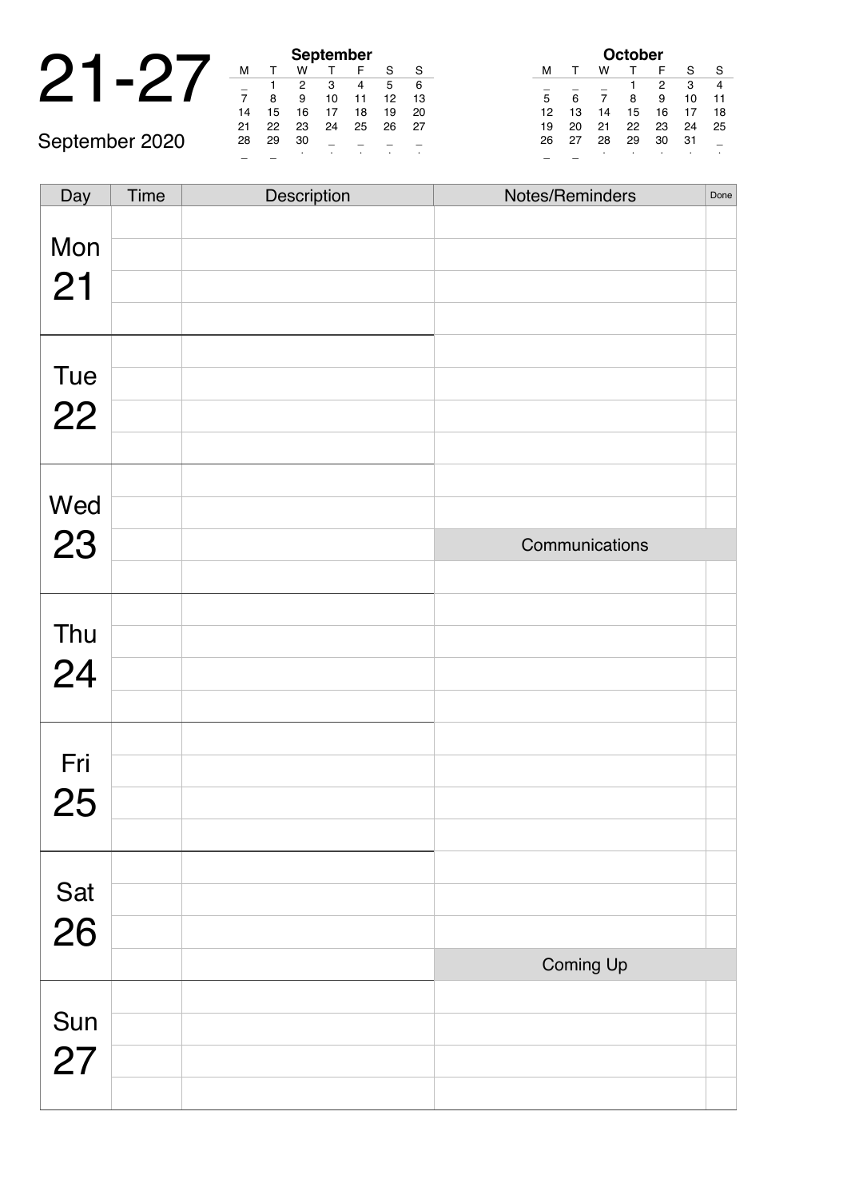|  |               |      |    | September     |     |
|--|---------------|------|----|---------------|-----|
|  |               |      |    |               |     |
|  |               |      |    |               |     |
|  |               |      |    | 10            |     |
|  | 14            | 15   | 6  |               | 18  |
|  | $\sim$ $\sim$ | $-1$ | -- | $\sim$ $\sim$ | $-$ |

September 2020

|    |    |    | <b>September</b> |    |    |    |
|----|----|----|------------------|----|----|----|
| м  | т  | w  |                  | F  | S  | S  |
|    |    | 2  | 3                | 4  | 5  | 6  |
| 7  | 8  | 9  | 10               | 11 | 12 | 13 |
| 14 | 15 | 16 | 17               | 18 | 19 | 20 |
| 21 | 22 | 23 | 24               | 25 | 26 | 27 |
| 28 | 29 | 30 |                  |    |    |    |
|    |    |    |                  |    |    |    |

| <b>October</b> |    |    |    |    |    |    |  |
|----------------|----|----|----|----|----|----|--|
| м              |    | w  |    | F  | S  | S  |  |
|                |    |    |    | 2  | 3  |    |  |
| 5              | 6  |    | 8  | 9  | 10 | 11 |  |
| 12             | 13 | 14 | 15 | 16 | 17 | 18 |  |
| 19             | 20 | 21 | 22 | 23 | 24 | 25 |  |
| 26             | 27 | 28 | 29 | 30 | 31 |    |  |
|                |    | ٠  | ٠  |    |    | ٠  |  |

| Day       | Time | Description | Notes/Reminders | Done |
|-----------|------|-------------|-----------------|------|
| Mon       |      |             |                 |      |
| 21        |      |             |                 |      |
| Tue       |      |             |                 |      |
| 22        |      |             |                 |      |
|           |      |             |                 |      |
| Wed       |      |             |                 |      |
| 23        |      |             | Communications  |      |
|           |      |             |                 |      |
| Thu       |      |             |                 |      |
| 24        |      |             |                 |      |
|           |      |             |                 |      |
| Fri       |      |             |                 |      |
| 25        |      |             |                 |      |
|           |      |             |                 |      |
|           |      |             |                 |      |
| Sat<br>26 |      |             |                 |      |
|           |      |             |                 |      |
|           |      |             | Coming Up       |      |
|           |      |             |                 |      |
| Sun<br>27 |      |             |                 |      |
|           |      |             |                 |      |
|           |      |             |                 |      |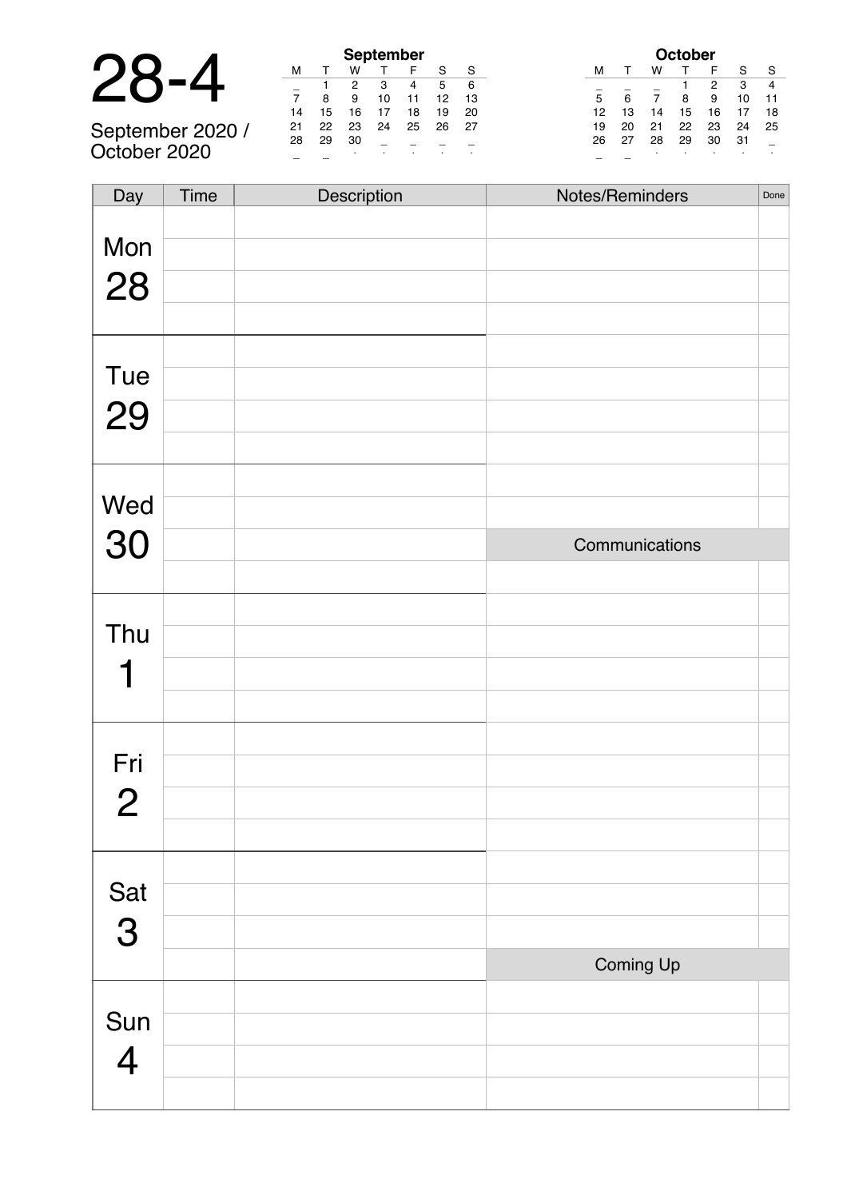| n (<br>$\overline{1}$<br>0- | $-4$ |
|-----------------------------|------|
|-----------------------------|------|

|                  | <b>September</b> |    |    |    |    |    |    |  |  |
|------------------|------------------|----|----|----|----|----|----|--|--|
|                  | м                |    | w  |    |    |    |    |  |  |
|                  |                  |    |    |    |    | 5  | 6  |  |  |
|                  |                  | я  | 9  | 10 |    | 12 | 13 |  |  |
|                  | 14               | 15 | 16 |    | 18 | 19 | 20 |  |  |
| September 2020 / | 21               | 22 | 23 | 24 | 25 | 26 | 27 |  |  |
|                  | 28               | 29 | 30 |    |    |    |    |  |  |
| October 2020     |                  |    |    |    |    |    |    |  |  |

|    |    |    | <b>October</b> |    |    |    |
|----|----|----|----------------|----|----|----|
| м  |    | w  |                | F  | S  | S  |
|    |    |    |                | 2  | 3  |    |
| 5  | 6  | 7  | 8              | 9  | 10 | 11 |
| 12 | 13 | 14 | 15             | 16 | 17 | 18 |
| 19 | 20 | 21 | 22             | 23 | 24 | 25 |
| 26 | 27 | 28 | 29             | 30 | 31 |    |
|    |    | ٠  | ٠              |    |    |    |

| Day                                                       | Time | Description | Notes/Reminders | Done |
|-----------------------------------------------------------|------|-------------|-----------------|------|
|                                                           |      |             |                 |      |
| Mon                                                       |      |             |                 |      |
| 28                                                        |      |             |                 |      |
|                                                           |      |             |                 |      |
|                                                           |      |             |                 |      |
| Tue                                                       |      |             |                 |      |
| 29                                                        |      |             |                 |      |
|                                                           |      |             |                 |      |
|                                                           |      |             |                 |      |
| Wed                                                       |      |             |                 |      |
|                                                           |      |             | Communications  |      |
|                                                           |      |             |                 |      |
|                                                           |      |             |                 |      |
|                                                           |      |             |                 |      |
|                                                           |      |             |                 |      |
|                                                           |      |             |                 |      |
|                                                           |      |             |                 |      |
|                                                           |      |             |                 |      |
|                                                           |      |             |                 |      |
|                                                           |      |             |                 |      |
|                                                           |      |             |                 |      |
| Sat                                                       |      |             |                 |      |
|                                                           |      |             |                 |      |
|                                                           |      |             |                 |      |
|                                                           |      |             |                 |      |
| Sun                                                       |      |             |                 |      |
|                                                           |      |             |                 |      |
|                                                           |      |             |                 |      |
| 30<br>Thu<br>Fri<br>$\overline{2}$<br>3<br>$\overline{4}$ |      |             | Coming Up       |      |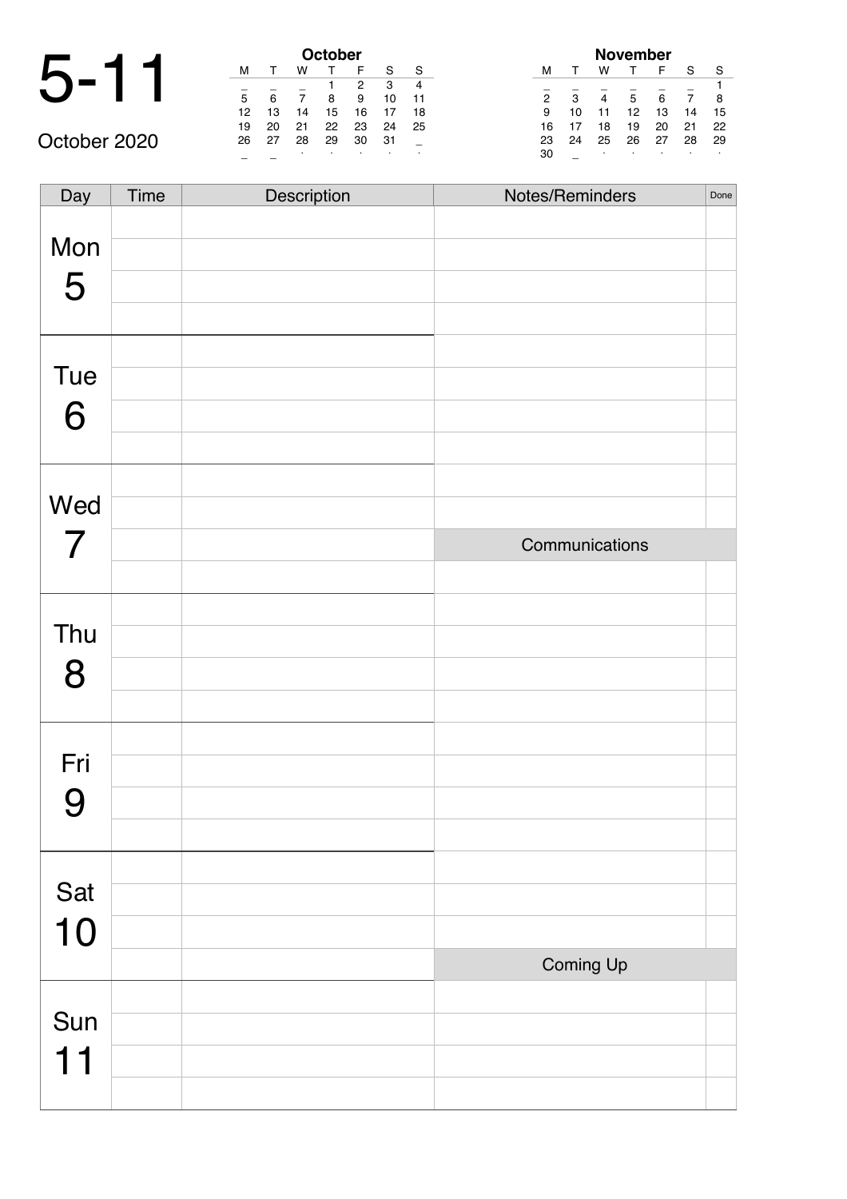|        |        |                | October |        |
|--------|--------|----------------|---------|--------|
|        |        | w              |         |        |
|        |        |                |         |        |
| 5      |        |                | 8       |        |
| 12     | 13     | 14             | 15      | 1      |
| $\sim$ | $\sim$ | $\sim$ $\cdot$ | $\sim$  | $\sim$ |

| <b>October</b> |    |    |    |    |    |    |  |  |  |
|----------------|----|----|----|----|----|----|--|--|--|
| м              |    | w  |    | F  | S  | S  |  |  |  |
|                |    |    |    | 2  | 3  |    |  |  |  |
| 5              | 6  |    | 8  | 9  | 10 | 11 |  |  |  |
| 12             | 13 | 14 | 15 | 16 | 17 | 18 |  |  |  |
| 19             | 20 | 21 | 22 | 23 | 24 | 25 |  |  |  |
| 26             | 27 | 28 | 29 | 30 | 31 |    |  |  |  |
|                |    | ٠  |    | ٠  | ٠  | ٠  |  |  |  |

| November |    |    |    |    |    |    |  |  |
|----------|----|----|----|----|----|----|--|--|
| м        |    | w  |    | F  | S  | S  |  |  |
|          |    |    |    |    |    |    |  |  |
| 2        | 3  |    | 5  | 6  |    | 8  |  |  |
| 9        | 10 | 11 | 12 | 13 | 14 | 15 |  |  |
| 16       | 17 | 18 | 19 | 20 | 21 | 22 |  |  |
| 23       | 24 | 25 | 26 | 27 | 28 | 29 |  |  |
| 30       |    | ٠  | ٠  |    | ٠  | ٠  |  |  |

October 2020

| Day                   | Time | Description | Notes/Reminders | Done |
|-----------------------|------|-------------|-----------------|------|
| Mon<br>5              |      |             |                 |      |
| Tue<br>6              |      |             |                 |      |
| Wed<br>$\overline{7}$ |      |             | Communications  |      |
|                       |      |             |                 |      |
| Thu<br>8              |      |             |                 |      |
| Fri<br>9              |      |             |                 |      |
| Sat<br>10             |      |             |                 |      |
|                       |      |             | Coming Up       |      |
| Sun<br>11             |      |             |                 |      |
|                       |      |             |                 |      |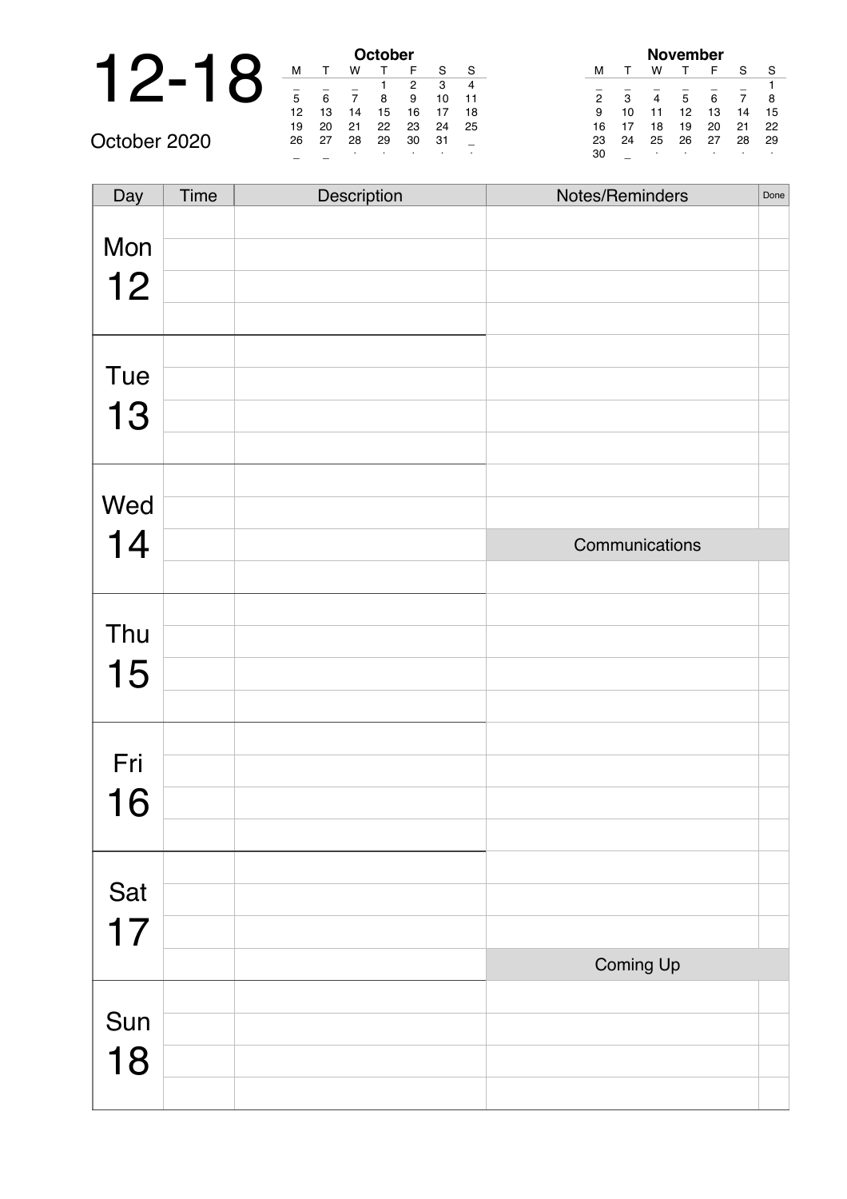#### 12-18 **October** October 2020

| October |              |    |    |    |    |    |  |  |  |  |
|---------|--------------|----|----|----|----|----|--|--|--|--|
| м       | $\mathsf{T}$ | w  |    | F  | S  | S  |  |  |  |  |
| 3<br>2  |              |    |    |    |    |    |  |  |  |  |
| 5       | 6            | 7  | 8  | 9  | 10 | 11 |  |  |  |  |
| 12      | 13           | 14 | 15 | 16 | 17 | 18 |  |  |  |  |
| 19      | 20           | 21 | 22 | 23 | 24 | 25 |  |  |  |  |
| 26      | 27           | 28 | 29 | 30 | 31 |    |  |  |  |  |
|         |              | ٠  |    |    |    |    |  |  |  |  |

| November       |    |    |    |    |    |    |  |  |  |  |
|----------------|----|----|----|----|----|----|--|--|--|--|
| м              |    | w  |    | F  | S  | S  |  |  |  |  |
|                |    |    |    |    |    |    |  |  |  |  |
| $\overline{2}$ | 3  | 4  | 5  | 6  | 7  | 8  |  |  |  |  |
| 9              | 10 | 11 | 12 | 13 | 14 | 15 |  |  |  |  |
| 16             | 17 | 18 | 19 | 20 | 21 | 22 |  |  |  |  |
| 23             | 24 | 25 | 26 | 27 | 28 | 29 |  |  |  |  |
| 30             |    | ٠  |    | ٠  |    | ٠  |  |  |  |  |

| Day | Time | Description | Notes/Reminders | Done |
|-----|------|-------------|-----------------|------|
|     |      |             |                 |      |
| Mon |      |             |                 |      |
| 12  |      |             |                 |      |
|     |      |             |                 |      |
|     |      |             |                 |      |
| Tue |      |             |                 |      |
| 13  |      |             |                 |      |
|     |      |             |                 |      |
|     |      |             |                 |      |
| Wed |      |             |                 |      |
| 14  |      |             | Communications  |      |
|     |      |             |                 |      |
|     |      |             |                 |      |
| Thu |      |             |                 |      |
| 15  |      |             |                 |      |
|     |      |             |                 |      |
|     |      |             |                 |      |
| Fri |      |             |                 |      |
| 16  |      |             |                 |      |
|     |      |             |                 |      |
|     |      |             |                 |      |
| Sat |      |             |                 |      |
| 17  |      |             |                 |      |
|     |      |             | Coming Up       |      |
|     |      |             |                 |      |
| Sun |      |             |                 |      |
| 18  |      |             |                 |      |
|     |      |             |                 |      |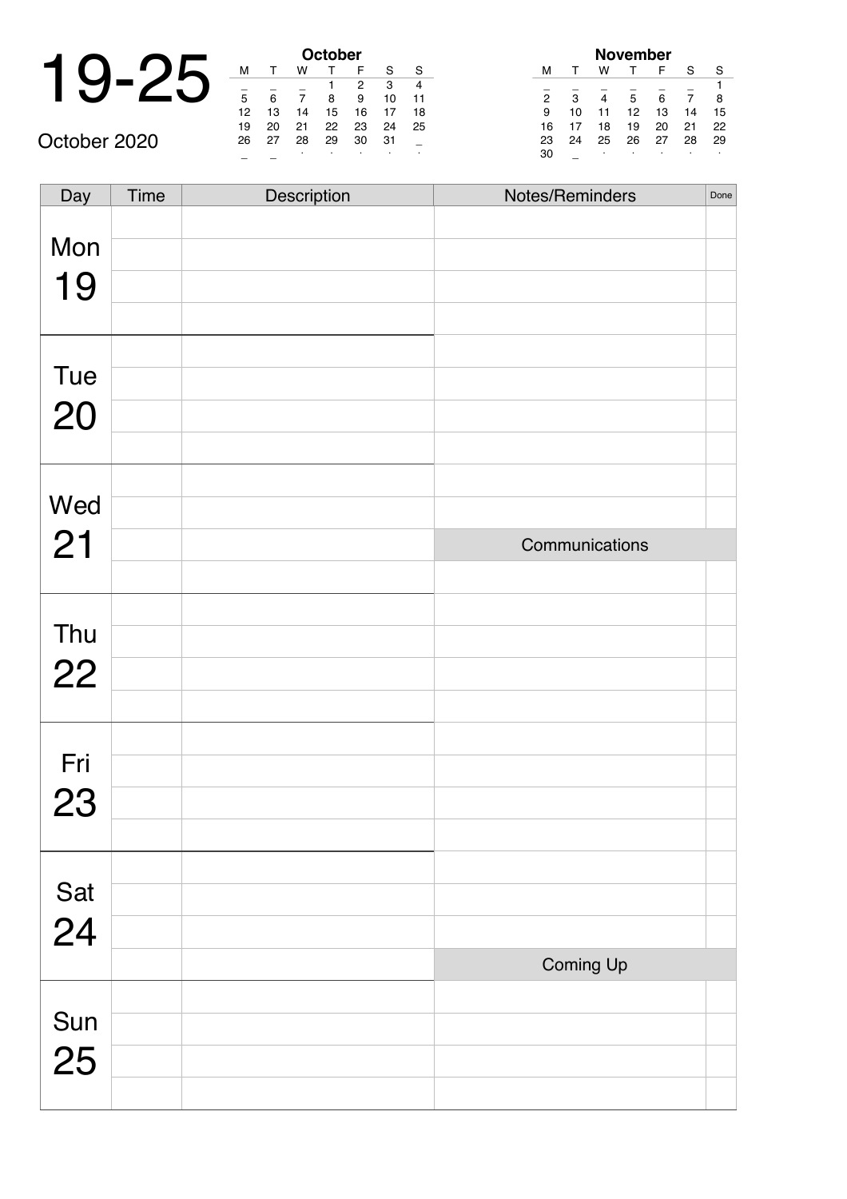|              |    |    |    | October |                |
|--------------|----|----|----|---------|----------------|
|              |    |    | w  |         |                |
|              |    |    |    |         |                |
|              |    | 6  |    | 8       | ς              |
|              | 12 | 13 | 14 | 15      | 1              |
|              | 19 | 20 | 21 | 22      | $\overline{2}$ |
| October 2020 | 26 | 27 | 28 | 29      | 3              |

|    | <b>October</b> |    |    |    |    |    |  |  |
|----|----------------|----|----|----|----|----|--|--|
| м  |                | w  |    | F  | S  | S  |  |  |
|    |                |    |    | 2  | 3  |    |  |  |
| 5  | 6              |    | 8  | 9  | 10 | 11 |  |  |
| 12 | 13             | 14 | 15 | 16 | 17 | 18 |  |  |
| 19 | 20             | 21 | 22 | 23 | 24 | 25 |  |  |
| 26 | 27             | 28 | 29 | 30 | 31 |    |  |  |
|    |                | ٠  | ٠  |    | ٠  | ٠  |  |  |

| November |    |    |    |    |    |    |  |  |
|----------|----|----|----|----|----|----|--|--|
| м        | т  | w  |    | F  | S  | S  |  |  |
|          |    |    |    |    |    |    |  |  |
| 2        | 3  | 4  | 5  | 6  | 7  | 8  |  |  |
| 9        | 10 | 11 | 12 | 13 | 14 | 15 |  |  |
| 16       | 17 | 18 | 19 | 20 | 21 | 22 |  |  |
| 23       | 24 | 25 | 26 | 27 | 28 | 29 |  |  |
| 30       |    | ٠  | ٠  |    | ٠  | ٠  |  |  |

| Day       | Time | Description | Notes/Reminders | Done |
|-----------|------|-------------|-----------------|------|
| Mon       |      |             |                 |      |
| 19        |      |             |                 |      |
|           |      |             |                 |      |
|           |      |             |                 |      |
| Tue       |      |             |                 |      |
| 20        |      |             |                 |      |
|           |      |             |                 |      |
|           |      |             |                 |      |
| Wed       |      |             |                 |      |
| 21        |      |             | Communications  |      |
|           |      |             |                 |      |
|           |      |             |                 |      |
| Thu       |      |             |                 |      |
| 22        |      |             |                 |      |
|           |      |             |                 |      |
| Fri       |      |             |                 |      |
|           |      |             |                 |      |
| 23        |      |             |                 |      |
|           |      |             |                 |      |
|           |      |             |                 |      |
| Sat<br>24 |      |             |                 |      |
|           |      |             | Coming Up       |      |
|           |      |             |                 |      |
| Sun       |      |             |                 |      |
| 25        |      |             |                 |      |
|           |      |             |                 |      |
|           |      |             |                 |      |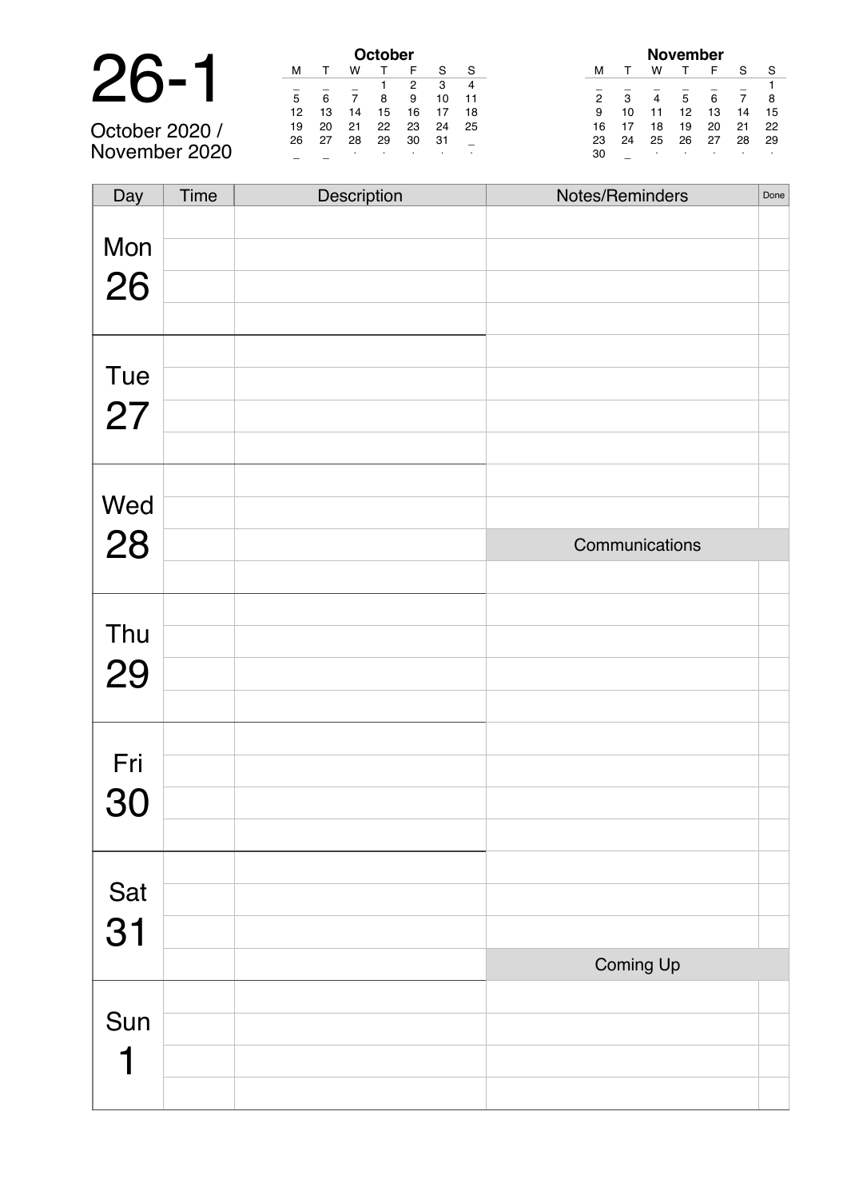|                                               |     |    |    | October |    |
|-----------------------------------------------|-----|----|----|---------|----|
| 26                                            |     |    |    |         |    |
|                                               |     |    |    |         |    |
|                                               | 5   |    |    |         |    |
|                                               | 12  | 13 | 14 | 15      | 1  |
| $\sim$ $\sim$ $\sim$<br>$\sim$ 0.000 $\prime$ | 1 Q | 20 | 21 | つつ      | ່າ |

October 2020 / November 2020

| <b>October</b> |                  |    |    |    |    |    |  |  |
|----------------|------------------|----|----|----|----|----|--|--|
| м              |                  | w  |    | F  | S  | S  |  |  |
|                |                  |    |    | 2  | 3  |    |  |  |
| 5              | 6                | 7  | 8  | 9  | 10 | 11 |  |  |
| 12             | 13               | 14 | 15 | 16 | 17 | 18 |  |  |
| 19             | 20               | 21 | 22 | 23 | 24 | 25 |  |  |
| 26             | 27               | 28 | 29 | 30 | 31 |    |  |  |
|                | ٠<br>٠<br>٠<br>٠ |    |    |    |    |    |  |  |

| November       |    |    |    |    |    |    |  |
|----------------|----|----|----|----|----|----|--|
| м              | т  | w  |    | F  | S  | S  |  |
|                |    |    |    |    |    |    |  |
| $\overline{2}$ | 3  | 4  | 5  | 6  | 7  | 8  |  |
| 9              | 10 | 11 | 12 | 13 | 14 | 15 |  |
| 16             | 17 | 18 | 19 | 20 | 21 | 22 |  |
| 23             | 24 | 25 | 26 | 27 | 28 | 29 |  |
| 30             |    | ٠  |    | ٠  |    | ٠  |  |

| Day | <b>Time</b> | Description | Notes/Reminders | Done |
|-----|-------------|-------------|-----------------|------|
|     |             |             |                 |      |
| Mon |             |             |                 |      |
| 26  |             |             |                 |      |
|     |             |             |                 |      |
|     |             |             |                 |      |
| Tue |             |             |                 |      |
|     |             |             |                 |      |
| 27  |             |             |                 |      |
|     |             |             |                 |      |
|     |             |             |                 |      |
| Wed |             |             |                 |      |
| 28  |             |             | Communications  |      |
|     |             |             |                 |      |
|     |             |             |                 |      |
| Thu |             |             |                 |      |
|     |             |             |                 |      |
| 29  |             |             |                 |      |
|     |             |             |                 |      |
|     |             |             |                 |      |
| Fri |             |             |                 |      |
| 30  |             |             |                 |      |
|     |             |             |                 |      |
|     |             |             |                 |      |
| Sat |             |             |                 |      |
|     |             |             |                 |      |
| 31  |             |             |                 |      |
|     |             |             | Coming Up       |      |
|     |             |             |                 |      |
| Sun |             |             |                 |      |
|     |             |             |                 |      |
|     |             |             |                 |      |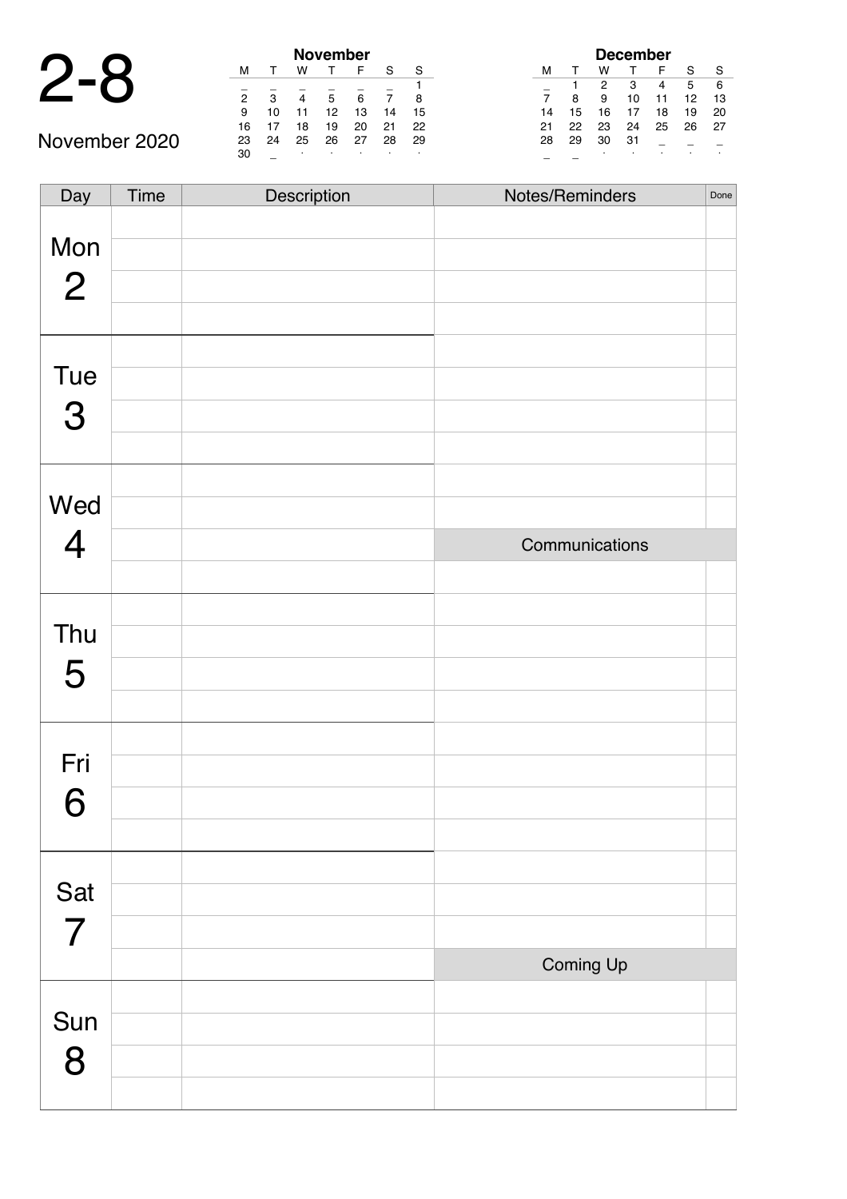#### 2-8 **November**

|    |    |    | November |    |    |    |
|----|----|----|----------|----|----|----|
| м  |    | w  |          | F  | S  | S  |
|    |    |    |          |    |    | 1  |
| 2  | 3  |    | 5        | 6  |    | 8  |
| 9  | 10 | 11 | 12       | 13 | 14 | 15 |
| 16 | 17 | 18 | 19       | 20 | 21 | 22 |
| 23 | 24 | 25 | 26       | 27 | 28 | 29 |
| 30 |    | ٠  |          | ٠  | ٠  | ٠  |

| <b>December</b> |    |    |    |    |    |    |
|-----------------|----|----|----|----|----|----|
| м               |    | w  |    | F  | S  | S  |
|                 |    | 2  | 3  | 4  | 5  | 6  |
| 7               | 8  | 9  | 10 | 11 | 12 | 13 |
| 14              | 15 | 16 | 17 | 18 | 19 | 20 |
| 21              | 22 | 23 | 24 | 25 | 26 | 27 |
| 28              | 29 | 30 | 31 |    |    |    |
|                 |    | ٠  | ٠  |    | ٠  |    |

| Day                   | Time | Description | Notes/Reminders | Done |
|-----------------------|------|-------------|-----------------|------|
| Mon<br>$\overline{2}$ |      |             |                 |      |
|                       |      |             |                 |      |
| Tue<br>3              |      |             |                 |      |
|                       |      |             |                 |      |
| Wed                   |      |             |                 |      |
| $\overline{4}$        |      |             | Communications  |      |
|                       |      |             |                 |      |
| Thu                   |      |             |                 |      |
|                       |      |             |                 |      |
| 5                     |      |             |                 |      |
|                       |      |             |                 |      |
| Fri                   |      |             |                 |      |
| 6                     |      |             |                 |      |
|                       |      |             |                 |      |
|                       |      |             |                 |      |
| Sat                   |      |             |                 |      |
| $\overline{7}$        |      |             |                 |      |
|                       |      |             | Coming Up       |      |
|                       |      |             |                 |      |
| Sun                   |      |             |                 |      |
| 8                     |      |             |                 |      |
|                       |      |             |                 |      |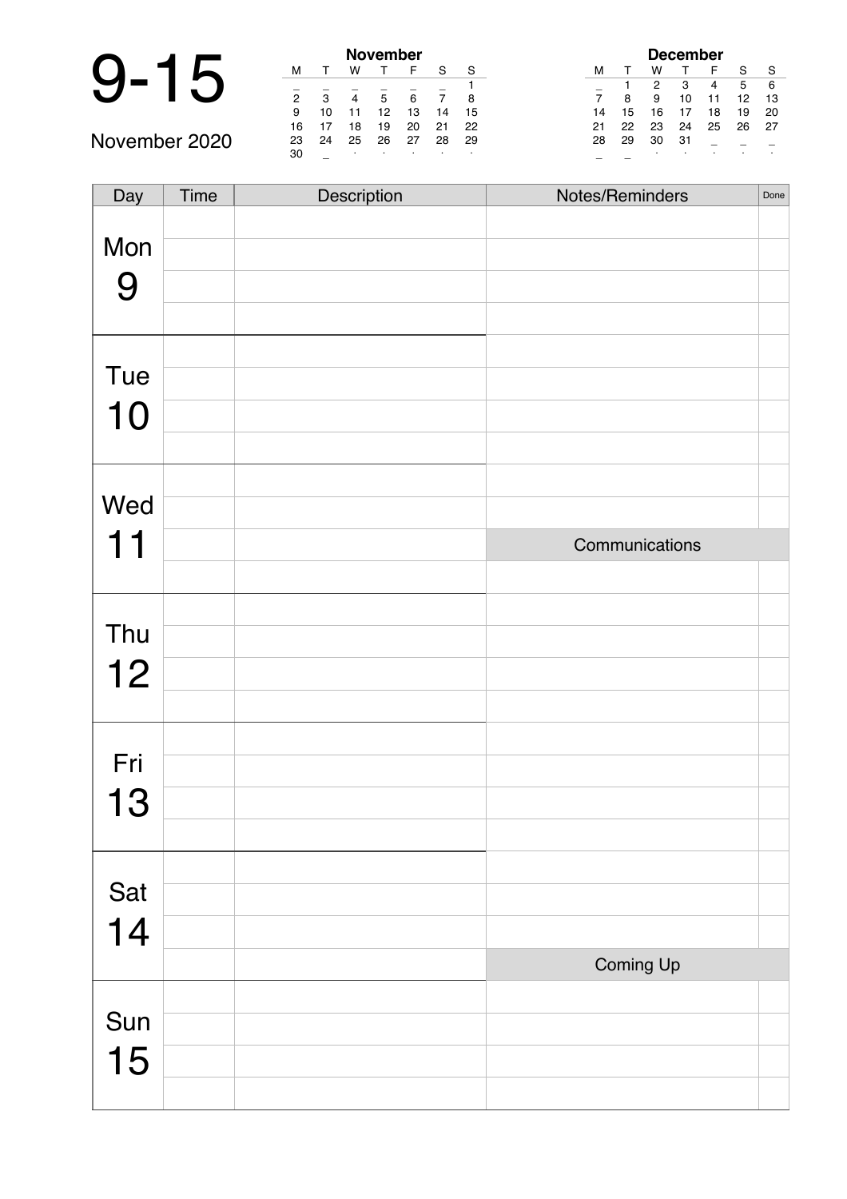# 9-15 **November**

| November       |    |    |    |    |    |    |  |  |
|----------------|----|----|----|----|----|----|--|--|
| м              |    | w  |    | F  | S  | S  |  |  |
|                |    |    |    |    |    |    |  |  |
| $\overline{2}$ | 3  | 4  | 5  | 6  |    | 8  |  |  |
| 9              | 10 | 11 | 12 | 13 | 14 | 15 |  |  |
| 16             | 17 | 18 | 19 | 20 | 21 | 22 |  |  |
| 23             | 24 | 25 | 26 | 27 | 28 | 29 |  |  |
| 30             |    | ٠  | ٠  |    | ٠  | ٠  |  |  |

| December |    |    |    |    |    |    |
|----------|----|----|----|----|----|----|
| м        |    | w  |    | F  | S  | S  |
|          | 1  | 2  | 3  | 4  | 5  | 6  |
| 7        | 8  | 9  | 10 | 11 | 12 | 13 |
| 14       | 15 | 16 | 17 | 18 | 19 | 20 |
| 21       | 22 | 23 | 24 | 25 | 26 | 27 |
| 28       | 29 | 30 | 31 |    |    |    |
|          |    | ٠  |    | ٠  |    |    |

| Day | Time | Description | Notes/Reminders | Done |
|-----|------|-------------|-----------------|------|
| Mon |      |             |                 |      |
|     |      |             |                 |      |
| 9   |      |             |                 |      |
|     |      |             |                 |      |
|     |      |             |                 |      |
| Tue |      |             |                 |      |
| 10  |      |             |                 |      |
|     |      |             |                 |      |
|     |      |             |                 |      |
| Wed |      |             |                 |      |
| 11  |      |             | Communications  |      |
|     |      |             |                 |      |
|     |      |             |                 |      |
| Thu |      |             |                 |      |
| 12  |      |             |                 |      |
|     |      |             |                 |      |
|     |      |             |                 |      |
| Fri |      |             |                 |      |
| 13  |      |             |                 |      |
|     |      |             |                 |      |
|     |      |             |                 |      |
| Sat |      |             |                 |      |
| 14  |      |             |                 |      |
|     |      |             | Coming Up       |      |
|     |      |             |                 |      |
| Sun |      |             |                 |      |
| 15  |      |             |                 |      |
|     |      |             |                 |      |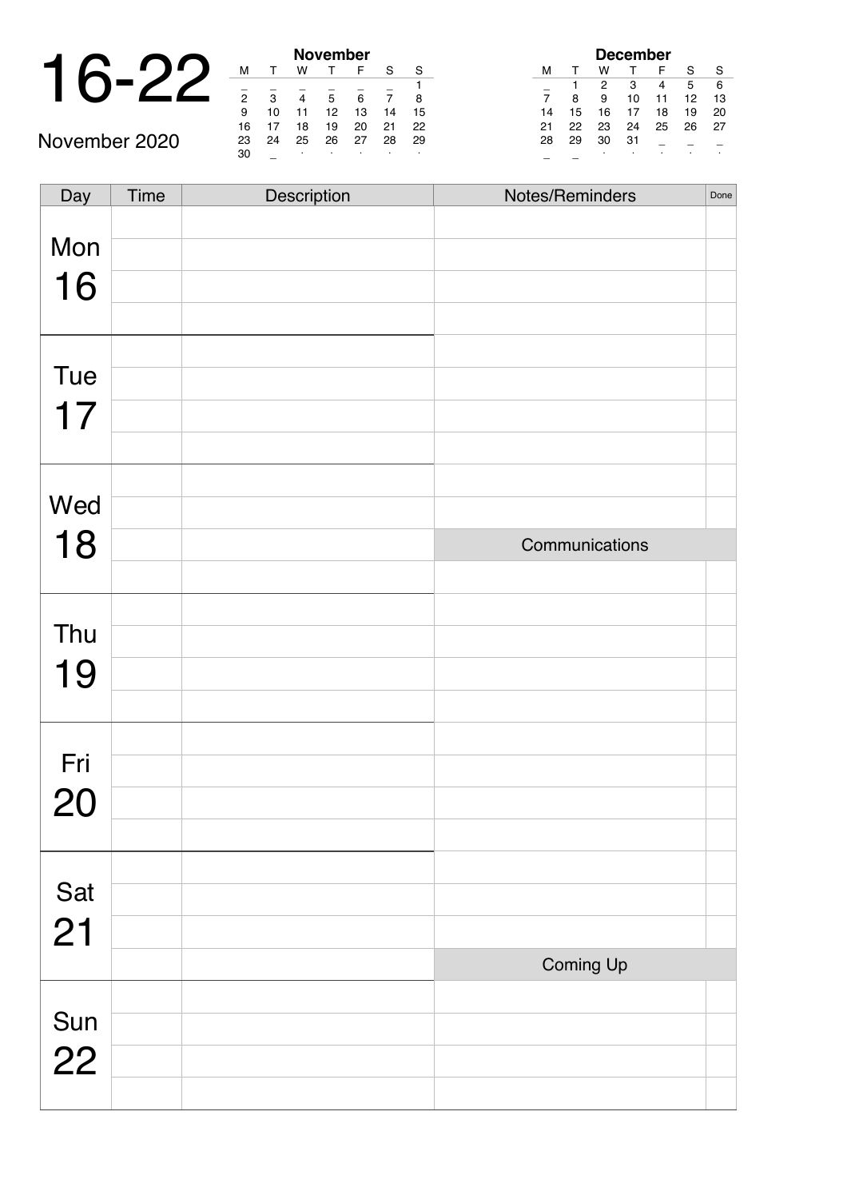|                      |  |   |    | <b>November</b> |    |
|----------------------|--|---|----|-----------------|----|
| $\blacktriangleleft$ |  |   |    |                 |    |
|                      |  |   |    |                 |    |
|                      |  | っ | ົ  |                 |    |
|                      |  | 9 | 10 | 12              | 13 |
|                      |  |   |    |                 |    |

| <b>November</b> |    |    |    |    |    |    |  |
|-----------------|----|----|----|----|----|----|--|
| м               | т  | w  | т  | F  | S  | S  |  |
|                 |    |    |    |    |    |    |  |
| $\overline{2}$  | 3  |    | 5  | 6  |    | 8  |  |
| 9               | 10 | 11 | 12 | 13 | 14 | 15 |  |
| 16              | 17 | 18 | 19 | 20 | 21 | 22 |  |
| 23              | 24 | 25 | 26 | 27 | 28 | 29 |  |
| 30              |    | ٠  | ٠  |    | ٠  | ٠  |  |

| <b>December</b> |    |    |    |    |    |    |  |
|-----------------|----|----|----|----|----|----|--|
| м               |    | w  |    | F  | S  | S  |  |
|                 | 1  | 2  | 3  | 4  | 5  | 6  |  |
| $\overline{7}$  | 8  | 9  | 10 | 11 | 12 | 13 |  |
| 14              | 15 | 16 | 17 | 18 | 19 | 20 |  |
| 21              | 22 | 23 | 24 | 25 | 26 | 27 |  |
| 28              | 29 | 30 | 31 |    |    |    |  |
|                 |    | ٠  |    |    |    |    |  |

| Day       | Time | Description | Notes/Reminders | Done |
|-----------|------|-------------|-----------------|------|
| Mon       |      |             |                 |      |
| 16        |      |             |                 |      |
|           |      |             |                 |      |
|           |      |             |                 |      |
| Tue       |      |             |                 |      |
| 17        |      |             |                 |      |
|           |      |             |                 |      |
| Wed       |      |             |                 |      |
| 18        |      |             | Communications  |      |
|           |      |             |                 |      |
|           |      |             |                 |      |
| Thu       |      |             |                 |      |
| 19        |      |             |                 |      |
|           |      |             |                 |      |
| Fri       |      |             |                 |      |
|           |      |             |                 |      |
| 20        |      |             |                 |      |
|           |      |             |                 |      |
| Sat       |      |             |                 |      |
| 21        |      |             |                 |      |
|           |      |             | Coming Up       |      |
|           |      |             |                 |      |
| Sun<br>22 |      |             |                 |      |
|           |      |             |                 |      |
|           |      |             |                 |      |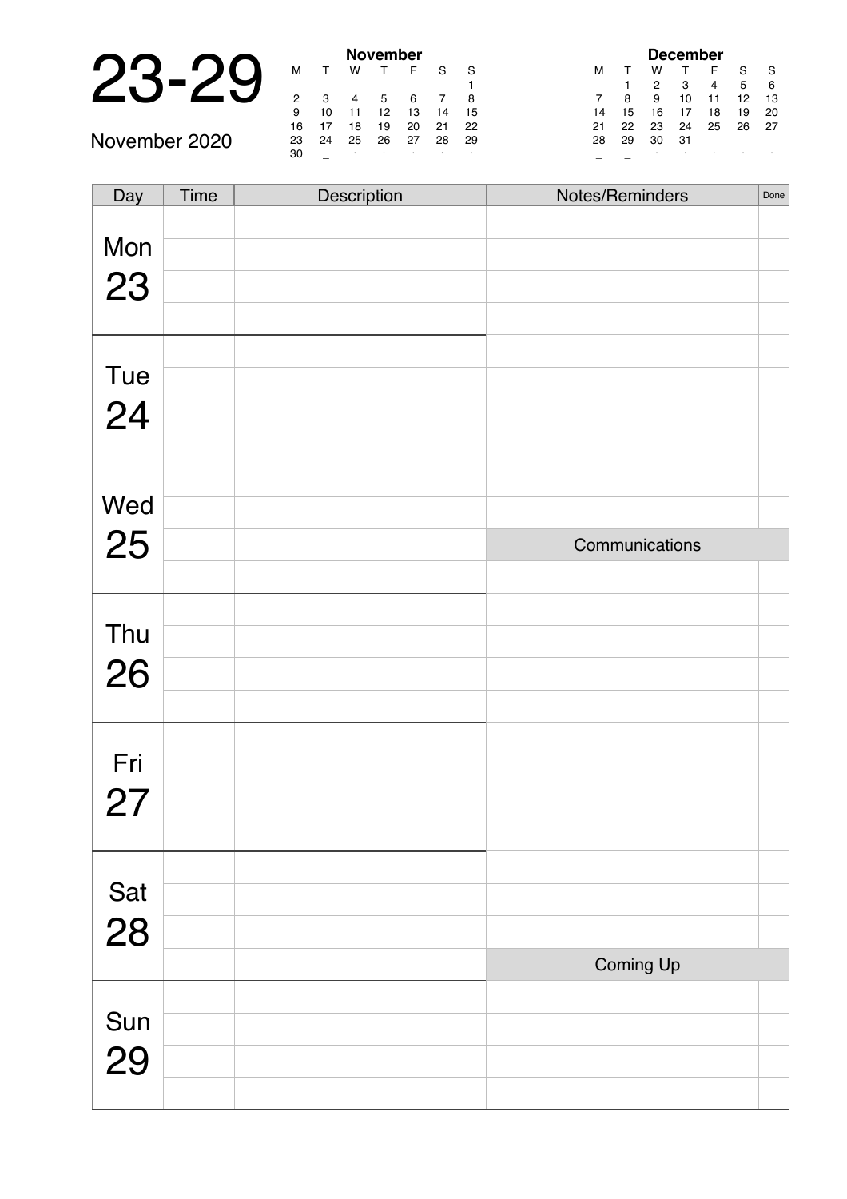# 23-29 **November**

| November       |    |    |    |    |    |    |  |  |  |
|----------------|----|----|----|----|----|----|--|--|--|
| м              |    | w  |    | F  | S  | S  |  |  |  |
|                |    |    |    |    |    |    |  |  |  |
| $\overline{2}$ | 3  |    | 5  | 6  |    | 8  |  |  |  |
| 9              | 10 | 11 | 12 | 13 | 14 | 15 |  |  |  |
| 16             | 17 | 18 | 19 | 20 | 21 | 22 |  |  |  |
| 23             | 24 | 25 | 26 | 27 | 28 | 29 |  |  |  |
| 30             |    | ٠  | ٠  |    | ٠  |    |  |  |  |

| December |    |    |              |    |    |    |  |  |  |  |
|----------|----|----|--------------|----|----|----|--|--|--|--|
| м        | т  | w  | $\mathsf{T}$ | F  | S  | S  |  |  |  |  |
|          |    | 2  | 3            | 4  | 5  | 6  |  |  |  |  |
| 7        | 8  | 9  | 10           | 11 | 12 | 13 |  |  |  |  |
| 14       | 15 | 16 | 17           | 18 | 19 | 20 |  |  |  |  |
| 21       | 22 | 23 | 24           | 25 | 26 | 27 |  |  |  |  |
| 28       | 29 | 30 | 31           |    |    |    |  |  |  |  |
|          |    | ٠  |              | ٠  |    | ٠  |  |  |  |  |

| Day       | <b>Time</b> | Description | Notes/Reminders | Done |
|-----------|-------------|-------------|-----------------|------|
|           |             |             |                 |      |
| Mon       |             |             |                 |      |
| 23        |             |             |                 |      |
|           |             |             |                 |      |
|           |             |             |                 |      |
|           |             |             |                 |      |
| Tue       |             |             |                 |      |
| 24        |             |             |                 |      |
|           |             |             |                 |      |
|           |             |             |                 |      |
| Wed       |             |             |                 |      |
|           |             |             |                 |      |
| 25        |             |             | Communications  |      |
|           |             |             |                 |      |
|           |             |             |                 |      |
| Thu       |             |             |                 |      |
| 26        |             |             |                 |      |
|           |             |             |                 |      |
|           |             |             |                 |      |
| Fri       |             |             |                 |      |
|           |             |             |                 |      |
| 27        |             |             |                 |      |
|           |             |             |                 |      |
|           |             |             |                 |      |
| Sat<br>28 |             |             |                 |      |
|           |             |             |                 |      |
|           |             |             |                 |      |
|           |             |             | Coming Up       |      |
|           |             |             |                 |      |
| Sun<br>29 |             |             |                 |      |
|           |             |             |                 |      |
|           |             |             |                 |      |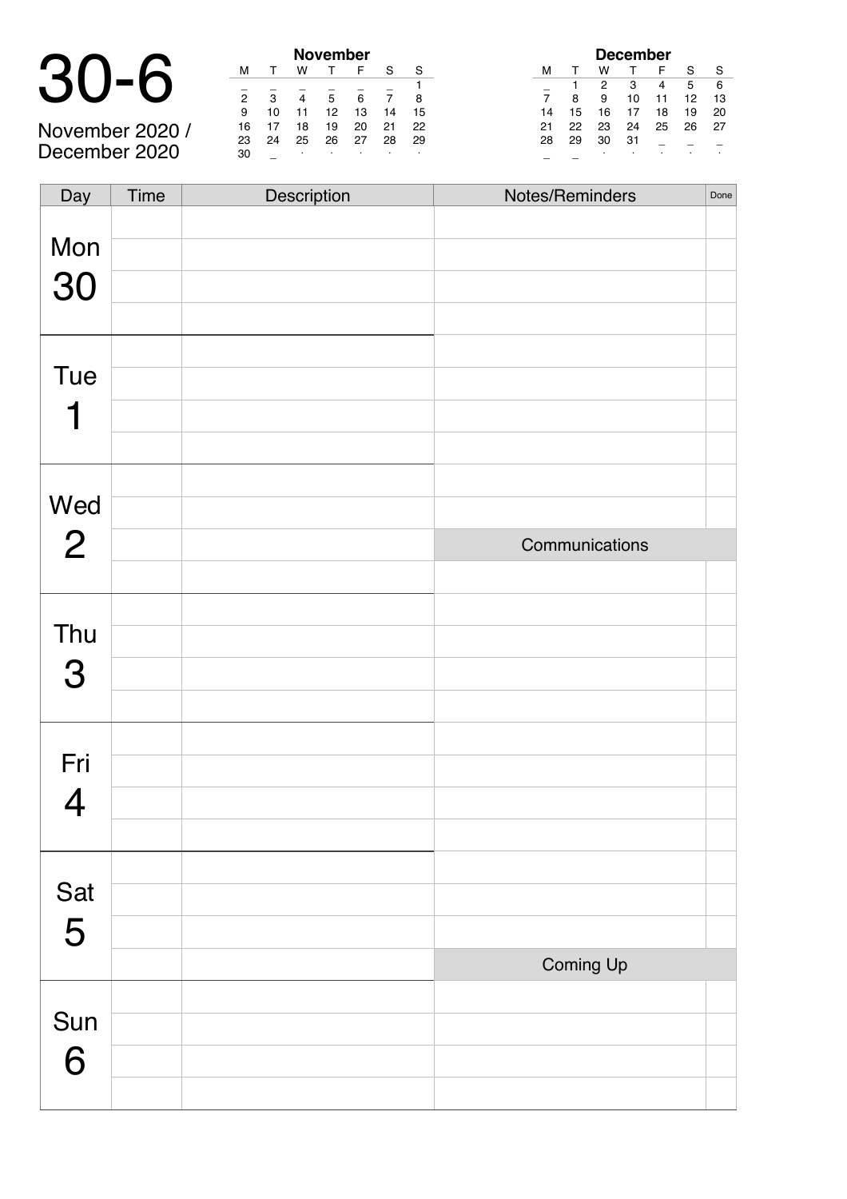# 30-6 **November**

November 2020 / December 2020

|                |    |    | November |    |    |    |
|----------------|----|----|----------|----|----|----|
| м              |    | w  |          | F  | S  | S  |
|                |    |    |          |    |    |    |
| $\overline{2}$ | 3  |    | 5        | 6  |    | 8  |
| 9              | 10 | 11 | 12       | 13 | 14 | 15 |
| 16             | 17 | 18 | 19       | 20 | 21 | 22 |
| 23             | 24 | 25 | 26       | 27 | 28 | 29 |
| 30             |    | ٠  |          |    |    |    |

| <b>December</b> |    |    |    |    |    |    |  |  |  |
|-----------------|----|----|----|----|----|----|--|--|--|
| м               | т  | w  |    | F  | S  | S  |  |  |  |
|                 |    | 2  | 3  | 4  | 5  | 6  |  |  |  |
| 7               | 8  | 9  | 10 | 11 | 12 | 13 |  |  |  |
| 14              | 15 | 16 | 17 | 18 | 19 | 20 |  |  |  |
| 21              | 22 | 23 | 24 | 25 | 26 | 27 |  |  |  |
| 28              | 29 | 30 | 31 |    |    |    |  |  |  |
|                 |    | ٠  | ٠  |    | ٠  |    |  |  |  |

| Day            | <b>Time</b> | Description | Notes/Reminders | Done |
|----------------|-------------|-------------|-----------------|------|
|                |             |             |                 |      |
| Mon            |             |             |                 |      |
| 30             |             |             |                 |      |
|                |             |             |                 |      |
|                |             |             |                 |      |
| <b>Tue</b>     |             |             |                 |      |
|                |             |             |                 |      |
|                |             |             |                 |      |
|                |             |             |                 |      |
| Wed            |             |             |                 |      |
| $\overline{2}$ |             |             | Communications  |      |
|                |             |             |                 |      |
| Thu            |             |             |                 |      |
|                |             |             |                 |      |
| 3              |             |             |                 |      |
|                |             |             |                 |      |
| Fri            |             |             |                 |      |
|                |             |             |                 |      |
| 4              |             |             |                 |      |
|                |             |             |                 |      |
| Sat            |             |             |                 |      |
| 5              |             |             |                 |      |
|                |             |             |                 |      |
|                |             |             | Coming Up       |      |
| Sun            |             |             |                 |      |
| 6              |             |             |                 |      |
|                |             |             |                 |      |
|                |             |             |                 |      |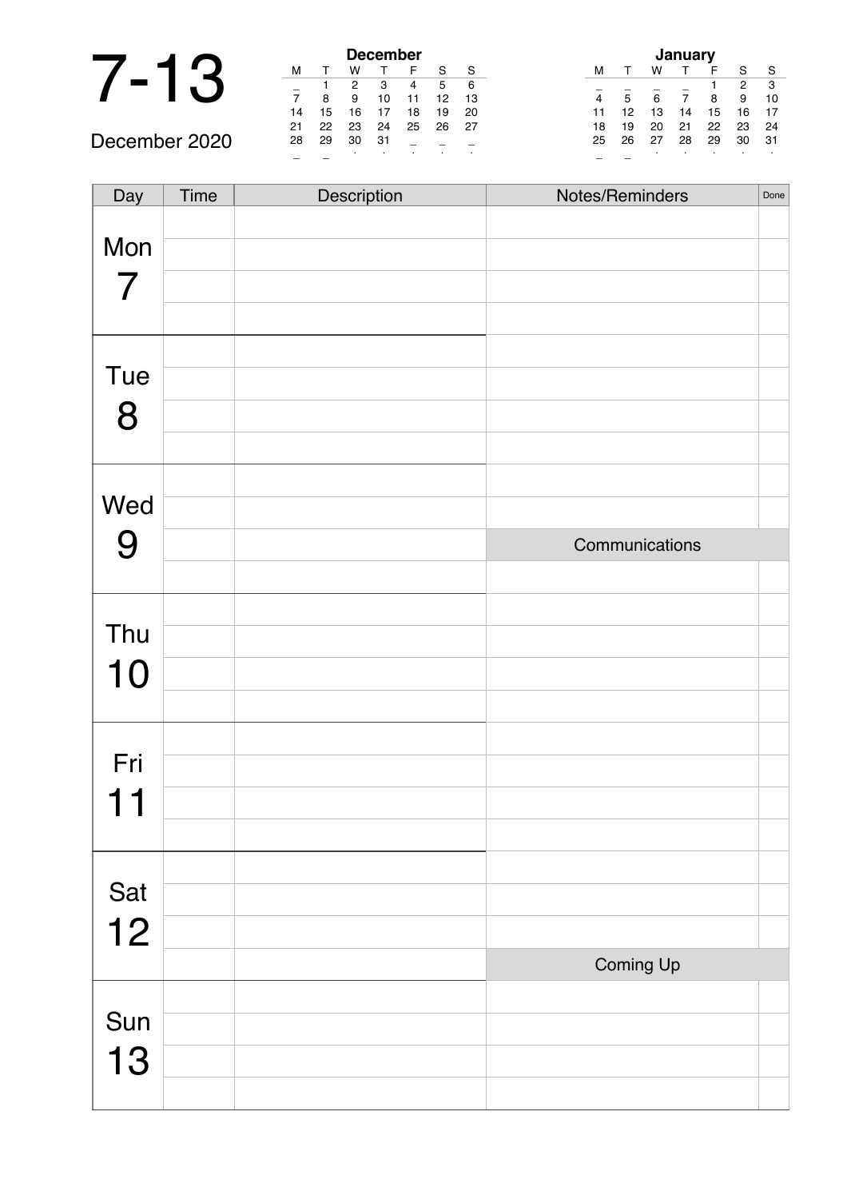### 7-13 **December**

December 2020

| <b>December</b>       |    |    |    |    |    |    |  |  |  |
|-----------------------|----|----|----|----|----|----|--|--|--|
| м                     |    | w  |    | F  | S  | S  |  |  |  |
| 6<br>2<br>5<br>3<br>4 |    |    |    |    |    |    |  |  |  |
| 7                     | 8  | 9  | 10 | 11 | 12 | 13 |  |  |  |
| 14                    | 15 | 16 | 17 | 18 | 19 | 20 |  |  |  |
| 21                    | 22 | 23 | 24 | 25 | 26 | 27 |  |  |  |
| 28                    | 29 | 30 | 31 |    |    |    |  |  |  |
| ٠<br>٠                |    |    |    |    |    |    |  |  |  |

| January |    |    |    |    |    |    |  |  |  |
|---------|----|----|----|----|----|----|--|--|--|
| м       |    | w  |    | F  | S  | S  |  |  |  |
|         |    |    |    |    | 2  | 3  |  |  |  |
| 4       | 5  | 6  | 7  | 8  | 9  | 10 |  |  |  |
| 11      | 12 | 13 | 14 | 15 | 16 | 17 |  |  |  |
| 18      | 19 | 20 | 21 | 22 | 23 | 24 |  |  |  |
| 25      | 26 | 27 | 28 | 29 | 30 | 31 |  |  |  |
|         |    |    | ٠  |    |    |    |  |  |  |

| Day                      | Time | Description | Notes/Reminders | Done |
|--------------------------|------|-------------|-----------------|------|
|                          |      |             |                 |      |
| Mon                      |      |             |                 |      |
| $\overline{\mathcal{I}}$ |      |             |                 |      |
|                          |      |             |                 |      |
|                          |      |             |                 |      |
|                          |      |             |                 |      |
| Tue                      |      |             |                 |      |
| 8                        |      |             |                 |      |
|                          |      |             |                 |      |
|                          |      |             |                 |      |
| Wed                      |      |             |                 |      |
|                          |      |             |                 |      |
| 9                        |      |             | Communications  |      |
|                          |      |             |                 |      |
|                          |      |             |                 |      |
| Thu                      |      |             |                 |      |
| 10                       |      |             |                 |      |
|                          |      |             |                 |      |
|                          |      |             |                 |      |
|                          |      |             |                 |      |
| Fri                      |      |             |                 |      |
| 1.                       |      |             |                 |      |
|                          |      |             |                 |      |
|                          |      |             |                 |      |
| Sat                      |      |             |                 |      |
| 12                       |      |             |                 |      |
|                          |      |             |                 |      |
|                          |      |             | Coming Up       |      |
|                          |      |             |                 |      |
| Sun                      |      |             |                 |      |
| 13                       |      |             |                 |      |
|                          |      |             |                 |      |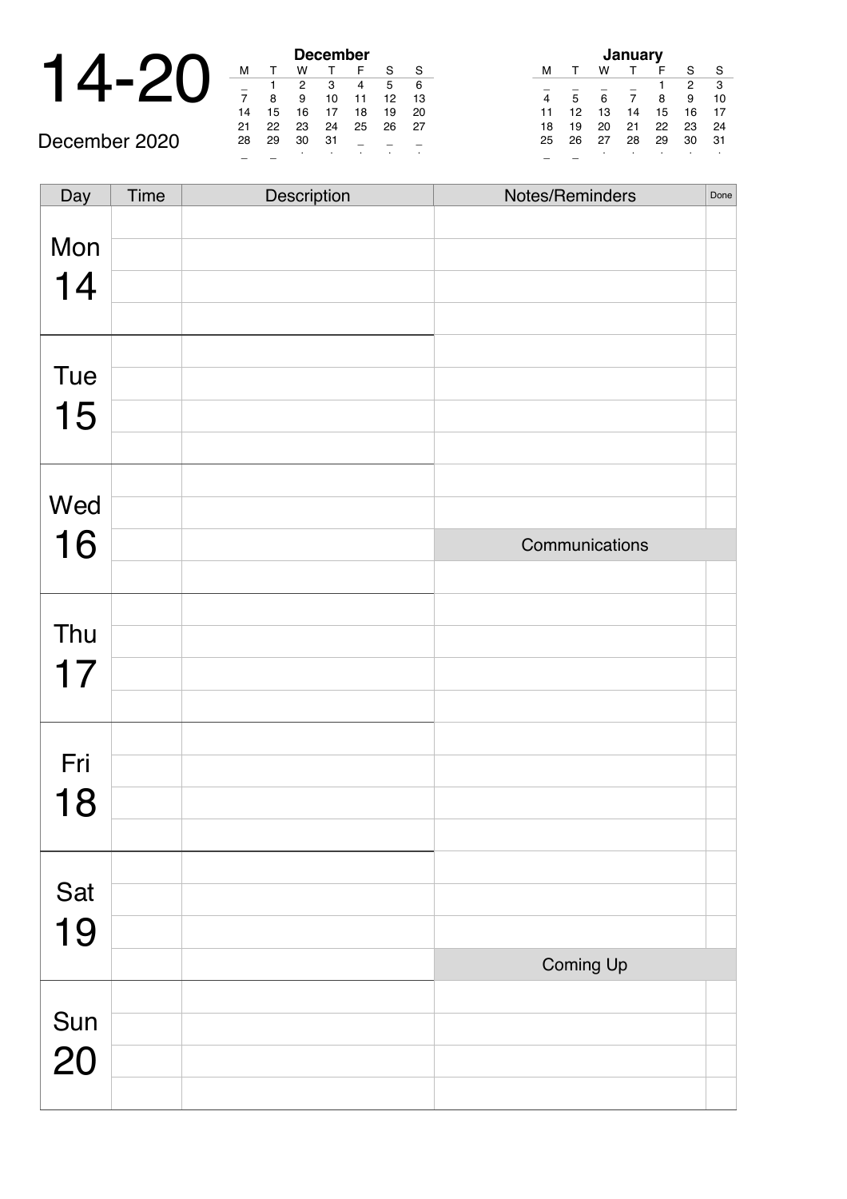| 1⊿ | 16 | 18              |
|----|----|-----------------|
|    |    | <b>December</b> |

December 2020

| <b>December</b> |    |    |    |    |    |    |  |  |  |  |
|-----------------|----|----|----|----|----|----|--|--|--|--|
| м               | т  | w  |    | F  | S  | S  |  |  |  |  |
|                 |    | 2  | 3  | 4  | 5  | 6  |  |  |  |  |
| 7               | 8  | 9  | 10 | 11 | 12 | 13 |  |  |  |  |
| 14              | 15 | 16 | 17 | 18 | 19 | 20 |  |  |  |  |
| 21              | 22 | 23 | 24 | 25 | 26 | 27 |  |  |  |  |
| 28              | 29 | 30 | 31 |    |    |    |  |  |  |  |
|                 |    | ٠  | ٠  |    |    |    |  |  |  |  |

| January |    |    |    |    |    |    |
|---------|----|----|----|----|----|----|
| м       |    | w  |    | F  | S  | S  |
|         |    |    |    |    | 2  | 3  |
| 4       | 5  | 6  | 7  | 8  | 9  | 10 |
| 11      | 12 | 13 | 14 | 15 | 16 | 17 |
| 18      | 19 | 20 | 21 | 22 | 23 | 24 |
| 25      | 26 | 27 | 28 | 29 | 30 | 31 |
|         |    | ٠  | ٠  |    |    | ٠  |

| Day       | Time | Description | Notes/Reminders | Done |
|-----------|------|-------------|-----------------|------|
|           |      |             |                 |      |
| Mon       |      |             |                 |      |
| 14        |      |             |                 |      |
|           |      |             |                 |      |
|           |      |             |                 |      |
| Tue       |      |             |                 |      |
| 15        |      |             |                 |      |
|           |      |             |                 |      |
|           |      |             |                 |      |
| Wed       |      |             |                 |      |
| 16        |      |             | Communications  |      |
|           |      |             |                 |      |
|           |      |             |                 |      |
| Thu       |      |             |                 |      |
| 17        |      |             |                 |      |
|           |      |             |                 |      |
| Fri       |      |             |                 |      |
|           |      |             |                 |      |
| 18        |      |             |                 |      |
|           |      |             |                 |      |
| Sat       |      |             |                 |      |
|           |      |             |                 |      |
| 19        |      |             |                 |      |
|           |      |             | Coming Up       |      |
|           |      |             |                 |      |
| Sun<br>20 |      |             |                 |      |
|           |      |             |                 |      |
|           |      |             |                 |      |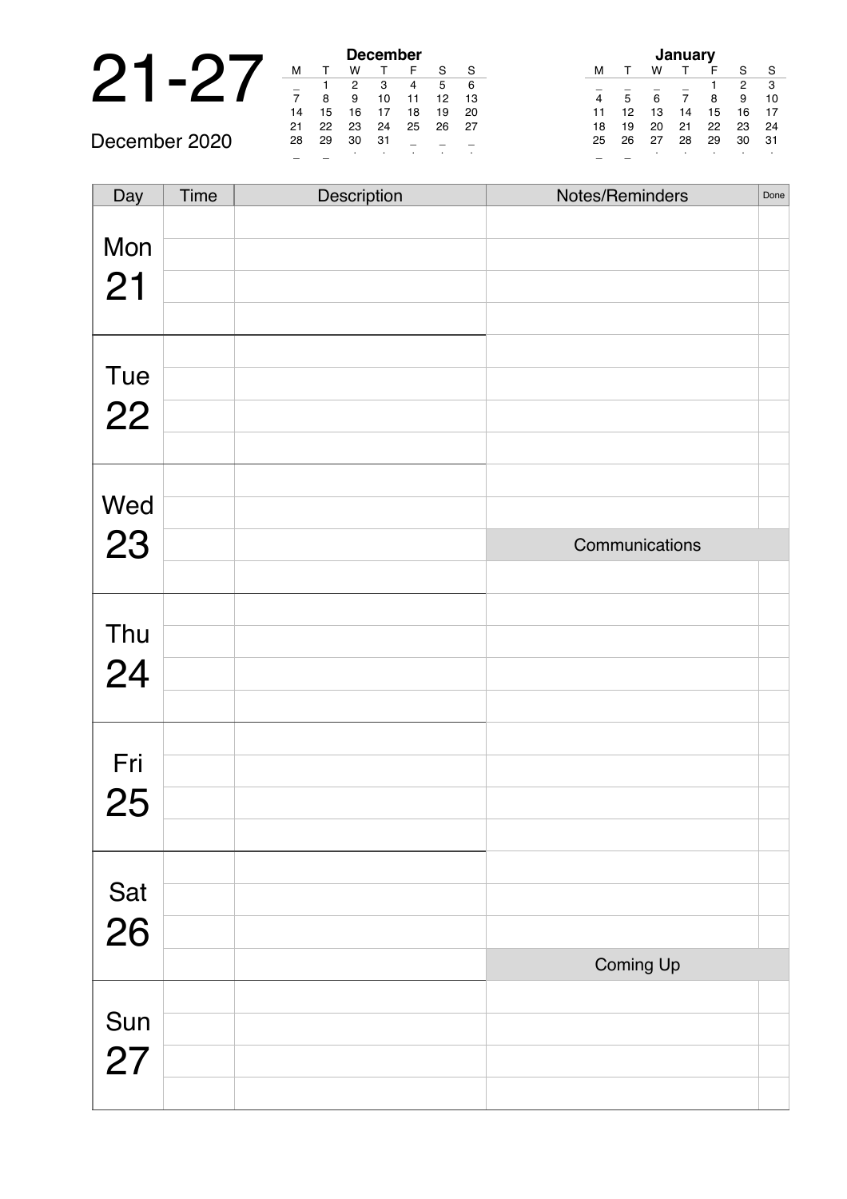# 21-27 -

December 2020

| <b>December</b> |    |    |    |    |    |    |  |
|-----------------|----|----|----|----|----|----|--|
| М               |    | W  |    | F  | S  | S  |  |
|                 |    | 2  | 3  | 4  | 5  | 6  |  |
| $\frac{1}{7}$   | 8  | 9  | 10 | 11 | 12 | 13 |  |
| 14              | 15 | 16 | 17 | 18 | 19 | 20 |  |
| 21              | 22 | 23 | 24 | 25 | 26 | 27 |  |
| 28              | 29 | 30 | 31 |    |    |    |  |
|                 |    |    |    |    |    |    |  |

| January        |    |    |    |    |    |    |  |
|----------------|----|----|----|----|----|----|--|
| м              |    | w  |    | F  | S  | S  |  |
|                |    |    |    |    | 2  | 3  |  |
| $\overline{4}$ | 5  | 6  | 7  | 8  | 9  | 10 |  |
| 11             | 12 | 13 | 14 | 15 | 16 | 17 |  |
| 18             | 19 | 20 | 21 | 22 | 23 | 24 |  |
| 25             | 26 | 27 | 28 | 29 | 30 | 31 |  |
|                |    |    | ٠  |    |    |    |  |

| Day       | Time | Description | Notes/Reminders | Done |
|-----------|------|-------------|-----------------|------|
|           |      |             |                 |      |
| Mon       |      |             |                 |      |
| 21        |      |             |                 |      |
|           |      |             |                 |      |
|           |      |             |                 |      |
| Tue       |      |             |                 |      |
|           |      |             |                 |      |
| 22        |      |             |                 |      |
|           |      |             |                 |      |
|           |      |             |                 |      |
| Wed       |      |             |                 |      |
| 23        |      |             | Communications  |      |
|           |      |             |                 |      |
|           |      |             |                 |      |
|           |      |             |                 |      |
| Thu       |      |             |                 |      |
| 24        |      |             |                 |      |
|           |      |             |                 |      |
|           |      |             |                 |      |
| Fri       |      |             |                 |      |
| 25        |      |             |                 |      |
|           |      |             |                 |      |
|           |      |             |                 |      |
|           |      |             |                 |      |
| Sat<br>26 |      |             |                 |      |
|           |      |             |                 |      |
|           |      |             | Coming Up       |      |
|           |      |             |                 |      |
| Sun       |      |             |                 |      |
| 27        |      |             |                 |      |
|           |      |             |                 |      |